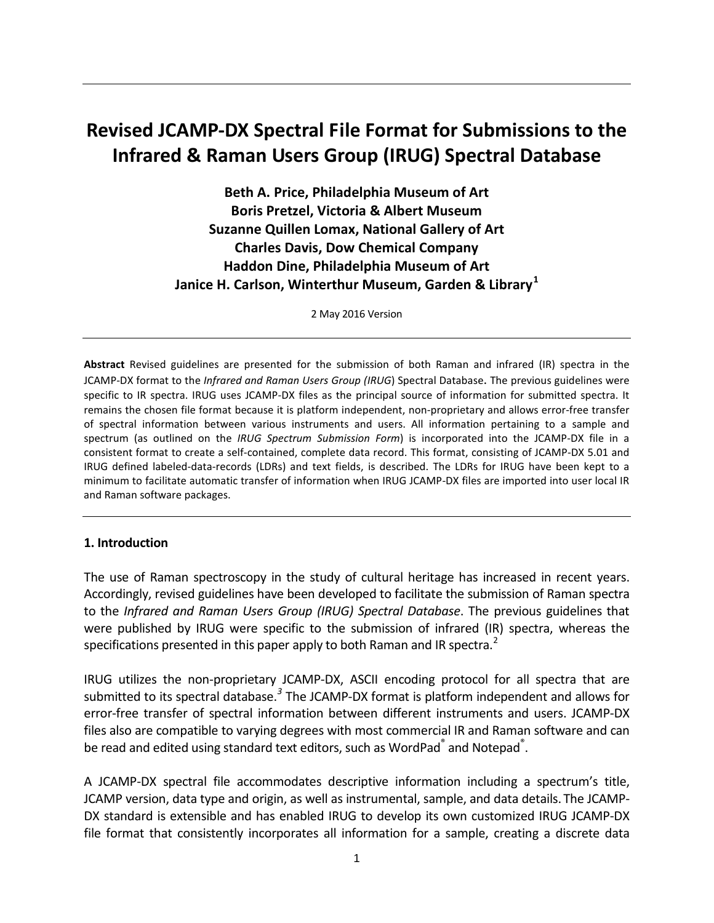# **Revised JCAMP-DX Spectral File Format for Submissions to the Infrared & Raman Users Group (IRUG) Spectral Database**

**Beth A. Price, Philadelphia Museum of Art Boris Pretzel, Victoria & Albert Museum Suzanne Quillen Lomax, National Gallery of Art Charles Davis, Dow Chemical Company Haddon Dine, Philadelphia Museum of Art Janice H. Carlson, Winterthur Museum, Garden & Library[1](#page-7-0)**

2 May 2016 Version

**Abstract** Revised guidelines are presented for the submission of both Raman and infrared (IR) spectra in the JCAMP-DX format to the *Infrared and Raman Users Group (IRUG*) Spectral Database. The previous guidelines were specific to IR spectra. IRUG uses JCAMP-DX files as the principal source of information for submitted spectra. It remains the chosen file format because it is platform independent, non-proprietary and allows error-free transfer of spectral information between various instruments and users. All information pertaining to a sample and spectrum (as outlined on the *IRUG Spectrum Submission Form*) is incorporated into the JCAMP-DX file in a consistent format to create a self-contained, complete data record. This format, consisting of JCAMP-DX 5.01 and IRUG defined labeled-data-records (LDRs) and text fields, is described. The LDRs for IRUG have been kept to a minimum to facilitate automatic transfer of information when IRUG JCAMP-DX files are imported into user local IR and Raman software packages.

#### **1. Introduction**

The use of Raman spectroscopy in the study of cultural heritage has increased in recent years. Accordingly, revised guidelines have been developed to facilitate the submission of Raman spectra to the *Infrared and Raman Users Group (IRUG) Spectral Database*. The previous guidelines that were published by IRUG were specific to the submission of infrared (IR) spectra, whereas the specifications presented in this paper apply to both Raman and IR spectra.<sup>[2](#page-7-1)</sup>

IRUG utilizes the non-proprietary JCAMP-DX, ASCII encoding protocol for all spectra that are submitted to its spectral database.<sup>[3](#page-7-2)</sup> The JCAMP-DX format is platform independent and allows for error-free transfer of spectral information between different instruments and users. JCAMP-DX files also are compatible to varying degrees with most commercial IR and Raman software and can be read and edited using standard text editors, such as WordPad $\degree$  and Notepad $\degree$ .

A JCAMP-DX spectral file accommodates descriptive information including a spectrum's title, JCAMP version, data type and origin, as well as instrumental, sample, and data details. The JCAMP-DX standard is extensible and has enabled IRUG to develop its own customized IRUG JCAMP-DX file format that consistently incorporates all information for a sample, creating a discrete data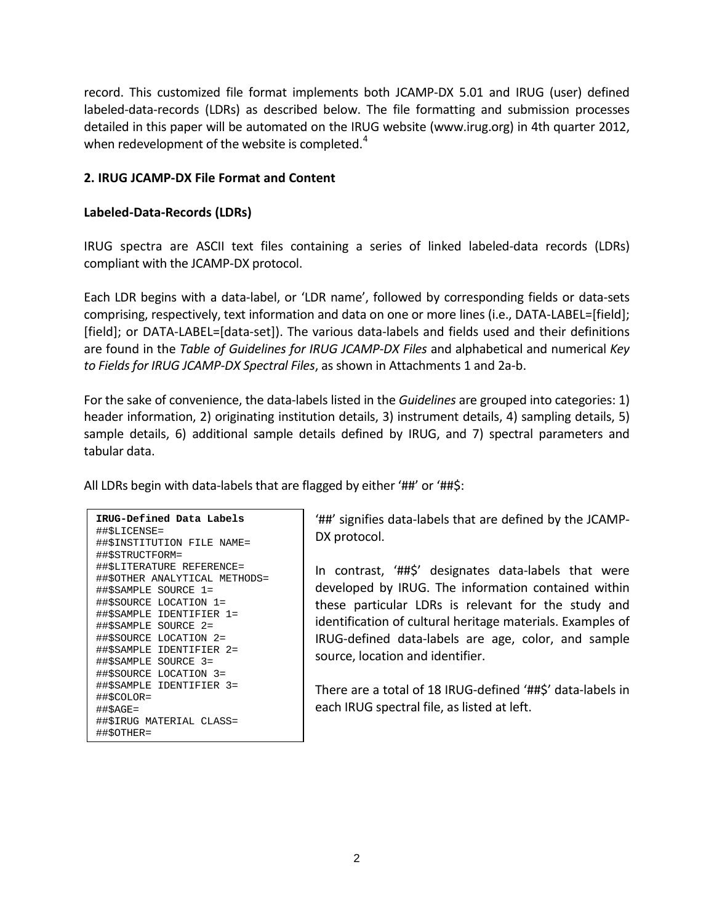record. This customized file format implements both JCAMP-DX 5.01 and IRUG (user) defined labeled-data-records (LDRs) as described below. The file formatting and submission processes detailed in this paper will be automated on the IRUG website [\(www.irug.org\)](http://www.irug.org/) in 4th quarter 2012, when redevelopment of the website is completed.<sup>[4](#page-7-3)</sup>

## **2. IRUG JCAMP-DX File Format and Content**

## **Labeled-Data-Records (LDRs)**

IRUG spectra are ASCII text files containing a series of linked labeled-data records (LDRs) compliant with the JCAMP-DX protocol.

Each LDR begins with a data-label, or 'LDR name', followed by corresponding fields or data-sets comprising, respectively, text information and data on one or more lines (i.e., DATA-LABEL=[field]; [field]; or DATA-LABEL=[data-set]). The various data-labels and fields used and their definitions are found in the *Table of Guidelines for IRUG JCAMP-DX Files* and alphabetical and numerical *Key to Fields for IRUG JCAMP-DX Spectral Files*, as shown in Attachments 1 and 2a-b.

For the sake of convenience, the data-labels listed in the *Guidelines* are grouped into categories: 1) header information, 2) originating institution details, 3) instrument details, 4) sampling details, 5) sample details, 6) additional sample details defined by IRUG, and 7) spectral parameters and tabular data.

All LDRs begin with data-labels that are flagged by either '##' or '##\$:

| IRUG-Defined Data Labels      |
|-------------------------------|
| ##\$LICENSE=                  |
| ##\$INSTITUTION FILE NAME=    |
| ##\$STRUCTFORM=               |
| ##\$LITERATURE REFERENCE=     |
| ##\$OTHER ANALYTICAL METHODS= |
| ##\$SAMPLE SOURCE 1=          |
| ##\$SOURCE LOCATION 1=        |
| ##\$SAMPLE IDENTIFIER 1=      |
| ##\$SAMPLE SOURCE 2=          |
| ##\$SOURCE LOCATION 2=        |
| ##\$SAMPLE<br>IDENTIFIER 2=   |
| ##\$SAMPLE SOURCE 3=          |
| ##\$SOURCE LOCATION 3=        |
| ##\$SAMPLE IDENTIFIER 3=      |
| ##\$COLOR=                    |
| $\#$ #\$AGE=                  |
| ##\$IRUG MATERIAL CLASS=      |
| ##\$OTHER=                    |

'##' signifies data-labels that are defined by the JCAMP-DX protocol.

In contrast, '##\$' designates data-labels that were developed by IRUG. The information contained within these particular LDRs is relevant for the study and identification of cultural heritage materials. Examples of IRUG-defined data-labels are age, color, and sample source, location and identifier.

There are a total of 18 IRUG-defined '##\$' data-labels in each IRUG spectral file, as listed at left.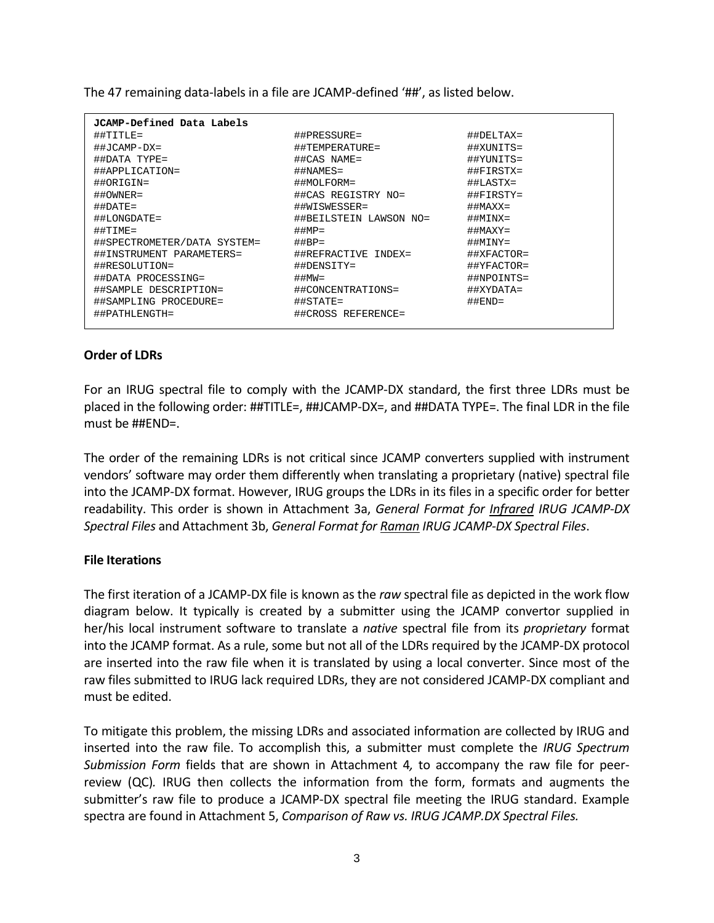The 47 remaining data-labels in a file are JCAMP-defined '##', as listed below.

| JCAMP-Defined Data Labels   |                           |                           |
|-----------------------------|---------------------------|---------------------------|
| $\#$ #TITLE=                | $\# \#$ PRESSURE=         | $\#$ #DELTAX=             |
| $\#$ #JCAMP-DX=             | ##TEMPERATURE=            | ##XUNITS=                 |
| ##DATA TYPE=                | ##CAS NAME=               | ##YUNITS=                 |
| ##APPLICATION=              | ##NAMES=                  | ##FIRSTX=                 |
| $\# \text{PORIGIN} =$       | ##MOLFORM=                | $\#$ #LASTX=              |
| $\#$ #OWNER=                | ##CAS REGISTRY NO=        | $\# \# \texttt{FIRSTY} =$ |
| $\#$ #DATE=                 | ##WISWESSER=              | $\#$ #MAXX=               |
| $\#$ #LONGDATE=             | ##BEILSTEIN LAWSON NO=    | $\#$ $\#$ MINX=           |
| $\#$ #TIME=                 | $\#$ #MP=                 | $\#$ #MAXY=               |
| ##SPECTROMETER/DATA SYSTEM= | $\#HBP =$                 | $\#$ $\#$ MINY=           |
| ##INSTRUMENT PARAMETERS=    | ##REFRACTIVE INDEX=       | $\#$ #XFACTOR=            |
| ##RESOLUTION=               | $\# \texttt{HDENSTITY} =$ | $\#$ #YFACTOR=            |
| ##DATA PROCESSING=          | $\#$ #MW $=$              | ##NPOINTS=                |
| ##SAMPLE DESCRIPTION=       | ##CONCENTRATIONS=         | ##XYDATA=                 |
| ##SAMPLING PROCEDURE=       | $\#$ #STATE=              | $\# \#$ END=              |
| ##PATHLENGTH=               | ##CROSS REFERENCE=        |                           |

## **Order of LDRs**

For an IRUG spectral file to comply with the JCAMP-DX standard, the first three LDRs must be placed in the following order: ##TITLE=, ##JCAMP-DX=, and ##DATA TYPE=. The final LDR in the file must be ##END=.

The order of the remaining LDRs is not critical since JCAMP converters supplied with instrument vendors' software may order them differently when translating a proprietary (native) spectral file into the JCAMP-DX format. However, IRUG groups the LDRs in its files in a specific order for better readability. This order is shown in Attachment 3a, *General Format for Infrared IRUG JCAMP-DX Spectral Files* and Attachment 3b, *General Format for Raman IRUG JCAMP-DX Spectral Files*.

#### **File Iterations**

The first iteration of a JCAMP-DX file is known as the *raw* spectral file as depicted in the work flow diagram below. It typically is created by a submitter using the JCAMP convertor supplied in her/his local instrument software to translate a *native* spectral file from its *proprietary* format into the JCAMP format. As a rule, some but not all of the LDRs required by the JCAMP-DX protocol are inserted into the raw file when it is translated by using a local converter. Since most of the raw files submitted to IRUG lack required LDRs, they are not considered JCAMP-DX compliant and must be edited.

To mitigate this problem, the missing LDRs and associated information are collected by IRUG and inserted into the raw file. To accomplish this, a submitter must complete the *IRUG Spectrum Submission Form* fields that are shown in Attachment 4*,* to accompany the raw file for peerreview (QC)*.* IRUG then collects the information from the form, formats and augments the submitter's raw file to produce a JCAMP-DX spectral file meeting the IRUG standard. Example spectra are found in Attachment 5, *Comparison of Raw vs. IRUG JCAMP.DX Spectral Files.*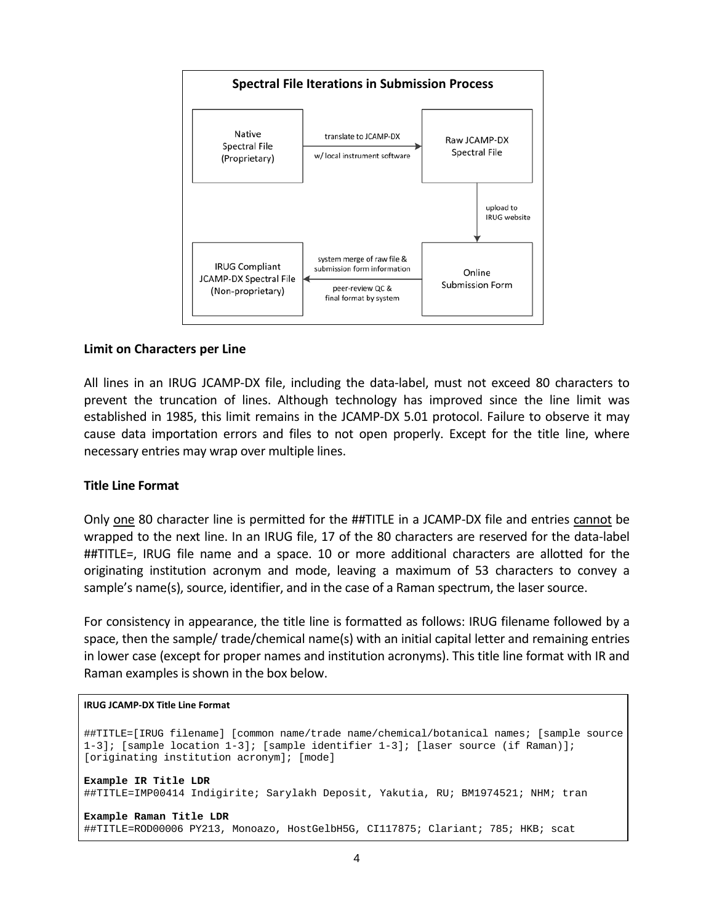

#### **Limit on Characters per Line**

All lines in an IRUG JCAMP-DX file, including the data-label, must not exceed 80 characters to prevent the truncation of lines. Although technology has improved since the line limit was established in 1985, this limit remains in the JCAMP-DX 5.01 protocol. Failure to observe it may cause data importation errors and files to not open properly. Except for the title line, where necessary entries may wrap over multiple lines.

#### **Title Line Format**

Only one 80 character line is permitted for the ##TITLE in a JCAMP-DX file and entries cannot be wrapped to the next line. In an IRUG file, 17 of the 80 characters are reserved for the data-label ##TITLE=, IRUG file name and a space. 10 or more additional characters are allotted for the originating institution acronym and mode, leaving a maximum of 53 characters to convey a sample's name(s), source, identifier, and in the case of a Raman spectrum, the laser source.

For consistency in appearance, the title line is formatted as follows: IRUG filename followed by a space, then the sample/ trade/chemical name(s) with an initial capital letter and remaining entries in lower case (except for proper names and institution acronyms). This title line format with IR and Raman examples is shown in the box below.

#### **IRUG JCAMP-DX Title Line Format**

```
##TITLE=[IRUG filename] [common name/trade name/chemical/botanical names; [sample source
1-3]; [sample location 1-3]; [sample identifier 1-3]; [laser source (if Raman)]; 
[originating institution acronym]; [mode]
Example IR Title LDR
##TITLE=IMP00414 Indigirite; Sarylakh Deposit, Yakutia, RU; BM1974521; NHM; tran
Example Raman Title LDR
##TITLE=ROD00006 PY213, Monoazo, HostGelbH5G, CI117875; Clariant; 785; HKB; scat
```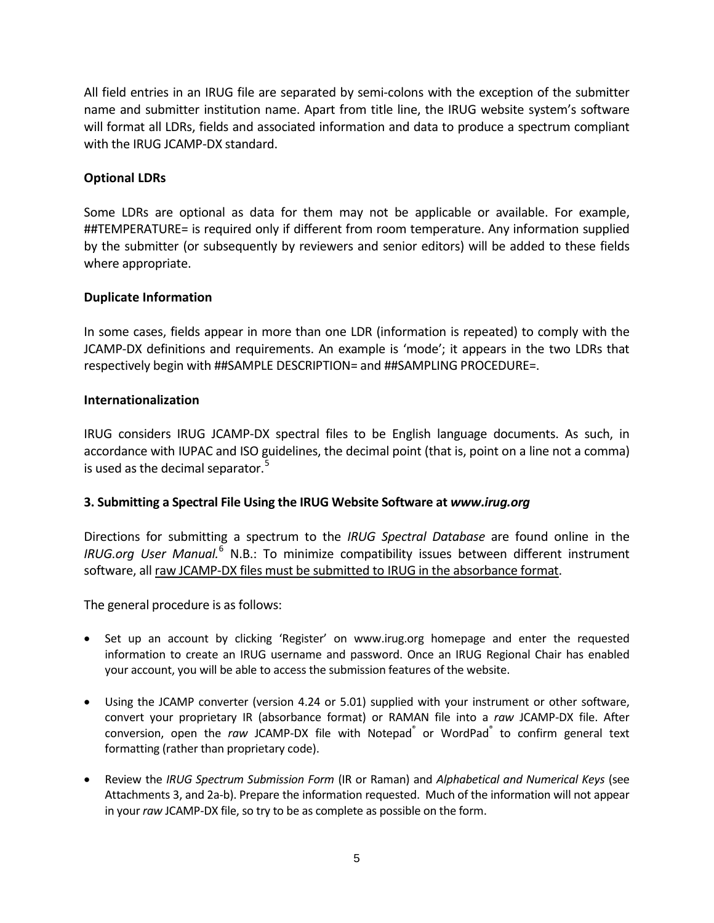All field entries in an IRUG file are separated by semi-colons with the exception of the submitter name and submitter institution name. Apart from title line, the IRUG website system's software will format all LDRs, fields and associated information and data to produce a spectrum compliant with the IRUG JCAMP-DX standard.

## **Optional LDRs**

Some LDRs are optional as data for them may not be applicable or available. For example, ##TEMPERATURE= is required only if different from room temperature. Any information supplied by the submitter (or subsequently by reviewers and senior editors) will be added to these fields where appropriate.

#### **Duplicate Information**

In some cases, fields appear in more than one LDR (information is repeated) to comply with the JCAMP-DX definitions and requirements. An example is 'mode'; it appears in the two LDRs that respectively begin with ##SAMPLE DESCRIPTION= and ##SAMPLING PROCEDURE=.

#### **Internationalization**

IRUG considers IRUG JCAMP-DX spectral files to be English language documents. As such, in accordance with IUPAC and ISO guidelines, the decimal point (that is, point on a line not a comma) is used as the decimal separator.<sup>[5](#page-7-4)</sup>

# **3. Submitting a Spectral File Using the IRUG Website Software at** *www.irug.org*

Directions for submitting a spectrum to the *IRUG Spectral Database* are found online in the *IRUG.org User Manual.*[6](#page-7-5) N.B.: To minimize compatibility issues between different instrument software, all raw JCAMP-DX files must be submitted to IRUG in the absorbance format.

The general procedure is as follows:

- Set up an account by clicking 'Register' on [www.irug.org](http://www.irug.org/) homepage and enter the requested information to create an IRUG username and password. Once an IRUG Regional Chair has enabled your account, you will be able to access the submission features of the website.
- Using the JCAMP converter (version 4.24 or 5.01) supplied with your instrument or other software, convert your proprietary IR (absorbance format) or RAMAN file into a *raw* JCAMP-DX file. After conversion, open the *raw* JCAMP-DX file with Notepad<sup>®</sup> or WordPad<sup>®</sup> to confirm general text formatting (rather than proprietary code).
- Review the *IRUG Spectrum Submission Form* (IR or Raman) and *Alphabetical and Numerical Keys* (see Attachments 3, and 2a-b). Prepare the information requested. Much of the information will not appear in your *raw* JCAMP-DX file, so try to be as complete as possible on the form.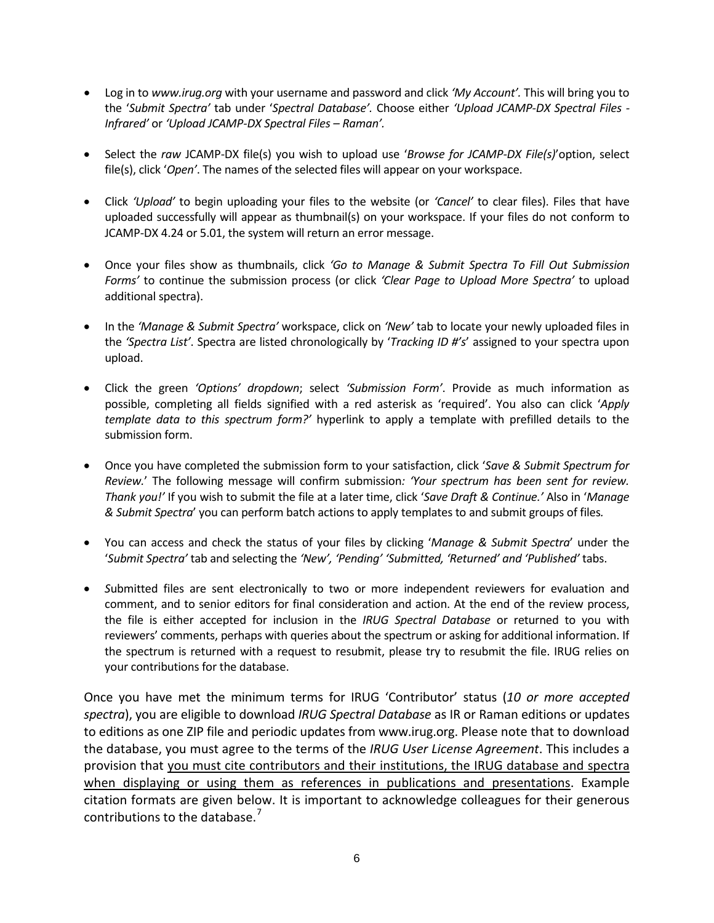- Log in to *[www.irug.org](http://www.irug.org/)* with your username and password and click *'My Account'.* This will bring you to the '*Submit Spectra'* tab under '*Spectral Database'.* Choose either *'Upload JCAMP-DX Spectral Files - Infrared'* or *'Upload JCAMP-DX Spectral Files – Raman'.*
- Select the *raw* JCAMP-DX file(s) you wish to upload use '*Browse for JCAMP-DX File(s)*'option, select file(s), click '*Open'*. The names of the selected files will appear on your workspace.
- Click *'Upload'* to begin uploading your files to the website (or *'Cancel'* to clear files). Files that have uploaded successfully will appear as thumbnail(s) on your workspace. If your files do not conform to JCAMP-DX 4.24 or 5.01, the system will return an error message.
- Once your files show as thumbnails, click *'Go to Manage & Submit Spectra To Fill Out Submission Forms'* to continue the submission process (or click *'Clear Page to Upload More Spectra'* to upload additional spectra).
- In the *'Manage & Submit Spectra'* workspace, click on *'New'* tab to locate your newly uploaded files in the *'Spectra List'*. Spectra are listed chronologically by '*Tracking ID #'s*' assigned to your spectra upon upload.
- Click the green *'Options' dropdown*; select *'Submission Form'*. Provide as much information as possible, completing all fields signified with a red asterisk as 'required'. You also can click '*Apply template data to this spectrum form?'* hyperlink to apply a template with prefilled details to the submission form.
- Once you have completed the submission form to your satisfaction, click '*Save & Submit Spectrum for Review.*' The following message will confirm submission*: 'Your spectrum has been sent for review. Thank you!'* If you wish to submit the file at a later time, click '*Save Draft & Continue.'* Also in '*Manage & Submit Spectra*' you can perform batch actions to apply templates to and submit groups of files*.*
- You can access and check the status of your files by clicking '*Manage & Submit Spectra*' under the '*Submit Spectra'* tab and selecting the *'New', 'Pending' 'Submitted, 'Returned' and 'Published'* tabs.
- *S*ubmitted files are sent electronically to two or more independent reviewers for evaluation and comment, and to senior editors for final consideration and action. At the end of the review process, the file is either accepted for inclusion in the *IRUG Spectral Database* or returned to you with reviewers' comments, perhaps with queries about the spectrum or asking for additional information. If the spectrum is returned with a request to resubmit, please try to resubmit the file. IRUG relies on your contributions for the database.

Once you have met the minimum terms for IRUG 'Contributor' status (*10 or more accepted spectra*), you are eligible to download *IRUG Spectral Database* as IR or Raman editions or updates to editions as one ZIP file and periodic updates from [www.irug.org.](http://www.irug.org/) Please note that to download the database, you must agree to the terms of the *IRUG User License Agreement*. This includes a provision that you must cite contributors and their institutions, the IRUG database and spectra when displaying or using them as references in publications and presentations. Example citation formats are given below. It is important to acknowledge colleagues for their generous contributions to the database.<sup>[7](#page-7-6)</sup>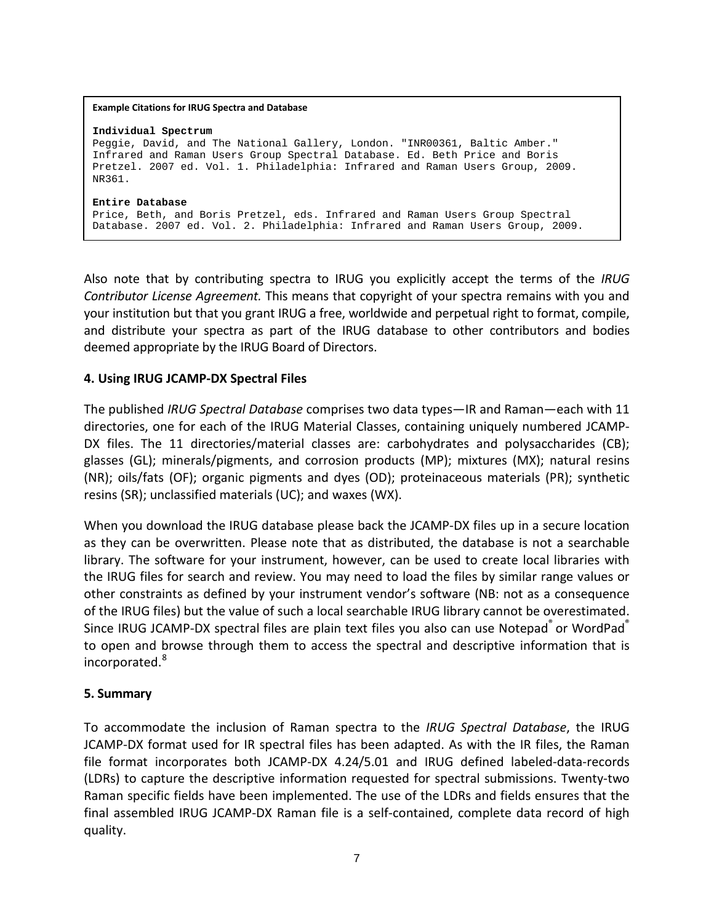| <b>Example Citations for IRUG Spectra and Database</b>                                                                                                                                                                                                                     |
|----------------------------------------------------------------------------------------------------------------------------------------------------------------------------------------------------------------------------------------------------------------------------|
| Individual Spectrum<br>Peqqie, David, and The National Gallery, London. "INR00361, Baltic Amber."<br>Infrared and Raman Users Group Spectral Database. Ed. Beth Price and Boris<br>Pretzel. 2007 ed. Vol. 1. Philadelphia: Infrared and Raman Users Group, 2009.<br>NR361. |
| Entire Database<br>Price, Beth, and Boris Pretzel, eds. Infrared and Raman Users Group Spectral<br>Database. 2007 ed. Vol. 2. Philadelphia: Infrared and Raman Users Group, 2009.                                                                                          |

Also note that by contributing spectra to IRUG you explicitly accept the terms of the *IRUG Contributor License Agreement.* This means that copyright of your spectra remains with you and your institution but that you grant IRUG a free, worldwide and perpetual right to format, compile, and distribute your spectra as part of the IRUG database to other contributors and bodies deemed appropriate by the IRUG Board of Directors.

## **4. Using IRUG JCAMP-DX Spectral Files**

The published *IRUG Spectral Database* comprises two data types—IR and Raman—each with 11 directories, one for each of the IRUG Material Classes, containing uniquely numbered JCAMP-DX files. The 11 directories/material classes are: carbohydrates and polysaccharides (CB); glasses (GL); minerals/pigments, and corrosion products (MP); mixtures (MX); natural resins (NR); oils/fats (OF); organic pigments and dyes (OD); proteinaceous materials (PR); synthetic resins (SR); unclassified materials (UC); and waxes (WX).

When you download the IRUG database please back the JCAMP-DX files up in a secure location as they can be overwritten. Please note that as distributed, the database is not a searchable library. The software for your instrument, however, can be used to create local libraries with the IRUG files for search and review. You may need to load the files by similar range values or other constraints as defined by your instrument vendor's software (NB: not as a consequence of the IRUG files) but the value of such a local searchable IRUG library cannot be overestimated. Since IRUG JCAMP-DX spectral files are plain text files you also can use Notepad<sup>®</sup> or WordPad® to open and browse through them to access the spectral and descriptive information that is incorporated.<sup>[8](#page-7-7)</sup>

#### **5. Summary**

To accommodate the inclusion of Raman spectra to the *IRUG Spectral Database*, the IRUG JCAMP-DX format used for IR spectral files has been adapted. As with the IR files, the Raman file format incorporates both JCAMP-DX 4.24/5.01 and IRUG defined labeled-data-records (LDRs) to capture the descriptive information requested for spectral submissions. Twenty-two Raman specific fields have been implemented. The use of the LDRs and fields ensures that the final assembled IRUG JCAMP-DX Raman file is a self-contained, complete data record of high quality.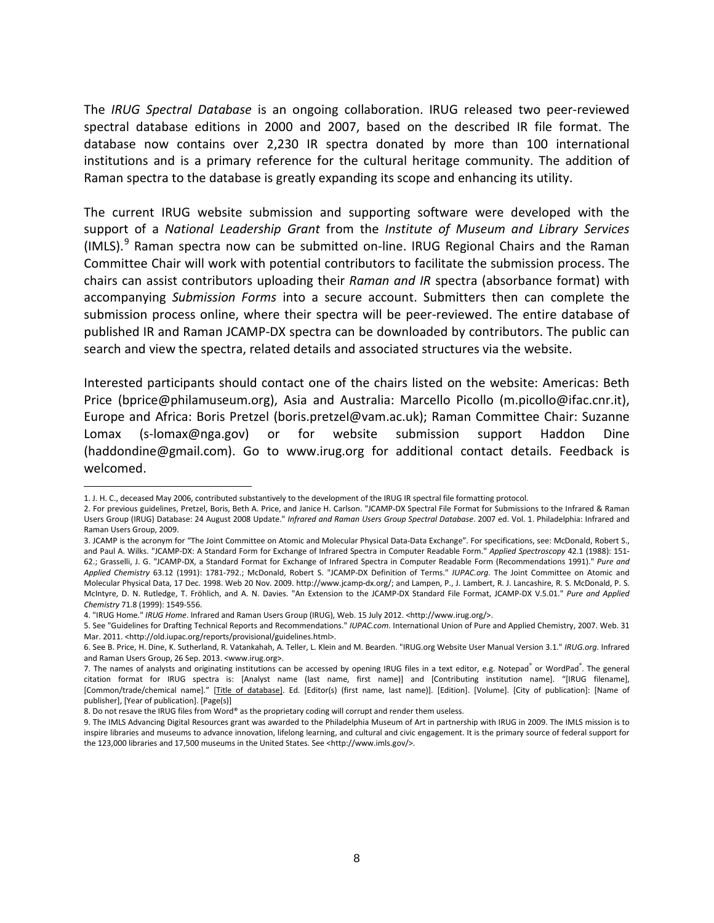The *IRUG Spectral Database* is an ongoing collaboration. IRUG released two peer-reviewed spectral database editions in 2000 and 2007, based on the described IR file format. The database now contains over 2,230 IR spectra donated by more than 100 international institutions and is a primary reference for the cultural heritage community. The addition of Raman spectra to the database is greatly expanding its scope and enhancing its utility.

The current IRUG website submission and supporting software were developed with the support of a *National Leadership Grant* from the *Institute of Museum and Library Services* (IMLS).<sup>[9](#page-7-8)</sup> Raman spectra now can be submitted on-line. IRUG Regional Chairs and the Raman Committee Chair will work with potential contributors to facilitate the submission process. The chairs can assist contributors uploading their *Raman and IR* spectra (absorbance format) with accompanying *Submission Forms* into a secure account. Submitters then can complete the submission process online, where their spectra will be peer-reviewed. The entire database of published IR and Raman JCAMP-DX spectra can be downloaded by contributors. The public can search and view the spectra, related details and associated structures via the website.

Interested participants should contact one of the chairs listed on the website: Americas: Beth Price (bprice@philamuseum.org), Asia and Australia: Marcello Picollo (m.picollo@ifac.cnr.it), Europe and Africa: Boris Pretzel (boris.pretzel@vam.ac.uk); Raman Committee Chair: Suzanne Lomax [\(s-lomax@nga.gov\)](mailto:s-lomax@nga.gov) or for website submission support Haddon Dine (haddondine@gmail.com). Go to www.irug.org for additional contact details. Feedback is welcomed.

 $\overline{a}$ 1. J. H. C., deceased May 2006, contributed substantively to the development of the IRUG IR spectral file formatting protocol.

<span id="page-7-1"></span><span id="page-7-0"></span><sup>2.</sup> For previous guidelines, Pretzel, Boris, Beth A. Price, and Janice H. Carlson. "JCAMP-DX Spectral File Format for Submissions to the Infrared & Raman Users Group (IRUG) Database: 24 August 2008 Update." *Infrared and Raman Users Group Spectral Database*. 2007 ed. Vol. 1. Philadelphia: Infrared and Raman Users Group, 2009.

<span id="page-7-2"></span><sup>3.</sup> JCAMP is the acronym for "The Joint Committee on Atomic and Molecular Physical Data-Data Exchange". For specifications, see: McDonald, Robert S., and Paul A. Wilks. "JCAMP-DX: A Standard Form for Exchange of Infrared Spectra in Computer Readable Form." *Applied Spectroscopy* 42.1 (1988): 151- 62.; Grasselli, J. G. "JCAMP-DX, a Standard Format for Exchange of Infrared Spectra in Computer Readable Form (Recommendations 1991)." *Pure and Applied Chemistry* 63.12 (1991): 1781-792.; McDonald, Robert S. "JCAMP-DX Definition of Terms." *IUPAC.org*. The Joint Committee on Atomic and Molecular Physical Data, 17 Dec. 1998. Web 20 Nov. 2009[. http://www.jcamp-dx.org/;](http://www.jcamp-dx.org/) and Lampen, P., J. Lambert, R. J. Lancashire, R. S. McDonald, P. S. McIntyre, D. N. Rutledge, T. Fröhlich, and A. N. Davies. "An Extension to the JCAMP-DX Standard File Format, JCAMP-DX V.5.01." *Pure and Applied Chemistry* 71.8 (1999): 1549-556.

<sup>4. &</sup>quot;IRUG Home." *IRUG Home*. Infrared and Raman Users Group (IRUG), Web. 15 July 2012. <http://www.irug.org/>.

<span id="page-7-4"></span><span id="page-7-3"></span><sup>5.</sup> See "Guidelines for Drafting Technical Reports and Recommendations." *IUPAC.com*. International Union of Pure and Applied Chemistry, 2007. Web. 31 Mar. 2011. <http://old.iupac.org/reports/provisional/guidelines.html>.

<span id="page-7-5"></span><sup>6.</sup> See B. Price, H. Dine, K. Sutherland, R. Vatankahah, A. Teller, L. Klein and M. Bearden. "IRUG.org Website User Manual Version 3.1." *IRUG.org*. Infrared and Raman Users Group, 26 Sep. 2013. <www.irug.org>.

<span id="page-7-6"></span><sup>7.</sup> The names of analysts and originating institutions can be accessed by opening IRUG files in a text editor, e.g. Notepad $\degree$  or WordPad $\degree$ . The general citation format for IRUG spectra is: [Analyst name (last name, first name)] and [Contributing institution name]. "[IRUG filename], [Common/trade/chemical name]." [Title of database]. Ed. [Editor(s) (first name, last name)]. [Edition]. [Volume]. [City of publication]: [Name of publisher], [Year of publication]. [Page(s)]

<span id="page-7-7"></span><sup>8.</sup> Do not resave the IRUG files from Word® as the proprietary coding will corrupt and render them useless.

<span id="page-7-8"></span><sup>9.</sup> The IMLS Advancing Digital Resources grant was awarded to the Philadelphia Museum of Art in partnership with IRUG in 2009. The IMLS mission is to inspire libraries and museums to advance innovation, lifelong learning, and cultural and civic engagement. It is the primary source of federal support for the 123,000 libraries and 17,500 museums in the United States. See [<http://www.imls.gov/>](http://www.imls.gov/).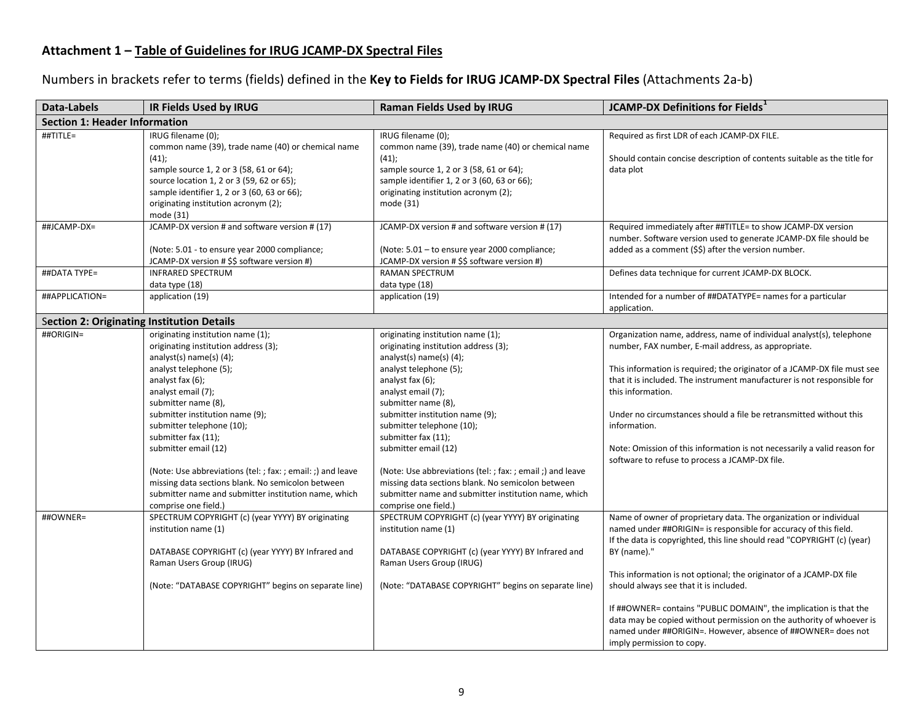## **Attachment 1 – Table of Guidelines for IRUG JCAMP-DX Spectral Files**

Numbers in brackets refer to terms (fields) defined in the **Key to Fields for IRUG JCAMP-DX Spectral Files** (Attachments 2a-b)

| <b>Data-Labels</b>                                | IR Fields Used by IRUG                                                                                                                                                                                                                                                                                                                                                                                                                                                                                             | <b>Raman Fields Used by IRUG</b>                                                                                                                                                                                                                                                                                                                                                                                                                                                                                     | <b>JCAMP-DX Definitions for Fields</b> <sup>1</sup>                                                                                                                                                                                                                                                                                                                                                                                                                                                                                                                                        |
|---------------------------------------------------|--------------------------------------------------------------------------------------------------------------------------------------------------------------------------------------------------------------------------------------------------------------------------------------------------------------------------------------------------------------------------------------------------------------------------------------------------------------------------------------------------------------------|----------------------------------------------------------------------------------------------------------------------------------------------------------------------------------------------------------------------------------------------------------------------------------------------------------------------------------------------------------------------------------------------------------------------------------------------------------------------------------------------------------------------|--------------------------------------------------------------------------------------------------------------------------------------------------------------------------------------------------------------------------------------------------------------------------------------------------------------------------------------------------------------------------------------------------------------------------------------------------------------------------------------------------------------------------------------------------------------------------------------------|
| <b>Section 1: Header Information</b>              |                                                                                                                                                                                                                                                                                                                                                                                                                                                                                                                    |                                                                                                                                                                                                                                                                                                                                                                                                                                                                                                                      |                                                                                                                                                                                                                                                                                                                                                                                                                                                                                                                                                                                            |
| ##TITLE=                                          | IRUG filename (0);<br>common name (39), trade name (40) or chemical name<br>(41);<br>sample source 1, 2 or 3 (58, 61 or 64);<br>source location 1, 2 or 3 (59, 62 or 65);<br>sample identifier 1, 2 or 3 (60, 63 or 66);<br>originating institution acronym (2);<br>mode (31)                                                                                                                                                                                                                                      | IRUG filename (0);<br>common name (39), trade name (40) or chemical name<br>(41);<br>sample source 1, 2 or 3 (58, 61 or 64);<br>sample identifier 1, 2 or 3 (60, 63 or 66);<br>originating institution acronym (2);<br>mode (31)                                                                                                                                                                                                                                                                                     | Required as first LDR of each JCAMP-DX FILE.<br>Should contain concise description of contents suitable as the title for<br>data plot                                                                                                                                                                                                                                                                                                                                                                                                                                                      |
| ##JCAMP-DX=                                       | JCAMP-DX version # and software version # (17)<br>(Note: 5.01 - to ensure year 2000 compliance;<br>JCAMP-DX version # \$\$ software version #)                                                                                                                                                                                                                                                                                                                                                                     | JCAMP-DX version # and software version # (17)<br>(Note: 5.01 - to ensure year 2000 compliance;<br>JCAMP-DX version # \$\$ software version #)                                                                                                                                                                                                                                                                                                                                                                       | Required immediately after ##TITLE= to show JCAMP-DX version<br>number. Software version used to generate JCAMP-DX file should be<br>added as a comment (\$\$) after the version number.                                                                                                                                                                                                                                                                                                                                                                                                   |
| ##DATA TYPE=                                      | <b>INFRARED SPECTRUM</b><br>data type (18)                                                                                                                                                                                                                                                                                                                                                                                                                                                                         | RAMAN SPECTRUM<br>data type (18)                                                                                                                                                                                                                                                                                                                                                                                                                                                                                     | Defines data technique for current JCAMP-DX BLOCK.                                                                                                                                                                                                                                                                                                                                                                                                                                                                                                                                         |
| ##APPLICATION=                                    | application (19)                                                                                                                                                                                                                                                                                                                                                                                                                                                                                                   | application (19)                                                                                                                                                                                                                                                                                                                                                                                                                                                                                                     | Intended for a number of ##DATATYPE= names for a particular<br>application.                                                                                                                                                                                                                                                                                                                                                                                                                                                                                                                |
| <b>Section 2: Originating Institution Details</b> |                                                                                                                                                                                                                                                                                                                                                                                                                                                                                                                    |                                                                                                                                                                                                                                                                                                                                                                                                                                                                                                                      |                                                                                                                                                                                                                                                                                                                                                                                                                                                                                                                                                                                            |
| ##ORIGIN=                                         | originating institution name (1);<br>originating institution address (3);<br>analyst(s) name(s) (4);<br>analyst telephone (5);<br>analyst fax (6);<br>analyst email (7);<br>submitter name (8),<br>submitter institution name (9);<br>submitter telephone (10);<br>submitter fax (11);<br>submitter email (12)<br>(Note: Use abbreviations (tel: ; fax: ; email: ;) and leave<br>missing data sections blank. No semicolon between<br>submitter name and submitter institution name, which<br>comprise one field.) | originating institution name (1);<br>originating institution address (3);<br>analyst(s) name(s) $(4)$ ;<br>analyst telephone (5);<br>analyst fax (6);<br>analyst email (7);<br>submitter name (8),<br>submitter institution name (9);<br>submitter telephone (10);<br>submitter fax (11);<br>submitter email (12)<br>(Note: Use abbreviations (tel: ; fax: ; email ;) and leave<br>missing data sections blank. No semicolon between<br>submitter name and submitter institution name, which<br>comprise one field.) | Organization name, address, name of individual analyst(s), telephone<br>number, FAX number, E-mail address, as appropriate.<br>This information is required; the originator of a JCAMP-DX file must see<br>that it is included. The instrument manufacturer is not responsible for<br>this information.<br>Under no circumstances should a file be retransmitted without this<br>information.<br>Note: Omission of this information is not necessarily a valid reason for<br>software to refuse to process a JCAMP-DX file.                                                                |
| ##OWNER=                                          | SPECTRUM COPYRIGHT (c) (year YYYY) BY originating<br>institution name (1)<br>DATABASE COPYRIGHT (c) (year YYYY) BY Infrared and<br>Raman Users Group (IRUG)<br>(Note: "DATABASE COPYRIGHT" begins on separate line)                                                                                                                                                                                                                                                                                                | SPECTRUM COPYRIGHT (c) (year YYYY) BY originating<br>institution name (1)<br>DATABASE COPYRIGHT (c) (year YYYY) BY Infrared and<br>Raman Users Group (IRUG)<br>(Note: "DATABASE COPYRIGHT" begins on separate line)                                                                                                                                                                                                                                                                                                  | Name of owner of proprietary data. The organization or individual<br>named under ##ORIGIN= is responsible for accuracy of this field.<br>If the data is copyrighted, this line should read "COPYRIGHT (c) (year)<br>BY (name)."<br>This information is not optional; the originator of a JCAMP-DX file<br>should always see that it is included.<br>If ##OWNER= contains "PUBLIC DOMAIN", the implication is that the<br>data may be copied without permission on the authority of whoever is<br>named under ##ORIGIN=. However, absence of ##OWNER= does not<br>imply permission to copy. |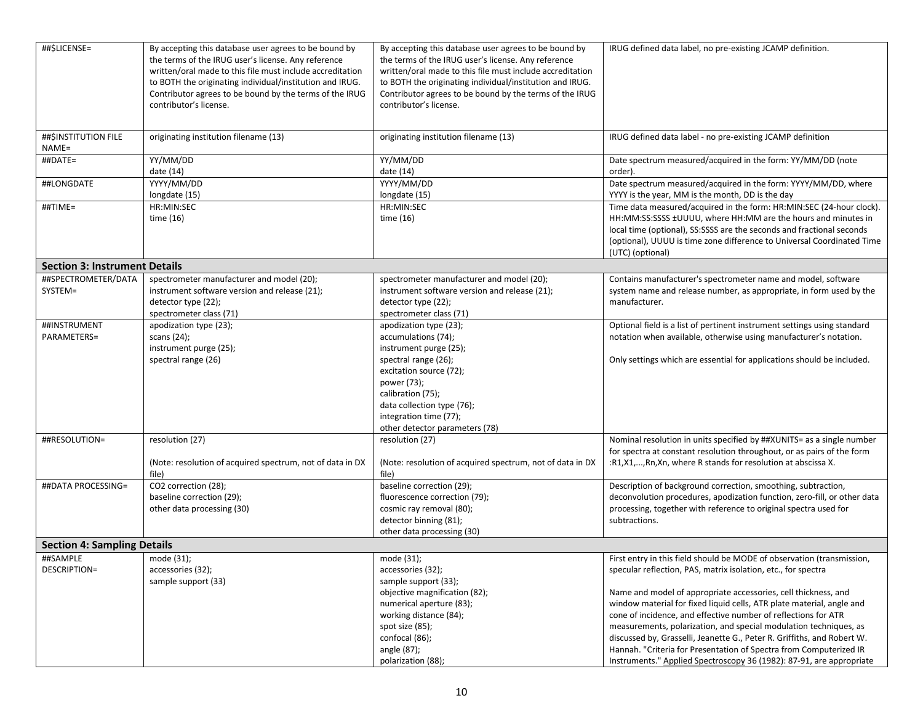| ##\$LICENSE=                         | By accepting this database user agrees to be bound by<br>the terms of the IRUG user's license. Any reference<br>written/oral made to this file must include accreditation<br>to BOTH the originating individual/institution and IRUG.<br>Contributor agrees to be bound by the terms of the IRUG<br>contributor's license. | By accepting this database user agrees to be bound by<br>the terms of the IRUG user's license. Any reference<br>written/oral made to this file must include accreditation<br>to BOTH the originating individual/institution and IRUG.<br>Contributor agrees to be bound by the terms of the IRUG<br>contributor's license. | IRUG defined data label, no pre-existing JCAMP definition.                                                                                                                                                                                                                                                                                                                                                                                                                                                                                                                                                                                         |
|--------------------------------------|----------------------------------------------------------------------------------------------------------------------------------------------------------------------------------------------------------------------------------------------------------------------------------------------------------------------------|----------------------------------------------------------------------------------------------------------------------------------------------------------------------------------------------------------------------------------------------------------------------------------------------------------------------------|----------------------------------------------------------------------------------------------------------------------------------------------------------------------------------------------------------------------------------------------------------------------------------------------------------------------------------------------------------------------------------------------------------------------------------------------------------------------------------------------------------------------------------------------------------------------------------------------------------------------------------------------------|
| ##\$INSTITUTION FILE<br>NAME=        | originating institution filename (13)                                                                                                                                                                                                                                                                                      | originating institution filename (13)                                                                                                                                                                                                                                                                                      | IRUG defined data label - no pre-existing JCAMP definition                                                                                                                                                                                                                                                                                                                                                                                                                                                                                                                                                                                         |
| ##DATE=                              | YY/MM/DD<br>date (14)                                                                                                                                                                                                                                                                                                      | YY/MM/DD<br>date (14)                                                                                                                                                                                                                                                                                                      | Date spectrum measured/acquired in the form: YY/MM/DD (note<br>order).                                                                                                                                                                                                                                                                                                                                                                                                                                                                                                                                                                             |
| ##LONGDATE                           | YYYY/MM/DD<br>longdate (15)                                                                                                                                                                                                                                                                                                | YYYY/MM/DD<br>longdate (15)                                                                                                                                                                                                                                                                                                | Date spectrum measured/acquired in the form: YYYY/MM/DD, where<br>YYYY is the year, MM is the month, DD is the day                                                                                                                                                                                                                                                                                                                                                                                                                                                                                                                                 |
| ##TIME=                              | HR:MIN:SEC<br>time $(16)$                                                                                                                                                                                                                                                                                                  | HR:MIN:SEC<br>time $(16)$                                                                                                                                                                                                                                                                                                  | Time data measured/acquired in the form: HR:MIN:SEC (24-hour clock).<br>HH:MM:SS:SSSS ±UUUU, where HH:MM are the hours and minutes in<br>local time (optional), SS:SSSS are the seconds and fractional seconds<br>(optional), UUUU is time zone difference to Universal Coordinated Time<br>(UTC) (optional)                                                                                                                                                                                                                                                                                                                                       |
| <b>Section 3: Instrument Details</b> |                                                                                                                                                                                                                                                                                                                            |                                                                                                                                                                                                                                                                                                                            |                                                                                                                                                                                                                                                                                                                                                                                                                                                                                                                                                                                                                                                    |
| ##SPECTROMETER/DATA<br>SYSTEM=       | spectrometer manufacturer and model (20);<br>instrument software version and release (21);<br>detector type (22);<br>spectrometer class (71)                                                                                                                                                                               | spectrometer manufacturer and model (20);<br>instrument software version and release (21);<br>detector type (22);<br>spectrometer class (71)                                                                                                                                                                               | Contains manufacturer's spectrometer name and model, software<br>system name and release number, as appropriate, in form used by the<br>manufacturer.                                                                                                                                                                                                                                                                                                                                                                                                                                                                                              |
| ##INSTRUMENT<br>PARAMETERS=          | apodization type (23);<br>scans $(24)$ ;<br>instrument purge (25);<br>spectral range (26)                                                                                                                                                                                                                                  | apodization type (23);<br>accumulations (74);<br>instrument purge (25);<br>spectral range (26);<br>excitation source (72);<br>power (73);<br>calibration (75);<br>data collection type (76);<br>integration time (77);<br>other detector parameters (78)                                                                   | Optional field is a list of pertinent instrument settings using standard<br>notation when available, otherwise using manufacturer's notation.<br>Only settings which are essential for applications should be included.                                                                                                                                                                                                                                                                                                                                                                                                                            |
| ##RESOLUTION=                        | resolution (27)<br>(Note: resolution of acquired spectrum, not of data in DX<br>file)                                                                                                                                                                                                                                      | resolution (27)<br>(Note: resolution of acquired spectrum, not of data in DX<br>file)                                                                                                                                                                                                                                      | Nominal resolution in units specified by ##XUNITS= as a single number<br>for spectra at constant resolution throughout, or as pairs of the form<br>:R1,X1,,Rn,Xn, where R stands for resolution at abscissa X.                                                                                                                                                                                                                                                                                                                                                                                                                                     |
| ##DATA PROCESSING=                   | CO2 correction (28);<br>baseline correction (29);<br>other data processing (30)                                                                                                                                                                                                                                            | baseline correction (29);<br>fluorescence correction (79);<br>cosmic ray removal (80);<br>detector binning (81);<br>other data processing (30)                                                                                                                                                                             | Description of background correction, smoothing, subtraction,<br>deconvolution procedures, apodization function, zero-fill, or other data<br>processing, together with reference to original spectra used for<br>subtractions.                                                                                                                                                                                                                                                                                                                                                                                                                     |
| <b>Section 4: Sampling Details</b>   |                                                                                                                                                                                                                                                                                                                            |                                                                                                                                                                                                                                                                                                                            |                                                                                                                                                                                                                                                                                                                                                                                                                                                                                                                                                                                                                                                    |
| ##SAMPLE<br>DESCRIPTION=             | mode (31);<br>accessories (32);<br>sample support (33)                                                                                                                                                                                                                                                                     | mode (31);<br>accessories (32);<br>sample support (33);<br>objective magnification (82);<br>numerical aperture (83);<br>working distance (84);<br>spot size (85);<br>confocal (86);<br>angle (87);<br>polarization (88);                                                                                                   | First entry in this field should be MODE of observation (transmission,<br>specular reflection, PAS, matrix isolation, etc., for spectra<br>Name and model of appropriate accessories, cell thickness, and<br>window material for fixed liquid cells, ATR plate material, angle and<br>cone of incidence, and effective number of reflections for ATR<br>measurements, polarization, and special modulation techniques, as<br>discussed by, Grasselli, Jeanette G., Peter R. Griffiths, and Robert W.<br>Hannah. "Criteria for Presentation of Spectra from Computerized IR<br>Instruments." Applied Spectroscopy 36 (1982): 87-91, are appropriate |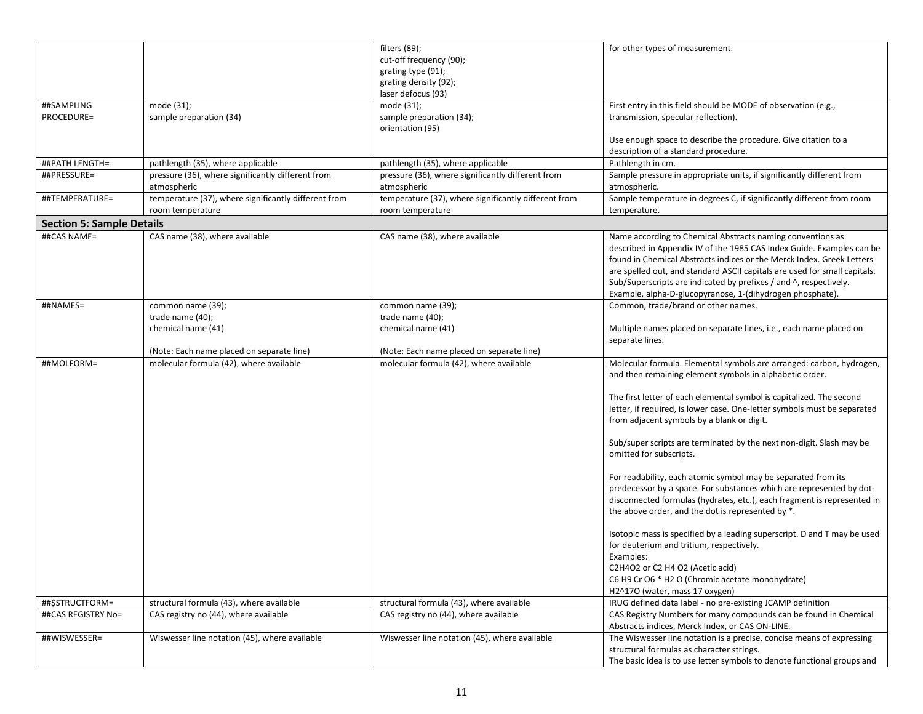|                                  |                                                      | $\overline{fil}$ ters (89);                          | for other types of measurement.                                           |
|----------------------------------|------------------------------------------------------|------------------------------------------------------|---------------------------------------------------------------------------|
|                                  |                                                      | cut-off frequency (90);                              |                                                                           |
|                                  |                                                      | grating type (91);                                   |                                                                           |
|                                  |                                                      | grating density (92);                                |                                                                           |
|                                  |                                                      |                                                      |                                                                           |
|                                  |                                                      | laser defocus (93)                                   |                                                                           |
| ##SAMPLING                       | mode (31);                                           | mode (31);                                           | First entry in this field should be MODE of observation (e.g.,            |
| PROCEDURE=                       | sample preparation (34)                              | sample preparation (34);                             | transmission, specular reflection).                                       |
|                                  |                                                      | orientation (95)                                     |                                                                           |
|                                  |                                                      |                                                      | Use enough space to describe the procedure. Give citation to a            |
|                                  |                                                      |                                                      | description of a standard procedure.                                      |
| ##PATH LENGTH=                   | pathlength (35), where applicable                    | pathlength (35), where applicable                    | Pathlength in cm.                                                         |
| ##PRESSURE=                      | pressure (36), where significantly different from    | pressure (36), where significantly different from    | Sample pressure in appropriate units, if significantly different from     |
|                                  | atmospheric                                          | atmospheric                                          | atmospheric.                                                              |
| ##TEMPERATURE=                   | temperature (37), where significantly different from | temperature (37), where significantly different from | Sample temperature in degrees C, if significantly different from room     |
|                                  | room temperature                                     | room temperature                                     | temperature.                                                              |
| <b>Section 5: Sample Details</b> |                                                      |                                                      |                                                                           |
|                                  |                                                      |                                                      |                                                                           |
| ##CAS NAME=                      | CAS name (38), where available                       | CAS name (38), where available                       | Name according to Chemical Abstracts naming conventions as                |
|                                  |                                                      |                                                      | described in Appendix IV of the 1985 CAS Index Guide. Examples can be     |
|                                  |                                                      |                                                      | found in Chemical Abstracts indices or the Merck Index. Greek Letters     |
|                                  |                                                      |                                                      | are spelled out, and standard ASCII capitals are used for small capitals. |
|                                  |                                                      |                                                      | Sub/Superscripts are indicated by prefixes / and ^, respectively.         |
|                                  |                                                      |                                                      | Example, alpha-D-glucopyranose, 1-(dihydrogen phosphate).                 |
| ##NAMES=                         | common name (39);                                    | common name (39);                                    | Common, trade/brand or other names.                                       |
|                                  | trade name (40);                                     | trade name (40);                                     |                                                                           |
|                                  | chemical name (41)                                   | chemical name (41)                                   | Multiple names placed on separate lines, i.e., each name placed on        |
|                                  |                                                      |                                                      | separate lines.                                                           |
|                                  | (Note: Each name placed on separate line)            | (Note: Each name placed on separate line)            |                                                                           |
| ##MOLFORM=                       | molecular formula (42), where available              | molecular formula (42), where available              | Molecular formula. Elemental symbols are arranged: carbon, hydrogen,      |
|                                  |                                                      |                                                      | and then remaining element symbols in alphabetic order.                   |
|                                  |                                                      |                                                      |                                                                           |
|                                  |                                                      |                                                      | The first letter of each elemental symbol is capitalized. The second      |
|                                  |                                                      |                                                      | letter, if required, is lower case. One-letter symbols must be separated  |
|                                  |                                                      |                                                      | from adjacent symbols by a blank or digit.                                |
|                                  |                                                      |                                                      |                                                                           |
|                                  |                                                      |                                                      | Sub/super scripts are terminated by the next non-digit. Slash may be      |
|                                  |                                                      |                                                      |                                                                           |
|                                  |                                                      |                                                      | omitted for subscripts.                                                   |
|                                  |                                                      |                                                      |                                                                           |
|                                  |                                                      |                                                      | For readability, each atomic symbol may be separated from its             |
|                                  |                                                      |                                                      | predecessor by a space. For substances which are represented by dot-      |
|                                  |                                                      |                                                      | disconnected formulas (hydrates, etc.), each fragment is represented in   |
|                                  |                                                      |                                                      | the above order, and the dot is represented by *.                         |
|                                  |                                                      |                                                      |                                                                           |
|                                  |                                                      |                                                      | Isotopic mass is specified by a leading superscript. D and T may be used  |
|                                  |                                                      |                                                      | for deuterium and tritium, respectively.                                  |
|                                  |                                                      |                                                      | Examples:                                                                 |
|                                  |                                                      |                                                      | C2H4O2 or C2 H4 O2 (Acetic acid)                                          |
|                                  |                                                      |                                                      | C6 H9 Cr O6 * H2 O (Chromic acetate monohydrate)                          |
|                                  |                                                      |                                                      | H2^17O (water, mass 17 oxygen)                                            |
| ##\$STRUCTFORM=                  | structural formula (43), where available             | structural formula (43), where available             | IRUG defined data label - no pre-existing JCAMP definition                |
| ##CAS REGISTRY No=               | CAS registry no (44), where available                | CAS registry no (44), where available                | CAS Registry Numbers for many compounds can be found in Chemical          |
|                                  |                                                      |                                                      | Abstracts indices, Merck Index, or CAS ON-LINE.                           |
| ##WISWESSER=                     | Wiswesser line notation (45), where available        | Wiswesser line notation (45), where available        | The Wiswesser line notation is a precise, concise means of expressing     |
|                                  |                                                      |                                                      | structural formulas as character strings.                                 |
|                                  |                                                      |                                                      |                                                                           |
|                                  |                                                      |                                                      | The basic idea is to use letter symbols to denote functional groups and   |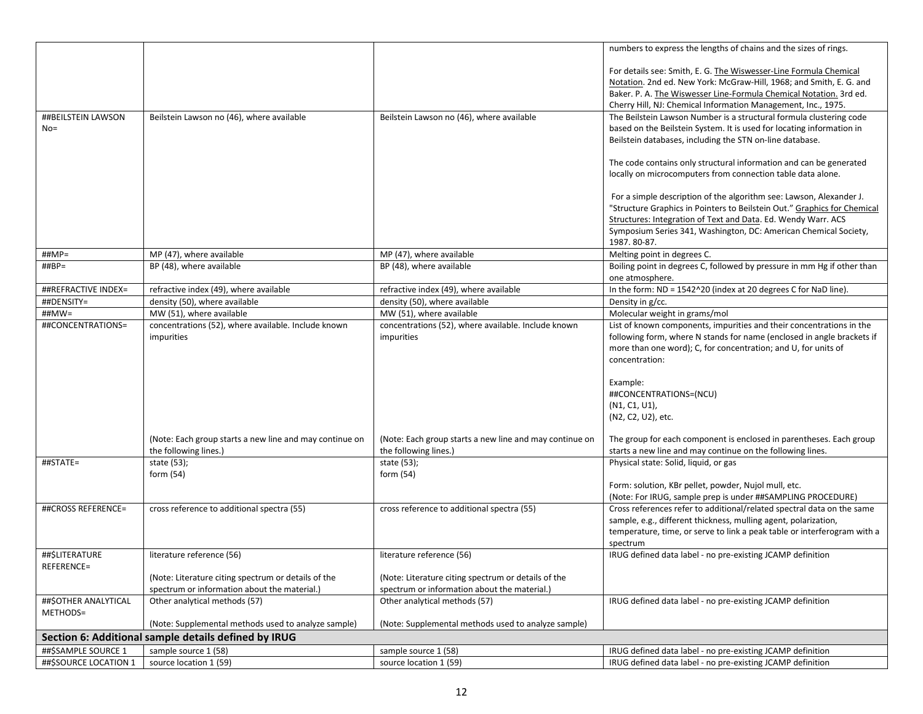|                       |                                                         |                                                         | numbers to express the lengths of chains and the sizes of rings.         |
|-----------------------|---------------------------------------------------------|---------------------------------------------------------|--------------------------------------------------------------------------|
|                       |                                                         |                                                         |                                                                          |
|                       |                                                         |                                                         | For details see: Smith, E. G. The Wiswesser-Line Formula Chemical        |
|                       |                                                         |                                                         | Notation. 2nd ed. New York: McGraw-Hill, 1968; and Smith, E. G. and      |
|                       |                                                         |                                                         | Baker. P. A. The Wiswesser Line-Formula Chemical Notation. 3rd ed.       |
|                       |                                                         |                                                         | Cherry Hill, NJ: Chemical Information Management, Inc., 1975.            |
| ##BEILSTEIN LAWSON    | Beilstein Lawson no (46), where available               | Beilstein Lawson no (46), where available               | The Beilstein Lawson Number is a structural formula clustering code      |
| $No =$                |                                                         |                                                         | based on the Beilstein System. It is used for locating information in    |
|                       |                                                         |                                                         | Beilstein databases, including the STN on-line database.                 |
|                       |                                                         |                                                         | The code contains only structural information and can be generated       |
|                       |                                                         |                                                         | locally on microcomputers from connection table data alone.              |
|                       |                                                         |                                                         |                                                                          |
|                       |                                                         |                                                         | For a simple description of the algorithm see: Lawson, Alexander J.      |
|                       |                                                         |                                                         | "Structure Graphics in Pointers to Beilstein Out." Graphics for Chemical |
|                       |                                                         |                                                         | Structures: Integration of Text and Data. Ed. Wendy Warr. ACS            |
|                       |                                                         |                                                         | Symposium Series 341, Washington, DC: American Chemical Society,         |
|                       |                                                         |                                                         | 1987. 80-87.                                                             |
| ##MP=                 | MP (47), where available                                | MP (47), where available                                | Melting point in degrees C.                                              |
| $\# \# BP =$          | BP (48), where available                                | BP (48), where available                                | Boiling point in degrees C, followed by pressure in mm Hg if other than  |
|                       |                                                         |                                                         | one atmosphere.                                                          |
| ##REFRACTIVE INDEX=   | refractive index (49), where available                  | refractive index (49), where available                  | In the form: ND = 1542^20 (index at 20 degrees C for NaD line).          |
| ##DENSITY=            | density (50), where available                           | density (50), where available                           | Density in g/cc.                                                         |
| $\#H$ MW=             | MW (51), where available                                | MW (51), where available                                | Molecular weight in grams/mol                                            |
| ##CONCENTRATIONS=     | concentrations (52), where available. Include known     | concentrations (52), where available. Include known     | List of known components, impurities and their concentrations in the     |
|                       | impurities                                              | impurities                                              | following form, where N stands for name (enclosed in angle brackets if   |
|                       |                                                         |                                                         | more than one word); C, for concentration; and U, for units of           |
|                       |                                                         |                                                         | concentration:                                                           |
|                       |                                                         |                                                         |                                                                          |
|                       |                                                         |                                                         | Example:                                                                 |
|                       |                                                         |                                                         | ##CONCENTRATIONS=(NCU)                                                   |
|                       |                                                         |                                                         | (N1, C1, U1),                                                            |
|                       |                                                         |                                                         | (N2, C2, U2), etc.                                                       |
|                       |                                                         |                                                         |                                                                          |
|                       | (Note: Each group starts a new line and may continue on | (Note: Each group starts a new line and may continue on | The group for each component is enclosed in parentheses. Each group      |
|                       | the following lines.)                                   | the following lines.)                                   | starts a new line and may continue on the following lines.               |
| ##STATE=              | state (53);                                             | state (53);                                             | Physical state: Solid, liquid, or gas                                    |
|                       | form $(54)$                                             | form (54)                                               | Form: solution, KBr pellet, powder, Nujol mull, etc.                     |
|                       |                                                         |                                                         | (Note: For IRUG, sample prep is under ##SAMPLING PROCEDURE)              |
| ##CROSS REFERENCE=    | cross reference to additional spectra (55)              | cross reference to additional spectra (55)              | Cross references refer to additional/related spectral data on the same   |
|                       |                                                         |                                                         | sample, e.g., different thickness, mulling agent, polarization,          |
|                       |                                                         |                                                         | temperature, time, or serve to link a peak table or interferogram with a |
|                       |                                                         |                                                         | spectrum                                                                 |
| ##\$LITERATURE        | literature reference (56)                               | literature reference (56)                               | IRUG defined data label - no pre-existing JCAMP definition               |
| REFERENCE=            |                                                         |                                                         |                                                                          |
|                       | (Note: Literature citing spectrum or details of the     | (Note: Literature citing spectrum or details of the     |                                                                          |
|                       | spectrum or information about the material.)            | spectrum or information about the material.)            |                                                                          |
| ##\$OTHER ANALYTICAL  | Other analytical methods (57)                           | Other analytical methods (57)                           | IRUG defined data label - no pre-existing JCAMP definition               |
| METHODS=              |                                                         |                                                         |                                                                          |
|                       | (Note: Supplemental methods used to analyze sample)     | (Note: Supplemental methods used to analyze sample)     |                                                                          |
|                       | Section 6: Additional sample details defined by IRUG    |                                                         |                                                                          |
| ##\$SAMPLE SOURCE 1   | sample source 1 (58)                                    | sample source 1 (58)                                    | IRUG defined data label - no pre-existing JCAMP definition               |
| ##\$SOURCE LOCATION 1 | source location 1 (59)                                  | source location 1 (59)                                  | IRUG defined data label - no pre-existing JCAMP definition               |
|                       |                                                         |                                                         |                                                                          |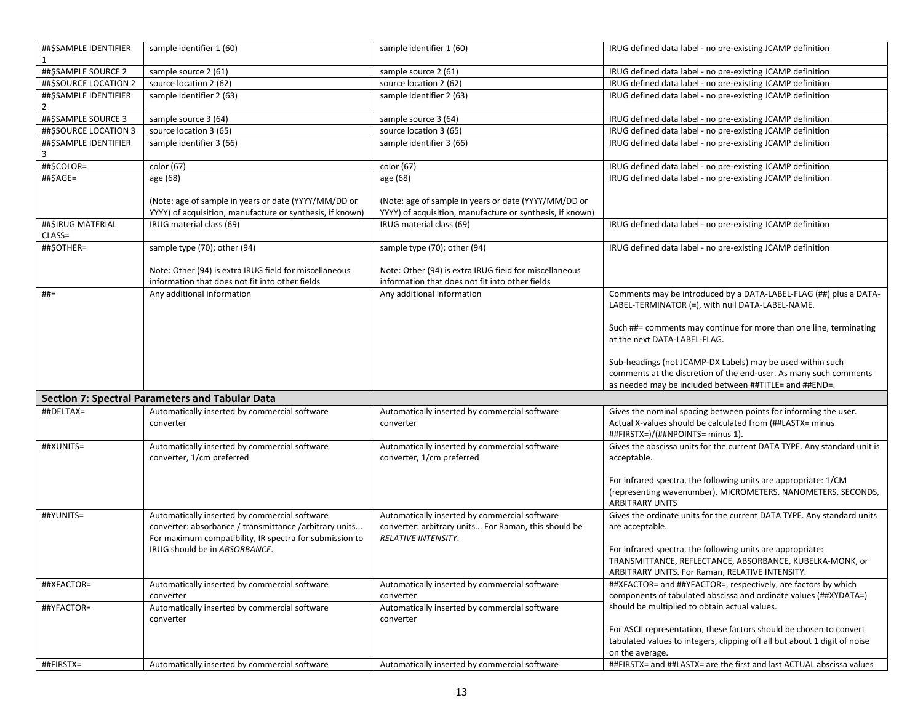| ##\$SAMPLE IDENTIFIER |                                                           |                                                           |                                                                           |
|-----------------------|-----------------------------------------------------------|-----------------------------------------------------------|---------------------------------------------------------------------------|
|                       | sample identifier 1 (60)                                  | sample identifier 1 (60)                                  | IRUG defined data label - no pre-existing JCAMP definition                |
| ##\$SAMPLE SOURCE 2   | sample source 2 (61)                                      | sample source 2 (61)                                      | IRUG defined data label - no pre-existing JCAMP definition                |
| ##\$SOURCE LOCATION 2 | source location 2 (62)                                    | source location 2 (62)                                    | IRUG defined data label - no pre-existing JCAMP definition                |
| ##\$SAMPLE IDENTIFIER | sample identifier 2 (63)                                  | sample identifier 2 (63)                                  | IRUG defined data label - no pre-existing JCAMP definition                |
|                       |                                                           |                                                           |                                                                           |
| ##\$SAMPLE SOURCE 3   | sample source 3 (64)                                      | sample source 3 (64)                                      | IRUG defined data label - no pre-existing JCAMP definition                |
| ##\$SOURCE LOCATION 3 | source location 3 (65)                                    | source location 3 (65)                                    | IRUG defined data label - no pre-existing JCAMP definition                |
| ##\$SAMPLE IDENTIFIER | sample identifier 3 (66)                                  | sample identifier 3 (66)                                  | IRUG defined data label - no pre-existing JCAMP definition                |
| 3                     |                                                           |                                                           |                                                                           |
| ##\$COLOR=            | color (67)                                                | color (67)                                                | IRUG defined data label - no pre-existing JCAMP definition                |
| ##\$AGE=              | age (68)                                                  | age (68)                                                  | IRUG defined data label - no pre-existing JCAMP definition                |
|                       |                                                           |                                                           |                                                                           |
|                       | (Note: age of sample in years or date (YYYY/MM/DD or      | (Note: age of sample in years or date (YYYY/MM/DD or      |                                                                           |
|                       | YYYY) of acquisition, manufacture or synthesis, if known) | YYYY) of acquisition, manufacture or synthesis, if known) |                                                                           |
| ##\$IRUG MATERIAL     | IRUG material class (69)                                  | IRUG material class (69)                                  | IRUG defined data label - no pre-existing JCAMP definition                |
| $CLASS =$             |                                                           |                                                           |                                                                           |
| ##\$OTHER=            | sample type (70); other (94)                              | sample type (70); other (94)                              | IRUG defined data label - no pre-existing JCAMP definition                |
|                       |                                                           |                                                           |                                                                           |
|                       | Note: Other (94) is extra IRUG field for miscellaneous    | Note: Other (94) is extra IRUG field for miscellaneous    |                                                                           |
|                       | information that does not fit into other fields           | information that does not fit into other fields           |                                                                           |
| ##=                   | Any additional information                                | Any additional information                                | Comments may be introduced by a DATA-LABEL-FLAG (##) plus a DATA-         |
|                       |                                                           |                                                           | LABEL-TERMINATOR (=), with null DATA-LABEL-NAME.                          |
|                       |                                                           |                                                           | Such ##= comments may continue for more than one line, terminating        |
|                       |                                                           |                                                           | at the next DATA-LABEL-FLAG.                                              |
|                       |                                                           |                                                           |                                                                           |
|                       |                                                           |                                                           | Sub-headings (not JCAMP-DX Labels) may be used within such                |
|                       |                                                           |                                                           | comments at the discretion of the end-user. As many such comments         |
|                       |                                                           |                                                           | as needed may be included between ##TITLE= and ##END=.                    |
|                       | <b>Section 7: Spectral Parameters and Tabular Data</b>    |                                                           |                                                                           |
| ##DELTAX=             | Automatically inserted by commercial software             | Automatically inserted by commercial software             | Gives the nominal spacing between points for informing the user.          |
|                       | converter                                                 | converter                                                 | Actual X-values should be calculated from (##LASTX= minus                 |
|                       |                                                           |                                                           | ##FIRSTX=)/(##NPOINTS= minus 1).                                          |
| ##XUNITS=             | Automatically inserted by commercial software             | Automatically inserted by commercial software             | Gives the abscissa units for the current DATA TYPE. Any standard unit is  |
|                       | converter, 1/cm preferred                                 | converter, 1/cm preferred                                 | acceptable.                                                               |
|                       |                                                           |                                                           |                                                                           |
|                       |                                                           |                                                           | For infrared spectra, the following units are appropriate: 1/CM           |
|                       |                                                           |                                                           | (representing wavenumber), MICROMETERS, NANOMETERS, SECONDS,              |
|                       |                                                           |                                                           | <b>ARBITRARY UNITS</b>                                                    |
| ##YUNITS=             | Automatically inserted by commercial software             | Automatically inserted by commercial software             | Gives the ordinate units for the current DATA TYPE. Any standard units    |
|                       | converter: absorbance / transmittance / arbitrary units   | converter: arbitrary units For Raman, this should be      | are acceptable.                                                           |
|                       | For maximum compatibility, IR spectra for submission to   | RELATIVE INTENSITY.                                       |                                                                           |
|                       | IRUG should be in ABSORBANCE.                             |                                                           | For infrared spectra, the following units are appropriate:                |
|                       |                                                           |                                                           | TRANSMITTANCE, REFLECTANCE, ABSORBANCE, KUBELKA-MONK, or                  |
|                       |                                                           |                                                           | ARBITRARY UNITS. For Raman, RELATIVE INTENSITY.                           |
| ##XFACTOR=            | Automatically inserted by commercial software             | Automatically inserted by commercial software             | ##XFACTOR= and ##YFACTOR=, respectively, are factors by which             |
|                       | converter                                                 | converter                                                 | components of tabulated abscissa and ordinate values (##XYDATA=)          |
| ##YFACTOR=            | Automatically inserted by commercial software             | Automatically inserted by commercial software             | should be multiplied to obtain actual values.                             |
|                       | converter                                                 | converter                                                 |                                                                           |
|                       |                                                           |                                                           | For ASCII representation, these factors should be chosen to convert       |
|                       |                                                           |                                                           | tabulated values to integers, clipping off all but about 1 digit of noise |
|                       |                                                           |                                                           | on the average.                                                           |
| ##FIRSTX=             | Automatically inserted by commercial software             | Automatically inserted by commercial software             | ##FIRSTX= and ##LASTX= are the first and last ACTUAL abscissa values      |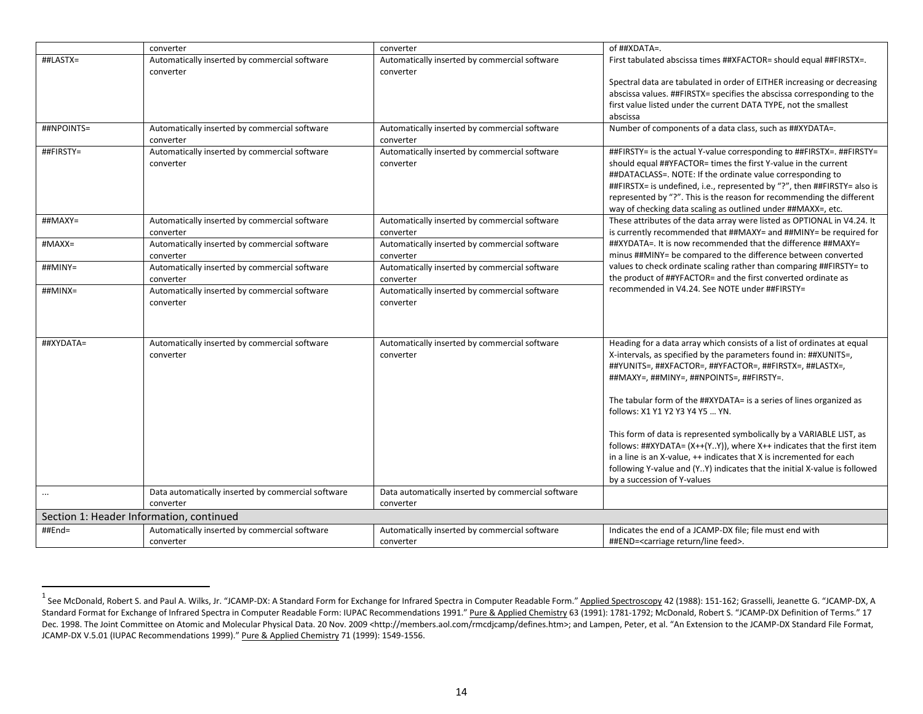<span id="page-13-0"></span>

|             | converter                                                  | converter                                                  | of ##XDATA=.                                                                                                                                                                                                                                                                                                                                                                                                                                                                                                                                                                                                                                                             |
|-------------|------------------------------------------------------------|------------------------------------------------------------|--------------------------------------------------------------------------------------------------------------------------------------------------------------------------------------------------------------------------------------------------------------------------------------------------------------------------------------------------------------------------------------------------------------------------------------------------------------------------------------------------------------------------------------------------------------------------------------------------------------------------------------------------------------------------|
| ##LASTX=    | Automatically inserted by commercial software<br>converter | Automatically inserted by commercial software<br>converter | First tabulated abscissa times ##XFACTOR= should equal ##FIRSTX=.<br>Spectral data are tabulated in order of EITHER increasing or decreasing<br>abscissa values. ##FIRSTX= specifies the abscissa corresponding to the<br>first value listed under the current DATA TYPE, not the smallest                                                                                                                                                                                                                                                                                                                                                                               |
|             |                                                            |                                                            | abscissa                                                                                                                                                                                                                                                                                                                                                                                                                                                                                                                                                                                                                                                                 |
| ##NPOINTS=  | Automatically inserted by commercial software<br>converter | Automatically inserted by commercial software<br>converter | Number of components of a data class, such as ##XYDATA=.                                                                                                                                                                                                                                                                                                                                                                                                                                                                                                                                                                                                                 |
| ##FIRSTY=   | Automatically inserted by commercial software<br>converter | Automatically inserted by commercial software<br>converter | ##FIRSTY= is the actual Y-value corresponding to ##FIRSTX=. ##FIRSTY=<br>should equal ##YFACTOR= times the first Y-value in the current<br>##DATACLASS=. NOTE: If the ordinate value corresponding to<br>##FIRSTX= is undefined, i.e., represented by "?", then ##FIRSTY= also is<br>represented by "?". This is the reason for recommending the different<br>way of checking data scaling as outlined under ##MAXX=, etc.                                                                                                                                                                                                                                               |
| $\#$ #MAXY= | Automatically inserted by commercial software<br>converter | Automatically inserted by commercial software<br>converter | These attributes of the data array were listed as OPTIONAL in V4.24. It<br>is currently recommended that ##MAXY= and ##MINY= be required for                                                                                                                                                                                                                                                                                                                                                                                                                                                                                                                             |
| #MAXX=      | Automatically inserted by commercial software<br>converter | Automatically inserted by commercial software<br>converter | ##XYDATA=. It is now recommended that the difference ##MAXY=<br>minus ##MINY= be compared to the difference between converted                                                                                                                                                                                                                                                                                                                                                                                                                                                                                                                                            |
| ##MINY=     | Automatically inserted by commercial software<br>converter | Automatically inserted by commercial software<br>converter | values to check ordinate scaling rather than comparing ##FIRSTY= to<br>the product of ##YFACTOR= and the first converted ordinate as                                                                                                                                                                                                                                                                                                                                                                                                                                                                                                                                     |
| ##MINX=     | Automatically inserted by commercial software<br>converter | Automatically inserted by commercial software<br>converter | recommended in V4.24. See NOTE under ##FIRSTY=                                                                                                                                                                                                                                                                                                                                                                                                                                                                                                                                                                                                                           |
| ##XYDATA=   | Automatically inserted by commercial software<br>converter | Automatically inserted by commercial software<br>converter | Heading for a data array which consists of a list of ordinates at equal<br>X-intervals, as specified by the parameters found in: ##XUNITS=,<br>##YUNITS=, ##XFACTOR=, ##YFACTOR=, ##FIRSTX=, ##LASTX=,<br>##MAXY=, ##MINY=, ##NPOINTS=, ##FIRSTY=.<br>The tabular form of the ##XYDATA= is a series of lines organized as<br>follows: X1 Y1 Y2 Y3 Y4 Y5  YN.<br>This form of data is represented symbolically by a VARIABLE LIST, as<br>follows: ##XYDATA= $(X++(Y.Y))$ , where $X++$ indicates that the first item<br>in a line is an X-value, ++ indicates that X is incremented for each<br>following Y-value and (YY) indicates that the initial X-value is followed |
|             | Data automatically inserted by commercial software         | Data automatically inserted by commercial software         | by a succession of Y-values                                                                                                                                                                                                                                                                                                                                                                                                                                                                                                                                                                                                                                              |
|             | converter                                                  | converter                                                  |                                                                                                                                                                                                                                                                                                                                                                                                                                                                                                                                                                                                                                                                          |
|             | Section 1: Header Information, continued                   |                                                            |                                                                                                                                                                                                                                                                                                                                                                                                                                                                                                                                                                                                                                                                          |
| ##End=      | Automatically inserted by commercial software<br>converter | Automatically inserted by commercial software<br>converter | Indicates the end of a JCAMP-DX file; file must end with<br>##END= <carriage feed="" line="" return="">.</carriage>                                                                                                                                                                                                                                                                                                                                                                                                                                                                                                                                                      |

<sup>&</sup>lt;sup>1</sup> See McDonald, Robert S. and Paul A. Wilks, Jr. "JCAMP-DX: A Standard Form for Exchange for Infrared Spectra in Computer Readable Form." Applied Spectroscopy 42 (1988): 151-162; Grasselli, Jeanette G. "JCAMP-DX, A Standard Format for Exchange of Infrared Spectra in Computer Readable Form: IUPAC Recommendations 1991." Pure & Applied Chemistry 63 (1991): 1781-1792; McDonald, Robert S. "JCAMP-DX Definition of Terms." 17 Dec. 1998. The Joint Committee on Atomic and Molecular Physical Data. 20 Nov. 2009 [<http://members.aol.com/rmcdjcamp/defines.htm>](http://members.aol.com/rmcdjcamp/defines.htm); and Lampen, Peter, et al. "An Extension to the JCAMP-DX Standard File Format, JCAMP-DX V.5.01 (IUPAC Recommendations 1999)." Pure & Applied Chemistry 71 (1999): 1549-1556.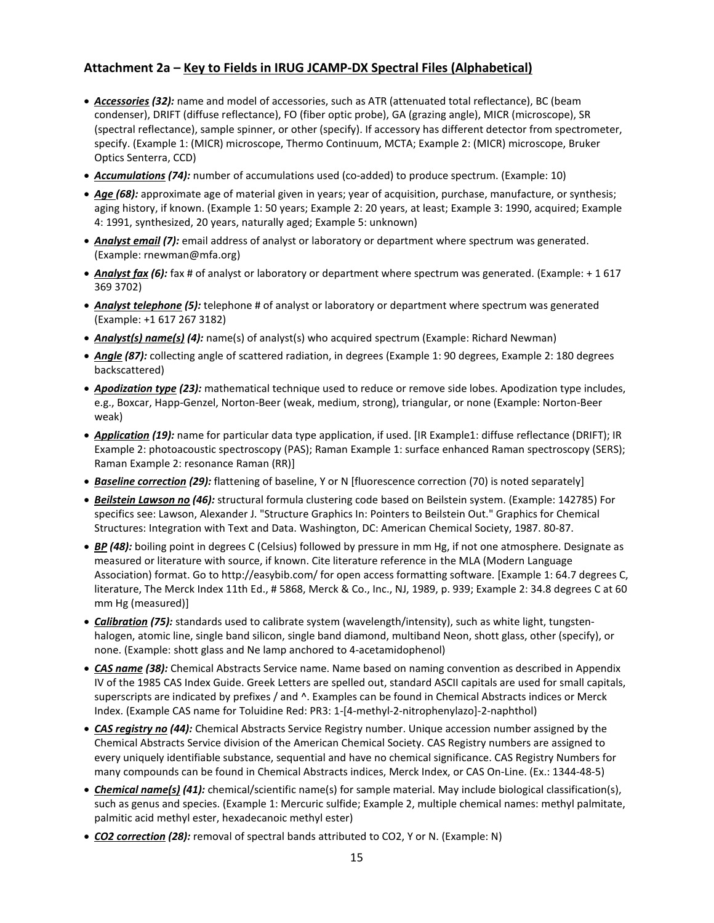## **Attachment 2a – Key to Fields in IRUG JCAMP-DX Spectral Files (Alphabetical)**

- *Accessories (32):* name and model of accessories, such as ATR (attenuated total reflectance), BC (beam condenser), DRIFT (diffuse reflectance), FO (fiber optic probe), GA (grazing angle), MICR (microscope), SR (spectral reflectance), sample spinner, or other (specify). If accessory has different detector from spectrometer, specify. (Example 1: (MICR) microscope, Thermo Continuum, MCTA; Example 2: (MICR) microscope, Bruker Optics Senterra, CCD)
- *Accumulations (74):* number of accumulations used (co-added) to produce spectrum. (Example: 10)
- *Age (68):* approximate age of material given in years; year of acquisition, purchase, manufacture, or synthesis; aging history, if known. (Example 1: 50 years; Example 2: 20 years, at least; Example 3: 1990, acquired; Example 4: 1991, synthesized, 20 years, naturally aged; Example 5: unknown)
- *Analyst email (7):* email address of analyst or laboratory or department where spectrum was generated. (Example: rnewman@mfa.org)
- *Analyst fax (6):* fax # of analyst or laboratory or department where spectrum was generated. (Example: + 1 617 369 3702)
- *Analyst telephone (5):* telephone # of analyst or laboratory or department where spectrum was generated (Example: +1 617 267 3182)
- *Analyst(s) name(s) (4):* name(s) of analyst(s) who acquired spectrum (Example: Richard Newman)
- *Angle (87):* collecting angle of scattered radiation, in degrees (Example 1: 90 degrees, Example 2: 180 degrees backscattered)
- *Apodization type (23):* mathematical technique used to reduce or remove side lobes. Apodization type includes, e.g., Boxcar, Happ-Genzel, Norton-Beer (weak, medium, strong), triangular, or none (Example: Norton-Beer weak)
- *Application (19):* name for particular data type application, if used. [IR Example1: diffuse reflectance (DRIFT); IR Example 2: photoacoustic spectroscopy (PAS); Raman Example 1: surface enhanced Raman spectroscopy (SERS); Raman Example 2: resonance Raman (RR)]
- *Baseline correction (29):* flattening of baseline, Y or N [fluorescence correction (70) is noted separately]
- *Beilstein Lawson no (46):* structural formula clustering code based on Beilstein system. (Example: 142785) For specifics see: Lawson, Alexander J. "Structure Graphics In: Pointers to Beilstein Out." Graphics for Chemical Structures: Integration with Text and Data. Washington, DC: American Chemical Society, 1987. 80-87.
- *BP (48):* boiling point in degrees C (Celsius) followed by pressure in mm Hg, if not one atmosphere. Designate as measured or literature with source, if known. Cite literature reference in the MLA (Modern Language Association) format. Go to http://easybib.com/ for open access formatting software. [Example 1: 64.7 degrees C, literature, The Merck Index 11th Ed., # 5868, Merck & Co., Inc., NJ, 1989, p. 939; Example 2: 34.8 degrees C at 60 mm Hg (measured)]
- *Calibration (75):* standards used to calibrate system (wavelength/intensity), such as white light, tungstenhalogen, atomic line, single band silicon, single band diamond, multiband Neon, shott glass, other (specify), or none. (Example: shott glass and Ne lamp anchored to 4-acetamidophenol)
- *CAS name (38):* Chemical Abstracts Service name. Name based on naming convention as described in Appendix IV of the 1985 CAS Index Guide. Greek Letters are spelled out, standard ASCII capitals are used for small capitals, superscripts are indicated by prefixes / and ^. Examples can be found in Chemical Abstracts indices or Merck Index. (Example CAS name for Toluidine Red: PR3: 1-[4-methyl-2-nitrophenylazo]-2-naphthol)
- *CAS registry no (44):* Chemical Abstracts Service Registry number. Unique accession number assigned by the Chemical Abstracts Service division of the American Chemical Society. CAS Registry numbers are assigned to every uniquely identifiable substance, sequential and have no chemical significance. CAS Registry Numbers for many compounds can be found in Chemical Abstracts indices, Merck Index, or CAS On-Line. (Ex.: 1344-48-5)
- *Chemical name(s) (41):* chemical/scientific name(s) for sample material. May include biological classification(s), such as genus and species. (Example 1: Mercuric sulfide; Example 2, multiple chemical names: methyl palmitate, palmitic acid methyl ester, hexadecanoic methyl ester)
- *CO2 correction (28):* removal of spectral bands attributed to CO2, Y or N. (Example: N)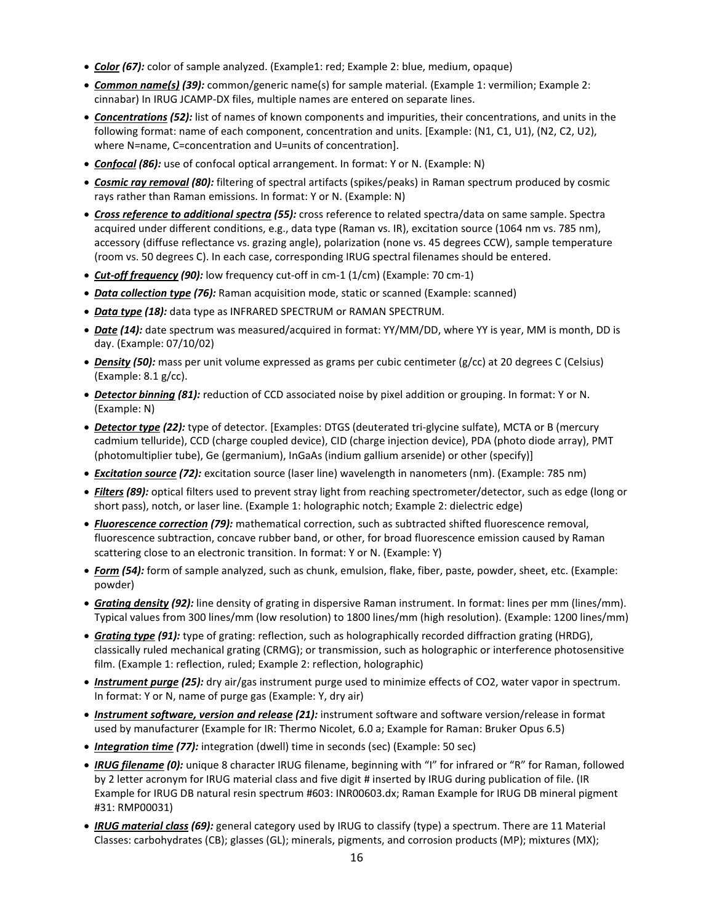- *Color (67):* color of sample analyzed. (Example1: red; Example 2: blue, medium, opaque)
- *Common name(s) (39):* common/generic name(s) for sample material. (Example 1: vermilion; Example 2: cinnabar) In IRUG JCAMP-DX files, multiple names are entered on separate lines.
- *Concentrations (52):* list of names of known components and impurities, their concentrations, and units in the following format: name of each component, concentration and units. [Example: (N1, C1, U1), (N2, C2, U2), where N=name, C=concentration and U=units of concentration].
- *Confocal (86):* use of confocal optical arrangement. In format: Y or N. (Example: N)
- *Cosmic ray removal (80):* filtering of spectral artifacts (spikes/peaks) in Raman spectrum produced by cosmic rays rather than Raman emissions. In format: Y or N. (Example: N)
- *Cross reference to additional spectra (55):* cross reference to related spectra/data on same sample. Spectra acquired under different conditions, e.g., data type (Raman vs. IR), excitation source (1064 nm vs. 785 nm), accessory (diffuse reflectance vs. grazing angle), polarization (none vs. 45 degrees CCW), sample temperature (room vs. 50 degrees C). In each case, corresponding IRUG spectral filenames should be entered.
- *Cut-off frequency (90):* low frequency cut-off in cm-1 (1/cm) (Example: 70 cm-1)
- *Data collection type (76):* Raman acquisition mode, static or scanned (Example: scanned)
- *Data type (18):* data type as INFRARED SPECTRUM or RAMAN SPECTRUM.
- *Date (14):* date spectrum was measured/acquired in format: YY/MM/DD, where YY is year, MM is month, DD is day. (Example: 07/10/02)
- *Density (50):* mass per unit volume expressed as grams per cubic centimeter (g/cc) at 20 degrees C (Celsius) (Example: 8.1 g/cc).
- *Detector binning (81):* reduction of CCD associated noise by pixel addition or grouping. In format: Y or N. (Example: N)
- *Detector type (22):* type of detector. [Examples: DTGS (deuterated tri-glycine sulfate), MCTA or B (mercury cadmium telluride), CCD (charge coupled device), CID (charge injection device), PDA (photo diode array), PMT (photomultiplier tube), Ge (germanium), InGaAs (indium gallium arsenide) or other (specify)]
- *Excitation source (72):* excitation source (laser line) wavelength in nanometers (nm). (Example: 785 nm)
- *Filters (89):* optical filters used to prevent stray light from reaching spectrometer/detector, such as edge (long or short pass), notch, or laser line. (Example 1: holographic notch; Example 2: dielectric edge)
- *Fluorescence correction (79):* mathematical correction, such as subtracted shifted fluorescence removal, fluorescence subtraction, concave rubber band, or other, for broad fluorescence emission caused by Raman scattering close to an electronic transition. In format: Y or N. (Example: Y)
- *Form (54):* form of sample analyzed, such as chunk, emulsion, flake, fiber, paste, powder, sheet, etc. (Example: powder)
- *Grating density (92):* line density of grating in dispersive Raman instrument. In format: lines per mm (lines/mm). Typical values from 300 lines/mm (low resolution) to 1800 lines/mm (high resolution). (Example: 1200 lines/mm)
- *Grating type (91):* type of grating: reflection, such as holographically recorded diffraction grating (HRDG), classically ruled mechanical grating (CRMG); or transmission, such as holographic or interference photosensitive film. (Example 1: reflection, ruled; Example 2: reflection, holographic)
- *Instrument purge (25):* dry air/gas instrument purge used to minimize effects of CO2, water vapor in spectrum. In format: Y or N, name of purge gas (Example: Y, dry air)
- *Instrument software, version and release (21):* instrument software and software version/release in format used by manufacturer (Example for IR: Thermo Nicolet, 6.0 a; Example for Raman: Bruker Opus 6.5)
- *Integration time (77):* integration (dwell) time in seconds (sec) (Example: 50 sec)
- *IRUG filename (0):* unique 8 character IRUG filename, beginning with "I" for infrared or "R" for Raman, followed by 2 letter acronym for IRUG material class and five digit # inserted by IRUG during publication of file. (IR Example for IRUG DB natural resin spectrum #603: INR00603.dx; Raman Example for IRUG DB mineral pigment #31: RMP00031)
- *IRUG material class (69):* general category used by IRUG to classify (type) a spectrum. There are 11 Material Classes: carbohydrates (CB); glasses (GL); minerals, pigments, and corrosion products (MP); mixtures (MX);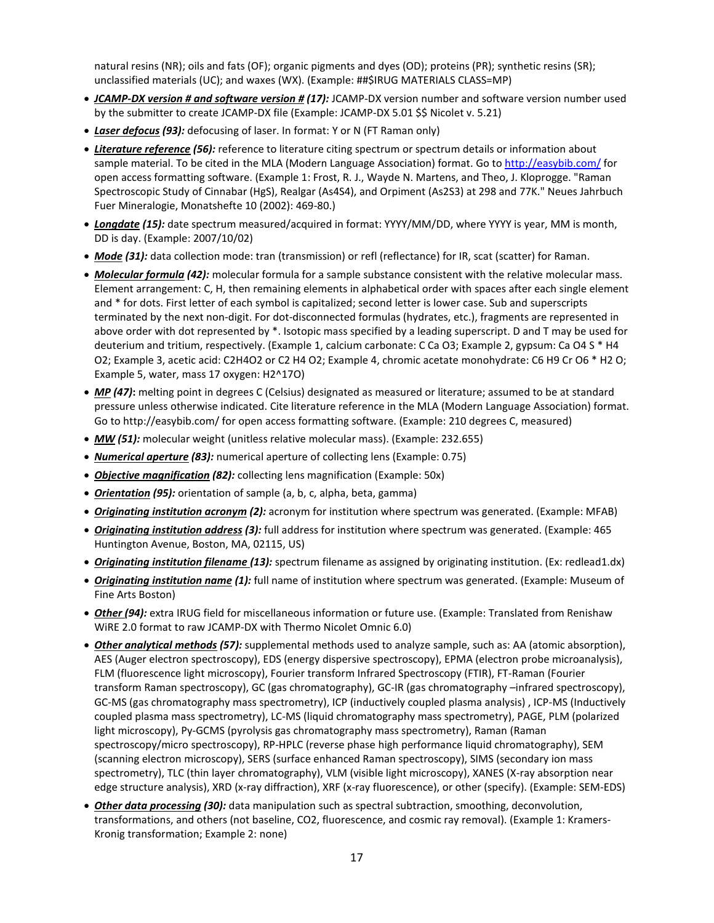natural resins (NR); oils and fats (OF); organic pigments and dyes (OD); proteins (PR); synthetic resins (SR); unclassified materials (UC); and waxes (WX). (Example: ##\$IRUG MATERIALS CLASS=MP)

- *JCAMP-DX version # and software version # (17):* JCAMP-DX version number and software version number used by the submitter to create JCAMP-DX file (Example: JCAMP-DX 5.01 \$\$ Nicolet v. 5.21)
- *Laser defocus (93):* defocusing of laser. In format: Y or N (FT Raman only)
- *Literature reference (56):* reference to literature citing spectrum or spectrum details or information about sample material. To be cited in the MLA (Modern Language Association) format. Go to<http://easybib.com/> for open access formatting software. (Example 1: Frost, R. J., Wayde N. Martens, and Theo, J. Kloprogge. "Raman Spectroscopic Study of Cinnabar (HgS), Realgar (As4S4), and Orpiment (As2S3) at 298 and 77K." Neues Jahrbuch Fuer Mineralogie, Monatshefte 10 (2002): 469-80.)
- *Longdate (15):* date spectrum measured/acquired in format: YYYY/MM/DD, where YYYY is year, MM is month, DD is day. (Example: 2007/10/02)
- *Mode (31):* data collection mode: tran (transmission) or refl (reflectance) for IR, scat (scatter) for Raman.
- *Molecular formula (42):* molecular formula for a sample substance consistent with the relative molecular mass. Element arrangement: C, H, then remaining elements in alphabetical order with spaces after each single element and \* for dots. First letter of each symbol is capitalized; second letter is lower case. Sub and superscripts terminated by the next non-digit. For dot-disconnected formulas (hydrates, etc.), fragments are represented in above order with dot represented by \*. Isotopic mass specified by a leading superscript. D and T may be used for deuterium and tritium, respectively. (Example 1, calcium carbonate: C Ca O3; Example 2, gypsum: Ca O4 S \* H4 O2; Example 3, acetic acid: C2H4O2 or C2 H4 O2; Example 4, chromic acetate monohydrate: C6 H9 Cr O6 \* H2 O; Example 5, water, mass 17 oxygen: H2^17O)
- *MP (47)***:** melting point in degrees C (Celsius) designated as measured or literature; assumed to be at standard pressure unless otherwise indicated. Cite literature reference in the MLA (Modern Language Association) format. Go to http://easybib.com/ for open access formatting software. (Example: 210 degrees C, measured)
- *MW (51):* molecular weight (unitless relative molecular mass). (Example: 232.655)
- *Numerical aperture (83):* numerical aperture of collecting lens (Example: 0.75)
- *Objective magnification (82):* collecting lens magnification (Example: 50x)
- *Orientation (95):* orientation of sample (a, b, c, alpha, beta, gamma)
- *Originating institution acronym (2):* acronym for institution where spectrum was generated. (Example: MFAB)
- *Originating institution address (3):* full address for institution where spectrum was generated. (Example: 465 Huntington Avenue, Boston, MA, 02115, US)
- *Originating institution filename (13):* spectrum filename as assigned by originating institution. (Ex: redlead1.dx)
- *Originating institution name (1):* full name of institution where spectrum was generated. (Example: Museum of Fine Arts Boston)
- *Other (94):* extra IRUG field for miscellaneous information or future use. (Example: Translated from Renishaw WiRE 2.0 format to raw JCAMP-DX with Thermo Nicolet Omnic 6.0)
- *Other analytical methods (57):* supplemental methods used to analyze sample, such as: AA (atomic absorption), AES (Auger electron spectroscopy), EDS (energy dispersive spectroscopy), EPMA (electron probe microanalysis), FLM (fluorescence light microscopy), Fourier transform Infrared Spectroscopy (FTIR), FT-Raman (Fourier transform Raman spectroscopy), GC (gas chromatography), GC-IR (gas chromatography –infrared spectroscopy), GC-MS (gas chromatography mass spectrometry), ICP (inductively coupled plasma analysis) , ICP-MS (Inductively coupled plasma mass spectrometry), LC-MS (liquid chromatography mass spectrometry), PAGE, PLM (polarized light microscopy), Py-GCMS (pyrolysis gas chromatography mass spectrometry), Raman (Raman spectroscopy/micro spectroscopy), RP-HPLC (reverse phase high performance liquid chromatography), SEM (scanning electron microscopy), SERS (surface enhanced Raman spectroscopy), SIMS (secondary ion mass spectrometry), TLC (thin layer chromatography), VLM (visible light microscopy), XANES (X-ray absorption near edge structure analysis), XRD (x-ray diffraction), XRF (x-ray fluorescence), or other (specify). (Example: SEM-EDS)
- *Other data processing (30):* data manipulation such as spectral subtraction, smoothing, deconvolution, transformations, and others (not baseline, CO2, fluorescence, and cosmic ray removal). (Example 1: Kramers-Kronig transformation; Example 2: none)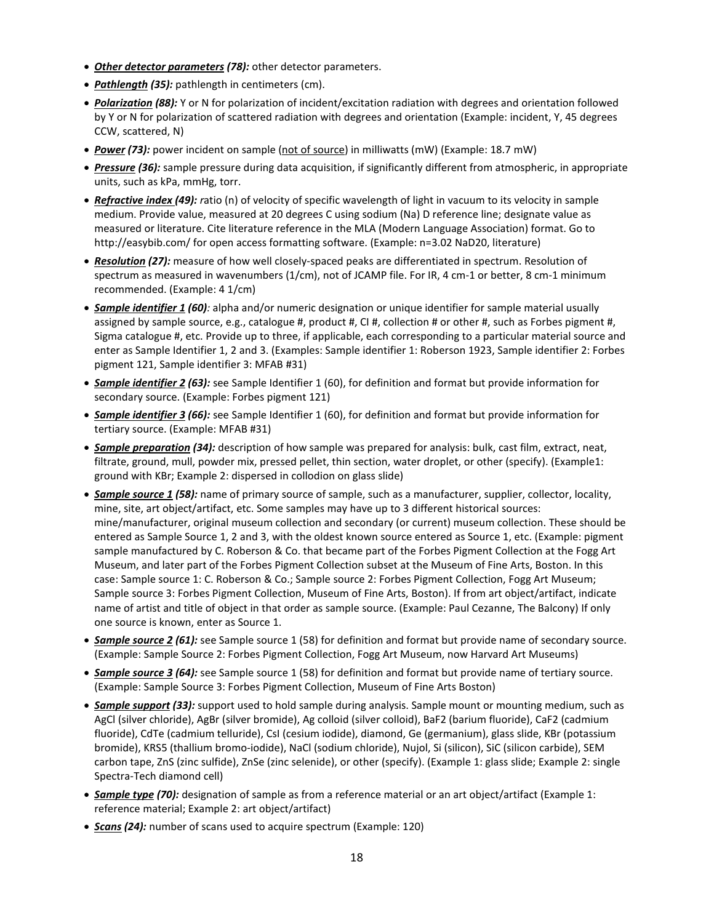- *Other detector parameters (78):* other detector parameters.
- *Pathlength (35):* pathlength in centimeters (cm).
- *Polarization (88):* Y or N for polarization of incident/excitation radiation with degrees and orientation followed by Y or N for polarization of scattered radiation with degrees and orientation (Example: incident, Y, 45 degrees CCW, scattered, N)
- *Power (73):* power incident on sample (not of source) in milliwatts (mW) (Example: 18.7 mW)
- *Pressure (36):* sample pressure during data acquisition, if significantly different from atmospheric, in appropriate units, such as kPa, mmHg, torr.
- *Refractive index (49): r*atio (n) of velocity of specific wavelength of light in vacuum to its velocity in sample medium. Provide value, measured at 20 degrees C using sodium (Na) D reference line; designate value as measured or literature. Cite literature reference in the MLA (Modern Language Association) format. Go to http://easybib.com/ for open access formatting software. (Example: n=3.02 NaD20, literature)
- *Resolution (27):* measure of how well closely-spaced peaks are differentiated in spectrum. Resolution of spectrum as measured in wavenumbers (1/cm), not of JCAMP file. For IR, 4 cm-1 or better, 8 cm-1 minimum recommended. (Example: 4 1/cm)
- *Sample identifier 1 (60):* alpha and/or numeric designation or unique identifier for sample material usually assigned by sample source, e.g., catalogue #, product #, CI #, collection # or other #, such as Forbes pigment #, Sigma catalogue #, etc. Provide up to three, if applicable, each corresponding to a particular material source and enter as Sample Identifier 1, 2 and 3. (Examples: Sample identifier 1: Roberson 1923, Sample identifier 2: Forbes pigment 121, Sample identifier 3: MFAB #31)
- *Sample identifier 2 (63):* see Sample Identifier 1 (60), for definition and format but provide information for secondary source. (Example: Forbes pigment 121)
- *Sample identifier 3 (66):* see Sample Identifier 1 (60), for definition and format but provide information for tertiary source. (Example: MFAB #31)
- *Sample preparation (34):* description of how sample was prepared for analysis: bulk, cast film, extract, neat, filtrate, ground, mull, powder mix, pressed pellet, thin section, water droplet, or other (specify). (Example1: ground with KBr; Example 2: dispersed in collodion on glass slide)
- *Sample source 1 (58):* name of primary source of sample, such as a manufacturer, supplier, collector, locality, mine, site, art object/artifact, etc. Some samples may have up to 3 different historical sources: mine/manufacturer, original museum collection and secondary (or current) museum collection. These should be entered as Sample Source 1, 2 and 3, with the oldest known source entered as Source 1, etc. (Example: pigment sample manufactured by C. Roberson & Co. that became part of the Forbes Pigment Collection at the Fogg Art Museum, and later part of the Forbes Pigment Collection subset at the Museum of Fine Arts, Boston. In this case: Sample source 1: C. Roberson & Co.; Sample source 2: Forbes Pigment Collection, Fogg Art Museum; Sample source 3: Forbes Pigment Collection, Museum of Fine Arts, Boston). If from art object/artifact, indicate name of artist and title of object in that order as sample source. (Example: Paul Cezanne, The Balcony) If only one source is known, enter as Source 1.
- *Sample source 2 (61):* see Sample source 1 (58) for definition and format but provide name of secondary source. (Example: Sample Source 2: Forbes Pigment Collection, Fogg Art Museum, now Harvard Art Museums)
- *Sample source 3 (64):* see Sample source 1 (58) for definition and format but provide name of tertiary source. (Example: Sample Source 3: Forbes Pigment Collection, Museum of Fine Arts Boston)
- *Sample support (33):* support used to hold sample during analysis. Sample mount or mounting medium, such as AgCl (silver chloride), AgBr (silver bromide), Ag colloid (silver colloid), BaF2 (barium fluoride), CaF2 (cadmium fluoride), CdTe (cadmium telluride), CsI (cesium iodide), diamond, Ge (germanium), glass slide, KBr (potassium bromide), KRS5 (thallium bromo-iodide), NaCl (sodium chloride), Nujol, Si (silicon), SiC (silicon carbide), SEM carbon tape, ZnS (zinc sulfide), ZnSe (zinc selenide), or other (specify). (Example 1: glass slide; Example 2: single Spectra-Tech diamond cell)
- *Sample type (70):* designation of sample as from a reference material or an art object/artifact (Example 1: reference material; Example 2: art object/artifact)
- *Scans (24):* number of scans used to acquire spectrum (Example: 120)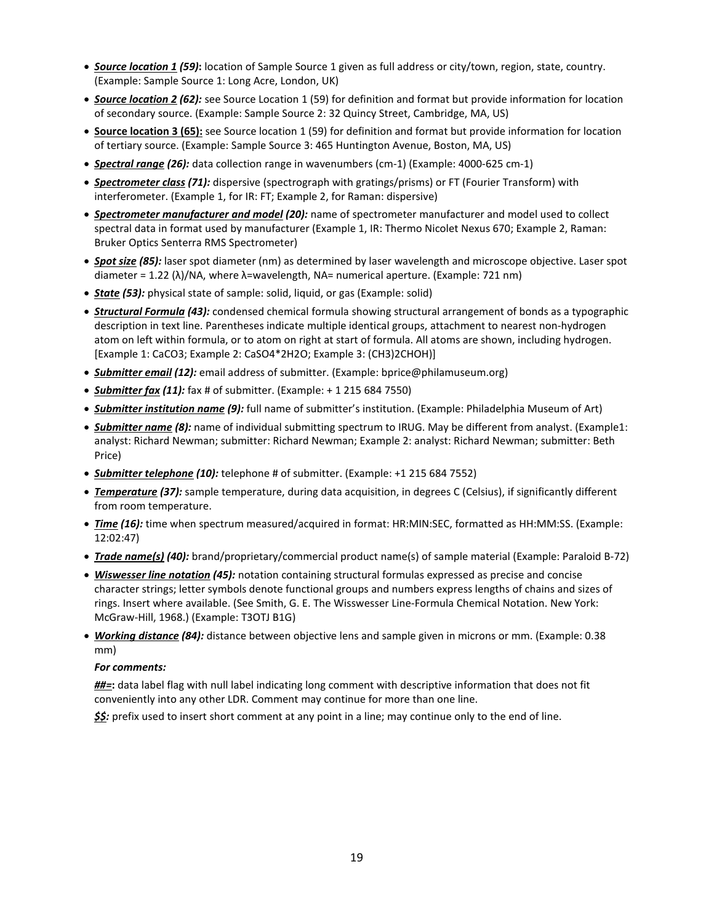- *Source location 1 (59)***:** location of Sample Source 1 given as full address or city/town, region, state, country. (Example: Sample Source 1: Long Acre, London, UK)
- *Source location 2 (62):* see Source Location 1 (59) for definition and format but provide information for location of secondary source. (Example: Sample Source 2: 32 Quincy Street, Cambridge, MA, US)
- **Source location 3 (65):** see Source location 1 (59) for definition and format but provide information for location of tertiary source. (Example: Sample Source 3: 465 Huntington Avenue, Boston, MA, US)
- *Spectral range (26):* data collection range in wavenumbers (cm-1) (Example: 4000-625 cm-1)
- *Spectrometer class (71):* dispersive (spectrograph with gratings/prisms) or FT (Fourier Transform) with interferometer. (Example 1, for IR: FT; Example 2, for Raman: dispersive)
- *Spectrometer manufacturer and model (20):* name of spectrometer manufacturer and model used to collect spectral data in format used by manufacturer (Example 1, IR: Thermo Nicolet Nexus 670; Example 2, Raman: Bruker Optics Senterra RMS Spectrometer)
- *Spot size (85):* laser spot diameter (nm) as determined by laser wavelength and microscope objective. Laser spot diameter = 1.22 (λ)/NA, where λ=wavelength, NA= numerical aperture. (Example: 721 nm)
- *State (53):* physical state of sample: solid, liquid, or gas (Example: solid)
- *Structural Formula (43):* condensed chemical formula showing structural arrangement of bonds as a typographic description in text line. Parentheses indicate multiple identical groups, attachment to nearest non-hydrogen atom on left within formula, or to atom on right at start of formula. All atoms are shown, including hydrogen. [Example 1: CaCO3; Example 2: CaSO4\*2H2O; Example 3: (CH3)2CHOH)]
- *Submitter email (12):* email address of submitter. (Example: bprice@philamuseum.org)
- *Submitter fax (11):* fax # of submitter. (Example: + 1 215 684 7550)
- *Submitter institution name (9):* full name of submitter's institution. (Example: Philadelphia Museum of Art)
- *Submitter name (8):* name of individual submitting spectrum to IRUG. May be different from analyst. (Example1: analyst: Richard Newman; submitter: Richard Newman; Example 2: analyst: Richard Newman; submitter: Beth Price)
- *Submitter telephone (10):* telephone # of submitter. (Example: +1 215 684 7552)
- *Temperature (37):* sample temperature, during data acquisition, in degrees C (Celsius), if significantly different from room temperature.
- *Time (16):* time when spectrum measured/acquired in format: HR:MIN:SEC, formatted as HH:MM:SS. (Example: 12:02:47)
- *Trade name(s) (40):* brand/proprietary/commercial product name(s) of sample material (Example: Paraloid B-72)
- *Wiswesser line notation (45):* notation containing structural formulas expressed as precise and concise character strings; letter symbols denote functional groups and numbers express lengths of chains and sizes of rings. Insert where available. (See Smith, G. E. The Wisswesser Line-Formula Chemical Notation. New York: McGraw-Hill, 1968.) (Example: T3OTJ B1G)
- *Working distance (84):* distance between objective lens and sample given in microns or mm. (Example: 0.38 mm)

#### *For comments:*

*##=***:** data label flag with null label indicating long comment with descriptive information that does not fit conveniently into any other LDR. Comment may continue for more than one line.

*\$\$:* prefix used to insert short comment at any point in a line; may continue only to the end of line.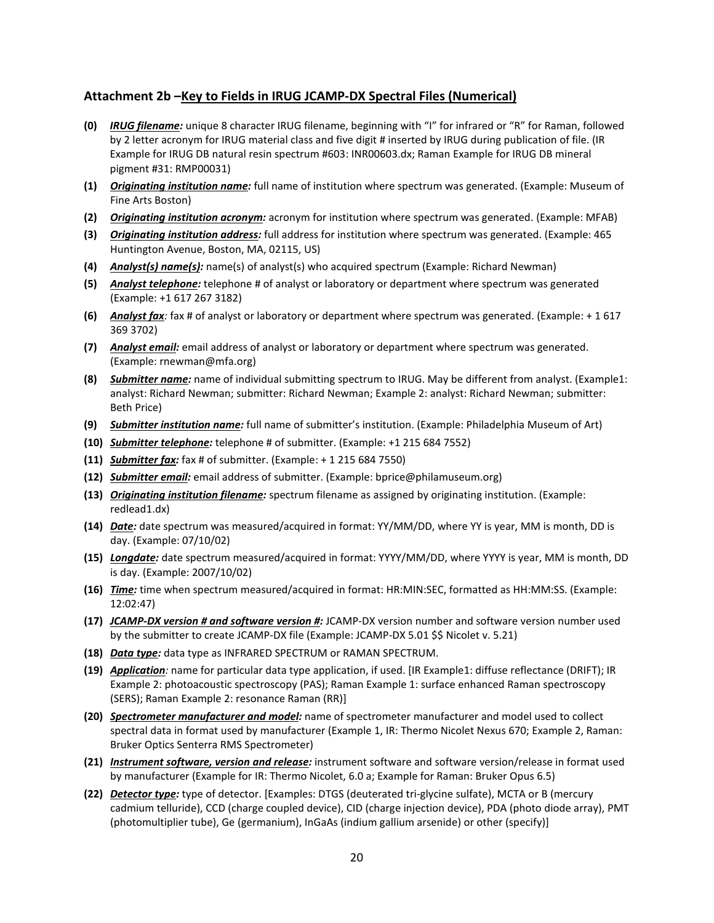#### **Attachment 2b –Key to Fields in IRUG JCAMP-DX Spectral Files (Numerical)**

- **(0)** *IRUG filename:* unique 8 character IRUG filename, beginning with "I" for infrared or "R" for Raman, followed by 2 letter acronym for IRUG material class and five digit # inserted by IRUG during publication of file. (IR Example for IRUG DB natural resin spectrum #603: INR00603.dx; Raman Example for IRUG DB mineral pigment #31: RMP00031)
- **(1)** *Originating institution name:* full name of institution where spectrum was generated. (Example: Museum of Fine Arts Boston)
- **(2)** *Originating institution acronym:* acronym for institution where spectrum was generated. (Example: MFAB)
- **(3)** *Originating institution address:* full address for institution where spectrum was generated. (Example: 465 Huntington Avenue, Boston, MA, 02115, US)
- **(4)** *Analyst(s) name(s):* name(s) of analyst(s) who acquired spectrum (Example: Richard Newman)
- **(5)** *Analyst telephone:* telephone # of analyst or laboratory or department where spectrum was generated (Example: +1 617 267 3182)
- **(6)** *Analyst fax:* fax # of analyst or laboratory or department where spectrum was generated. (Example: + 1 617 369 3702)
- **(7)** *Analyst email:* email address of analyst or laboratory or department where spectrum was generated. (Example: rnewman@mfa.org)
- **(8)** *Submitter name:* name of individual submitting spectrum to IRUG. May be different from analyst. (Example1: analyst: Richard Newman; submitter: Richard Newman; Example 2: analyst: Richard Newman; submitter: Beth Price)
- **(9)** *Submitter institution name:* full name of submitter's institution. (Example: Philadelphia Museum of Art)
- **(10)** *Submitter telephone:* telephone # of submitter. (Example: +1 215 684 7552)
- **(11)** *Submitter fax:* fax # of submitter. (Example: + 1 215 684 7550)
- **(12)** *Submitter email:* email address of submitter. (Example: bprice@philamuseum.org)
- **(13)** *Originating institution filename:* spectrum filename as assigned by originating institution. (Example: redlead1.dx)
- **(14)** *Date:* date spectrum was measured/acquired in format: YY/MM/DD, where YY is year, MM is month, DD is day. (Example: 07/10/02)
- **(15)** *Longdate:* date spectrum measured/acquired in format: YYYY/MM/DD, where YYYY is year, MM is month, DD is day. (Example: 2007/10/02)
- **(16)** *Time:* time when spectrum measured/acquired in format: HR:MIN:SEC, formatted as HH:MM:SS. (Example: 12:02:47)
- **(17)** *JCAMP-DX version # and software version #:* JCAMP-DX version number and software version number used by the submitter to create JCAMP-DX file (Example: JCAMP-DX 5.01 \$\$ Nicolet v. 5.21)
- **(18)** *Data type:* data type as INFRARED SPECTRUM or RAMAN SPECTRUM.
- **(19)** *Application:* name for particular data type application, if used. [IR Example1: diffuse reflectance (DRIFT); IR Example 2: photoacoustic spectroscopy (PAS); Raman Example 1: surface enhanced Raman spectroscopy (SERS); Raman Example 2: resonance Raman (RR)]
- **(20)** *Spectrometer manufacturer and model:* name of spectrometer manufacturer and model used to collect spectral data in format used by manufacturer (Example 1, IR: Thermo Nicolet Nexus 670; Example 2, Raman: Bruker Optics Senterra RMS Spectrometer)
- **(21)** *Instrument software, version and release:* instrument software and software version/release in format used by manufacturer (Example for IR: Thermo Nicolet, 6.0 a; Example for Raman: Bruker Opus 6.5)
- **(22)** *Detector type:* type of detector. [Examples: DTGS (deuterated tri-glycine sulfate), MCTA or B (mercury cadmium telluride), CCD (charge coupled device), CID (charge injection device), PDA (photo diode array), PMT (photomultiplier tube), Ge (germanium), InGaAs (indium gallium arsenide) or other (specify)]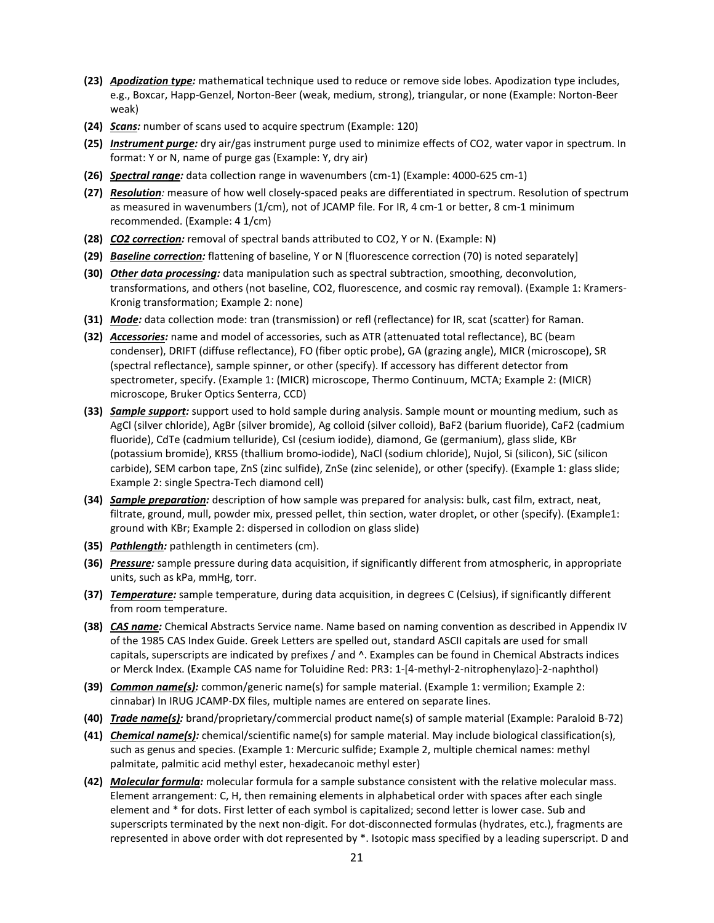- **(23)** *Apodization type:* mathematical technique used to reduce or remove side lobes. Apodization type includes, e.g., Boxcar, Happ-Genzel, Norton-Beer (weak, medium, strong), triangular, or none (Example: Norton-Beer weak)
- **(24)** *Scans:* number of scans used to acquire spectrum (Example: 120)
- **(25)** *Instrument purge:* dry air/gas instrument purge used to minimize effects of CO2, water vapor in spectrum. In format: Y or N, name of purge gas (Example: Y, dry air)
- **(26)** *Spectral range:* data collection range in wavenumbers (cm-1) (Example: 4000-625 cm-1)
- **(27)** *Resolution:* measure of how well closely-spaced peaks are differentiated in spectrum. Resolution of spectrum as measured in wavenumbers (1/cm), not of JCAMP file. For IR, 4 cm-1 or better, 8 cm-1 minimum recommended. (Example: 4 1/cm)
- **(28)** *CO2 correction:* removal of spectral bands attributed to CO2, Y or N. (Example: N)
- **(29)** *Baseline correction:* flattening of baseline, Y or N [fluorescence correction (70) is noted separately]
- **(30)** *Other data processing:* data manipulation such as spectral subtraction, smoothing, deconvolution, transformations, and others (not baseline, CO2, fluorescence, and cosmic ray removal). (Example 1: Kramers-Kronig transformation; Example 2: none)
- **(31)** *Mode:* data collection mode: tran (transmission) or refl (reflectance) for IR, scat (scatter) for Raman.
- **(32)** *Accessories:* name and model of accessories, such as ATR (attenuated total reflectance), BC (beam condenser), DRIFT (diffuse reflectance), FO (fiber optic probe), GA (grazing angle), MICR (microscope), SR (spectral reflectance), sample spinner, or other (specify). If accessory has different detector from spectrometer, specify. (Example 1: (MICR) microscope, Thermo Continuum, MCTA; Example 2: (MICR) microscope, Bruker Optics Senterra, CCD)
- **(33)** *Sample support:* support used to hold sample during analysis. Sample mount or mounting medium, such as AgCl (silver chloride), AgBr (silver bromide), Ag colloid (silver colloid), BaF2 (barium fluoride), CaF2 (cadmium fluoride), CdTe (cadmium telluride), CsI (cesium iodide), diamond, Ge (germanium), glass slide, KBr (potassium bromide), KRS5 (thallium bromo-iodide), NaCl (sodium chloride), Nujol, Si (silicon), SiC (silicon carbide), SEM carbon tape, ZnS (zinc sulfide), ZnSe (zinc selenide), or other (specify). (Example 1: glass slide; Example 2: single Spectra-Tech diamond cell)
- **(34)** *Sample preparation:* description of how sample was prepared for analysis: bulk, cast film, extract, neat, filtrate, ground, mull, powder mix, pressed pellet, thin section, water droplet, or other (specify). (Example1: ground with KBr; Example 2: dispersed in collodion on glass slide)
- **(35)** *Pathlength:* pathlength in centimeters (cm).
- **(36)** *Pressure:* sample pressure during data acquisition, if significantly different from atmospheric, in appropriate units, such as kPa, mmHg, torr.
- **(37)** *Temperature:* sample temperature, during data acquisition, in degrees C (Celsius), if significantly different from room temperature.
- **(38)** *CAS name:* Chemical Abstracts Service name. Name based on naming convention as described in Appendix IV of the 1985 CAS Index Guide. Greek Letters are spelled out, standard ASCII capitals are used for small capitals, superscripts are indicated by prefixes / and ^. Examples can be found in Chemical Abstracts indices or Merck Index. (Example CAS name for Toluidine Red: PR3: 1-[4-methyl-2-nitrophenylazo]-2-naphthol)
- **(39)** *Common name(s):* common/generic name(s) for sample material. (Example 1: vermilion; Example 2: cinnabar) In IRUG JCAMP-DX files, multiple names are entered on separate lines.
- **(40)** *Trade name(s):* brand/proprietary/commercial product name(s) of sample material (Example: Paraloid B-72)
- **(41)** *Chemical name(s):* chemical/scientific name(s) for sample material. May include biological classification(s), such as genus and species. (Example 1: Mercuric sulfide; Example 2, multiple chemical names: methyl palmitate, palmitic acid methyl ester, hexadecanoic methyl ester)
- **(42)** *Molecular formula:* molecular formula for a sample substance consistent with the relative molecular mass. Element arrangement: C, H, then remaining elements in alphabetical order with spaces after each single element and \* for dots. First letter of each symbol is capitalized; second letter is lower case. Sub and superscripts terminated by the next non-digit. For dot-disconnected formulas (hydrates, etc.), fragments are represented in above order with dot represented by \*. Isotopic mass specified by a leading superscript. D and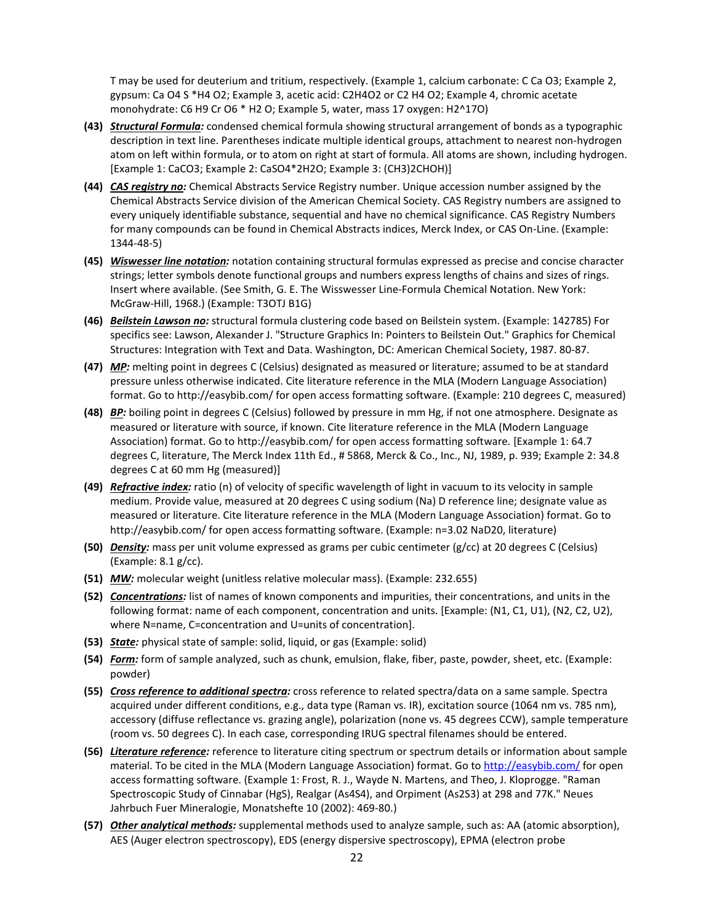T may be used for deuterium and tritium, respectively. (Example 1, calcium carbonate: C Ca O3; Example 2, gypsum: Ca O4 S \*H4 O2; Example 3, acetic acid: C2H4O2 or C2 H4 O2; Example 4, chromic acetate monohydrate: C6 H9 Cr O6 \* H2 O; Example 5, water, mass 17 oxygen: H2^17O)

- **(43)** *Structural Formula:* condensed chemical formula showing structural arrangement of bonds as a typographic description in text line. Parentheses indicate multiple identical groups, attachment to nearest non-hydrogen atom on left within formula, or to atom on right at start of formula. All atoms are shown, including hydrogen. [Example 1: CaCO3; Example 2: CaSO4\*2H2O; Example 3: (CH3)2CHOH)]
- **(44)** *CAS registry no:* Chemical Abstracts Service Registry number. Unique accession number assigned by the Chemical Abstracts Service division of the American Chemical Society. CAS Registry numbers are assigned to every uniquely identifiable substance, sequential and have no chemical significance. CAS Registry Numbers for many compounds can be found in Chemical Abstracts indices, Merck Index, or CAS On-Line. (Example: 1344-48-5)
- **(45)** *Wiswesser line notation:* notation containing structural formulas expressed as precise and concise character strings; letter symbols denote functional groups and numbers express lengths of chains and sizes of rings. Insert where available. (See Smith, G. E. The Wisswesser Line-Formula Chemical Notation. New York: McGraw-Hill, 1968.) (Example: T3OTJ B1G)
- **(46)** *Beilstein Lawson no:* structural formula clustering code based on Beilstein system. (Example: 142785) For specifics see: Lawson, Alexander J. "Structure Graphics In: Pointers to Beilstein Out." Graphics for Chemical Structures: Integration with Text and Data. Washington, DC: American Chemical Society, 1987. 80-87.
- **(47)** *MP:* melting point in degrees C (Celsius) designated as measured or literature; assumed to be at standard pressure unless otherwise indicated. Cite literature reference in the MLA (Modern Language Association) format. Go to http://easybib.com/ for open access formatting software. (Example: 210 degrees C, measured)
- **(48)** *BP:* boiling point in degrees C (Celsius) followed by pressure in mm Hg, if not one atmosphere. Designate as measured or literature with source, if known. Cite literature reference in the MLA (Modern Language Association) format. Go to http://easybib.com/ for open access formatting software. [Example 1: 64.7 degrees C, literature, The Merck Index 11th Ed., # 5868, Merck & Co., Inc., NJ, 1989, p. 939; Example 2: 34.8 degrees C at 60 mm Hg (measured)]
- **(49)** *Refractive index:* ratio (n) of velocity of specific wavelength of light in vacuum to its velocity in sample medium. Provide value, measured at 20 degrees C using sodium (Na) D reference line; designate value as measured or literature. Cite literature reference in the MLA (Modern Language Association) format. Go to http://easybib.com/ for open access formatting software. (Example: n=3.02 NaD20, literature)
- **(50)** *Density:* mass per unit volume expressed as grams per cubic centimeter (g/cc) at 20 degrees C (Celsius) (Example: 8.1 g/cc).
- **(51)** *MW:* molecular weight (unitless relative molecular mass). (Example: 232.655)
- **(52)** *Concentrations:* list of names of known components and impurities, their concentrations, and units in the following format: name of each component, concentration and units. [Example: (N1, C1, U1), (N2, C2, U2), where N=name, C=concentration and U=units of concentration].
- **(53)** *State:* physical state of sample: solid, liquid, or gas (Example: solid)
- **(54)** *Form:* form of sample analyzed, such as chunk, emulsion, flake, fiber, paste, powder, sheet, etc. (Example: powder)
- **(55)** *Cross reference to additional spectra:* cross reference to related spectra/data on a same sample. Spectra acquired under different conditions, e.g., data type (Raman vs. IR), excitation source (1064 nm vs. 785 nm), accessory (diffuse reflectance vs. grazing angle), polarization (none vs. 45 degrees CCW), sample temperature (room vs. 50 degrees C). In each case, corresponding IRUG spectral filenames should be entered.
- **(56)** *Literature reference:* reference to literature citing spectrum or spectrum details or information about sample material. To be cited in the MLA (Modern Language Association) format. Go to<http://easybib.com/> for open access formatting software. (Example 1: Frost, R. J., Wayde N. Martens, and Theo, J. Kloprogge. "Raman Spectroscopic Study of Cinnabar (HgS), Realgar (As4S4), and Orpiment (As2S3) at 298 and 77K." Neues Jahrbuch Fuer Mineralogie, Monatshefte 10 (2002): 469-80.)
- **(57)** *Other analytical methods:* supplemental methods used to analyze sample, such as: AA (atomic absorption), AES (Auger electron spectroscopy), EDS (energy dispersive spectroscopy), EPMA (electron probe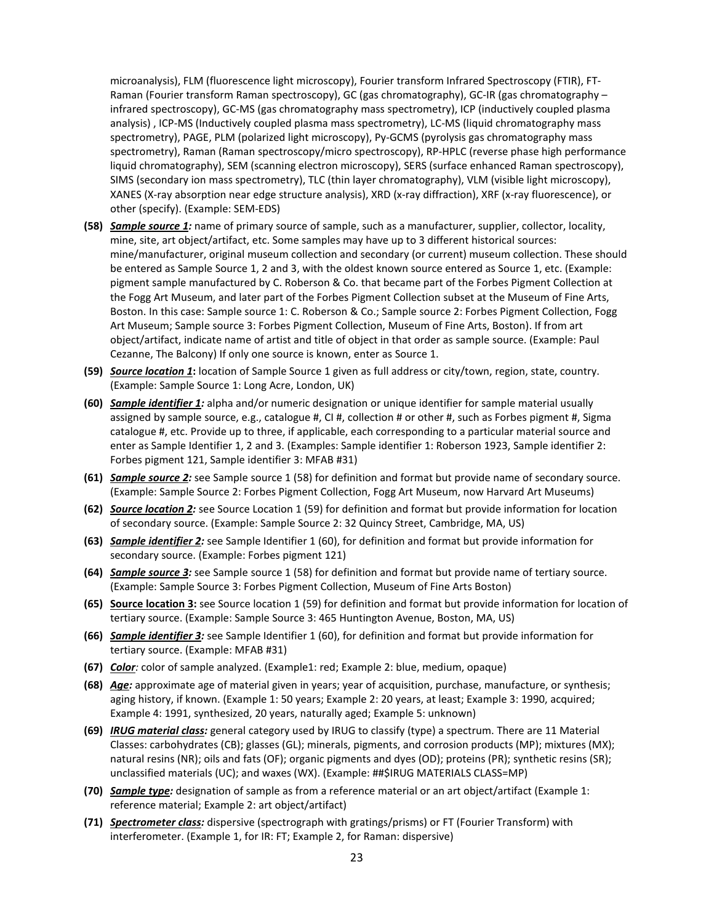microanalysis), FLM (fluorescence light microscopy), Fourier transform Infrared Spectroscopy (FTIR), FT-Raman (Fourier transform Raman spectroscopy), GC (gas chromatography), GC-IR (gas chromatography – infrared spectroscopy), GC-MS (gas chromatography mass spectrometry), ICP (inductively coupled plasma analysis) , ICP-MS (Inductively coupled plasma mass spectrometry), LC-MS (liquid chromatography mass spectrometry), PAGE, PLM (polarized light microscopy), Py-GCMS (pyrolysis gas chromatography mass spectrometry), Raman (Raman spectroscopy/micro spectroscopy), RP-HPLC (reverse phase high performance liquid chromatography), SEM (scanning electron microscopy), SERS (surface enhanced Raman spectroscopy), SIMS (secondary ion mass spectrometry), TLC (thin layer chromatography), VLM (visible light microscopy), XANES (X-ray absorption near edge structure analysis), XRD (x-ray diffraction), XRF (x-ray fluorescence), or other (specify). (Example: SEM-EDS)

- **(58)** *Sample source 1:* name of primary source of sample, such as a manufacturer, supplier, collector, locality, mine, site, art object/artifact, etc. Some samples may have up to 3 different historical sources: mine/manufacturer, original museum collection and secondary (or current) museum collection. These should be entered as Sample Source 1, 2 and 3, with the oldest known source entered as Source 1, etc. (Example: pigment sample manufactured by C. Roberson & Co. that became part of the Forbes Pigment Collection at the Fogg Art Museum, and later part of the Forbes Pigment Collection subset at the Museum of Fine Arts, Boston. In this case: Sample source 1: C. Roberson & Co.; Sample source 2: Forbes Pigment Collection, Fogg Art Museum; Sample source 3: Forbes Pigment Collection, Museum of Fine Arts, Boston). If from art object/artifact, indicate name of artist and title of object in that order as sample source. (Example: Paul Cezanne, The Balcony) If only one source is known, enter as Source 1.
- **(59)** *Source location 1***:** location of Sample Source 1 given as full address or city/town, region, state, country. (Example: Sample Source 1: Long Acre, London, UK)
- **(60)** *Sample identifier 1:* alpha and/or numeric designation or unique identifier for sample material usually assigned by sample source, e.g., catalogue #, CI #, collection # or other #, such as Forbes pigment #, Sigma catalogue #, etc. Provide up to three, if applicable, each corresponding to a particular material source and enter as Sample Identifier 1, 2 and 3. (Examples: Sample identifier 1: Roberson 1923, Sample identifier 2: Forbes pigment 121, Sample identifier 3: MFAB #31)
- **(61)** *Sample source 2:* see Sample source 1 (58) for definition and format but provide name of secondary source. (Example: Sample Source 2: Forbes Pigment Collection, Fogg Art Museum, now Harvard Art Museums)
- **(62)** *Source location 2:* see Source Location 1 (59) for definition and format but provide information for location of secondary source. (Example: Sample Source 2: 32 Quincy Street, Cambridge, MA, US)
- **(63)** *Sample identifier 2:* see Sample Identifier 1 (60), for definition and format but provide information for secondary source. (Example: Forbes pigment 121)
- **(64)** *Sample source 3:* see Sample source 1 (58) for definition and format but provide name of tertiary source. (Example: Sample Source 3: Forbes Pigment Collection, Museum of Fine Arts Boston)
- **(65) Source location 3:** see Source location 1 (59) for definition and format but provide information for location of tertiary source. (Example: Sample Source 3: 465 Huntington Avenue, Boston, MA, US)
- **(66)** *Sample identifier 3:* see Sample Identifier 1 (60), for definition and format but provide information for tertiary source. (Example: MFAB #31)
- **(67)** *Color:* color of sample analyzed. (Example1: red; Example 2: blue, medium, opaque)
- **(68)** *Age:* approximate age of material given in years; year of acquisition, purchase, manufacture, or synthesis; aging history, if known. (Example 1: 50 years; Example 2: 20 years, at least; Example 3: 1990, acquired; Example 4: 1991, synthesized, 20 years, naturally aged; Example 5: unknown)
- **(69)** *IRUG material class:* general category used by IRUG to classify (type) a spectrum. There are 11 Material Classes: carbohydrates (CB); glasses (GL); minerals, pigments, and corrosion products (MP); mixtures (MX); natural resins (NR); oils and fats (OF); organic pigments and dyes (OD); proteins (PR); synthetic resins (SR); unclassified materials (UC); and waxes (WX). (Example: ##\$IRUG MATERIALS CLASS=MP)
- **(70)** *Sample type:* designation of sample as from a reference material or an art object/artifact (Example 1: reference material; Example 2: art object/artifact)
- **(71)** *Spectrometer class:* dispersive (spectrograph with gratings/prisms) or FT (Fourier Transform) with interferometer. (Example 1, for IR: FT; Example 2, for Raman: dispersive)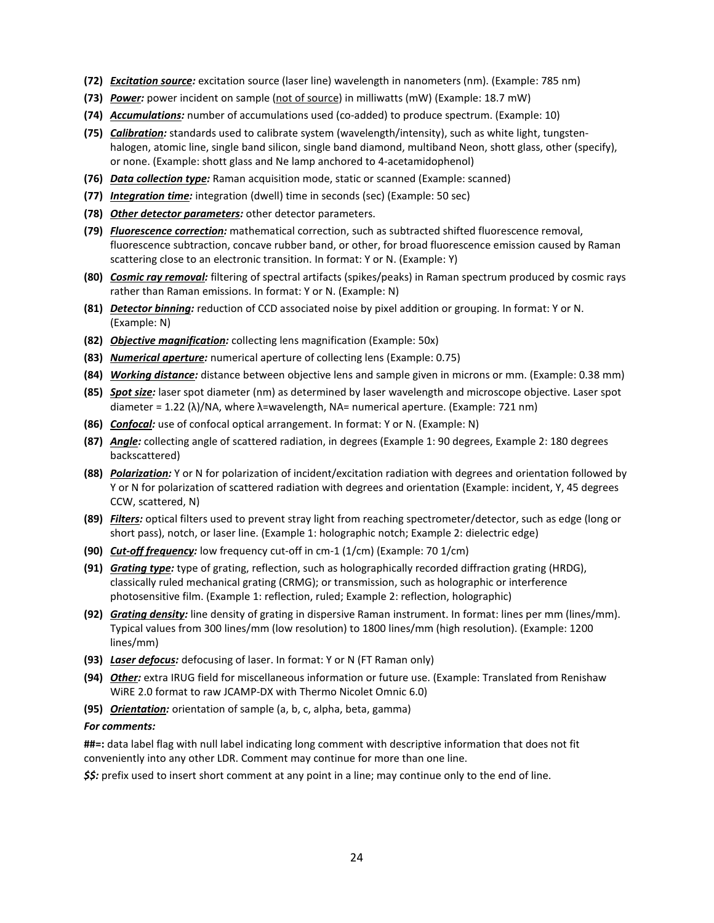- **(72)** *Excitation source:* excitation source (laser line) wavelength in nanometers (nm). (Example: 785 nm)
- **(73)** *Power:* power incident on sample (not of source) in milliwatts (mW) (Example: 18.7 mW)
- **(74)** *Accumulations:* number of accumulations used (co-added) to produce spectrum. (Example: 10)
- **(75)** *Calibration:* standards used to calibrate system (wavelength/intensity), such as white light, tungstenhalogen, atomic line, single band silicon, single band diamond, multiband Neon, shott glass, other (specify), or none. (Example: shott glass and Ne lamp anchored to 4-acetamidophenol)
- **(76)** *Data collection type:* Raman acquisition mode, static or scanned (Example: scanned)
- **(77)** *Integration time:* integration (dwell) time in seconds (sec) (Example: 50 sec)
- **(78)** *Other detector parameters:* other detector parameters.
- **(79)** *Fluorescence correction:* mathematical correction, such as subtracted shifted fluorescence removal, fluorescence subtraction, concave rubber band, or other, for broad fluorescence emission caused by Raman scattering close to an electronic transition. In format: Y or N. (Example: Y)
- **(80)** *Cosmic ray removal:* filtering of spectral artifacts (spikes/peaks) in Raman spectrum produced by cosmic rays rather than Raman emissions. In format: Y or N. (Example: N)
- **(81)** *Detector binning:* reduction of CCD associated noise by pixel addition or grouping. In format: Y or N. (Example: N)
- **(82)** *Objective magnification:* collecting lens magnification (Example: 50x)
- **(83)** *Numerical aperture:* numerical aperture of collecting lens (Example: 0.75)
- **(84)** *Working distance:* distance between objective lens and sample given in microns or mm. (Example: 0.38 mm)
- **(85)** *Spot size:* laser spot diameter (nm) as determined by laser wavelength and microscope objective. Laser spot diameter = 1.22 (λ)/NA, where λ=wavelength, NA= numerical aperture. (Example: 721 nm)
- **(86)** *Confocal:* use of confocal optical arrangement. In format: Y or N. (Example: N)
- **(87)** *Angle:* collecting angle of scattered radiation, in degrees (Example 1: 90 degrees, Example 2: 180 degrees backscattered)
- **(88)** *Polarization:* Y or N for polarization of incident/excitation radiation with degrees and orientation followed by Y or N for polarization of scattered radiation with degrees and orientation (Example: incident, Y, 45 degrees CCW, scattered, N)
- **(89)** *Filters:* optical filters used to prevent stray light from reaching spectrometer/detector, such as edge (long or short pass), notch, or laser line. (Example 1: holographic notch; Example 2: dielectric edge)
- **(90)** *Cut-off frequency:* low frequency cut-off in cm-1 (1/cm) (Example: 70 1/cm)
- **(91)** *Grating type:* type of grating, reflection, such as holographically recorded diffraction grating (HRDG), classically ruled mechanical grating (CRMG); or transmission, such as holographic or interference photosensitive film. (Example 1: reflection, ruled; Example 2: reflection, holographic)
- **(92)** *Grating density:* line density of grating in dispersive Raman instrument. In format: lines per mm (lines/mm). Typical values from 300 lines/mm (low resolution) to 1800 lines/mm (high resolution). (Example: 1200 lines/mm)
- **(93)** *Laser defocus:* defocusing of laser. In format: Y or N (FT Raman only)
- **(94)** *Other:* extra IRUG field for miscellaneous information or future use. (Example: Translated from Renishaw WiRE 2.0 format to raw JCAMP-DX with Thermo Nicolet Omnic 6.0)
- **(95)** *Orientation:* orientation of sample (a, b, c, alpha, beta, gamma)

#### *For comments:*

**##=:** data label flag with null label indicating long comment with descriptive information that does not fit conveniently into any other LDR. Comment may continue for more than one line.

*\$\$:* prefix used to insert short comment at any point in a line; may continue only to the end of line.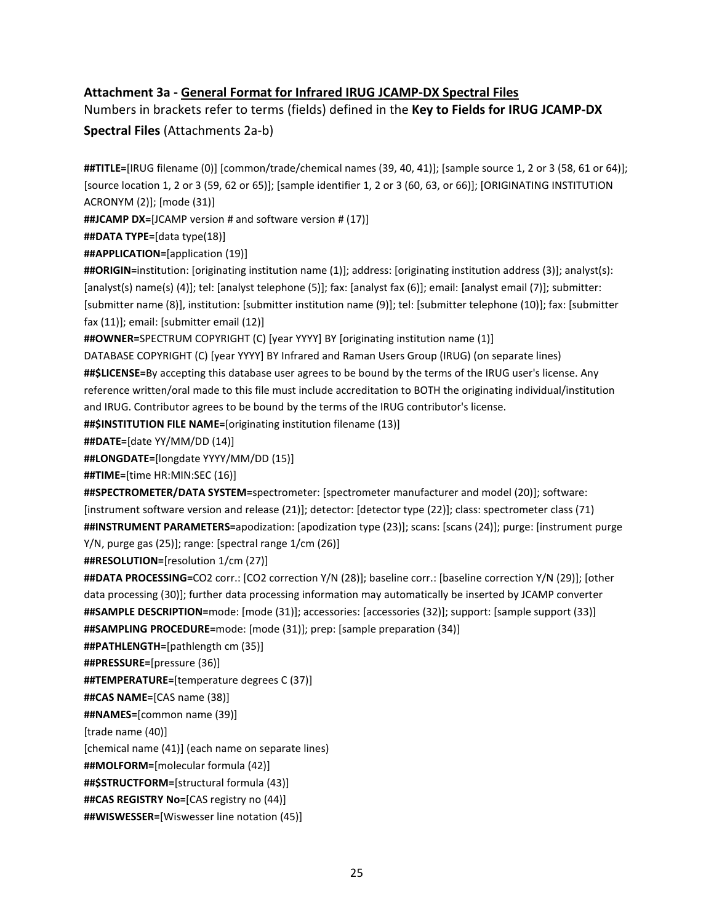## **Attachment 3a - General Format for Infrared IRUG JCAMP-DX Spectral Files**

Numbers in brackets refer to terms (fields) defined in the **Key to Fields for IRUG JCAMP-DX Spectral Files** (Attachments 2a-b)

**##TITLE=**[IRUG filename (0)] [common/trade/chemical names (39, 40, 41)]; [sample source 1, 2 or 3 (58, 61 or 64)]; [source location 1, 2 or 3 (59, 62 or 65)]; [sample identifier 1, 2 or 3 (60, 63, or 66)]; [ORIGINATING INSTITUTION ACRONYM (2)]; [mode (31)]

**##JCAMP DX=**[JCAMP version # and software version # (17)]

**##DATA TYPE=**[data type(18)]

**##APPLICATION=**[application (19)]

**##ORIGIN=**institution: [originating institution name (1)]; address: [originating institution address (3)]; analyst(s): [analyst(s) name(s) (4)]; tel: [analyst telephone (5)]; fax: [analyst fax (6)]; email: [analyst email (7)]; submitter: [submitter name (8)], institution: [submitter institution name (9)]; tel: [submitter telephone (10)]; fax: [submitter fax (11)]; email: [submitter email (12)]

**##OWNER=**SPECTRUM COPYRIGHT (C) [year YYYY] BY [originating institution name (1)]

DATABASE COPYRIGHT (C) [year YYYY] BY Infrared and Raman Users Group (IRUG) (on separate lines) **##\$LICENSE=**By accepting this database user agrees to be bound by the terms of the IRUG user's license. Any reference written/oral made to this file must include accreditation to BOTH the originating individual/institution and IRUG. Contributor agrees to be bound by the terms of the IRUG contributor's license.

**##\$INSTITUTION FILE NAME=**[originating institution filename (13)]

**##DATE=**[date YY/MM/DD (14)]

**##LONGDATE=**[longdate YYYY/MM/DD (15)]

**##TIME=**[time HR:MIN:SEC (16)]

**##SPECTROMETER/DATA SYSTEM=**spectrometer: [spectrometer manufacturer and model (20)]; software: [instrument software version and release (21)]; detector: [detector type (22)]; class: spectrometer class (71) **##INSTRUMENT PARAMETERS=**apodization: [apodization type (23)]; scans: [scans (24)]; purge: [instrument purge Y/N, purge gas (25)]; range: [spectral range 1/cm (26)]

**##RESOLUTION=**[resolution 1/cm (27)]

**##DATA PROCESSING=**CO2 corr.: [CO2 correction Y/N (28)]; baseline corr.: [baseline correction Y/N (29)]; [other data processing (30)]; further data processing information may automatically be inserted by JCAMP converter **##SAMPLE DESCRIPTION=**mode: [mode (31)]; accessories: [accessories (32)]; support: [sample support (33)] **##SAMPLING PROCEDURE=**mode: [mode (31)]; prep: [sample preparation (34)]

**##PATHLENGTH=**[pathlength cm (35)]

**##PRESSURE=**[pressure (36)]

**##TEMPERATURE=**[temperature degrees C (37)]

**##CAS NAME=**[CAS name (38)]

**##NAMES=**[common name (39)]

[trade name (40)]

[chemical name (41)] (each name on separate lines)

**##MOLFORM=**[molecular formula (42)]

**##\$STRUCTFORM=**[structural formula (43)]

**##CAS REGISTRY No=**[CAS registry no (44)]

**##WISWESSER=**[Wiswesser line notation (45)]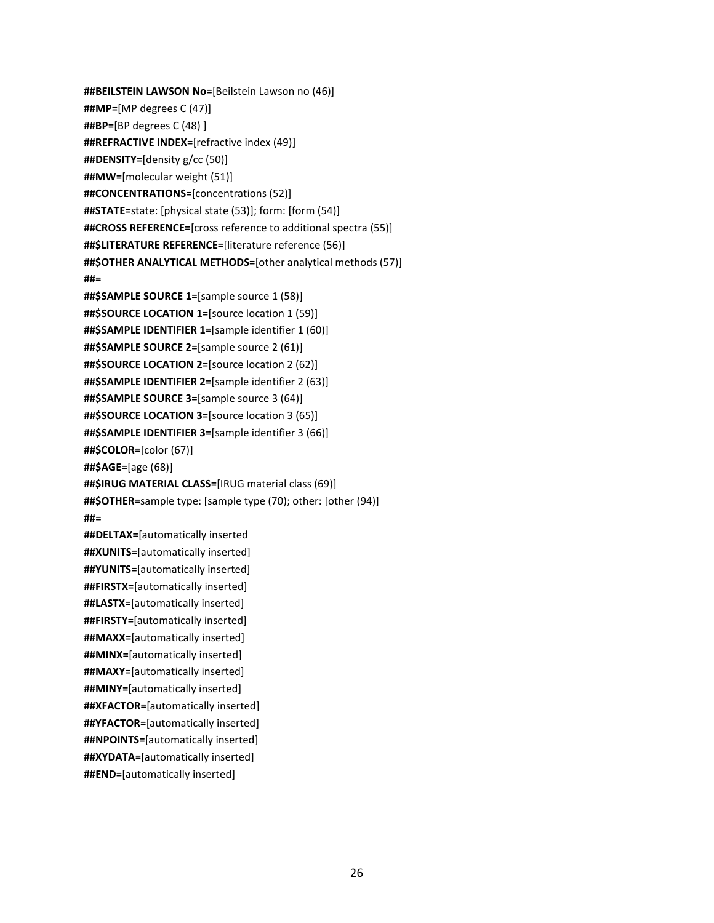**##BEILSTEIN LAWSON No=**[Beilstein Lawson no (46)] **##MP=**[MP degrees C (47)] **##BP=**[BP degrees C (48) ] **##REFRACTIVE INDEX=**[refractive index (49)] **##DENSITY=**[density g/cc (50)] **##MW=**[molecular weight (51)] **##CONCENTRATIONS=**[concentrations (52)] **##STATE=**state: [physical state (53)]; form: [form (54)] **##CROSS REFERENCE=**[cross reference to additional spectra (55)] **##\$LITERATURE REFERENCE=**[literature reference (56)] **##\$OTHER ANALYTICAL METHODS=**[other analytical methods (57)] **##= ##\$SAMPLE SOURCE 1=**[sample source 1 (58)] **##\$SOURCE LOCATION 1=**[source location 1 (59)] **##\$SAMPLE IDENTIFIER 1=**[sample identifier 1 (60)] **##\$SAMPLE SOURCE 2=**[sample source 2 (61)] **##\$SOURCE LOCATION 2=**[source location 2 (62)] **##\$SAMPLE IDENTIFIER 2=**[sample identifier 2 (63)] **##\$SAMPLE SOURCE 3=**[sample source 3 (64)] **##\$SOURCE LOCATION 3=**[source location 3 (65)] **##\$SAMPLE IDENTIFIER 3=**[sample identifier 3 (66)] **##\$COLOR=**[color (67)] **##\$AGE=**[age (68)] **##\$IRUG MATERIAL CLASS=**[IRUG material class (69)] **##\$OTHER=**sample type: [sample type (70); other: [other (94)] **##= ##DELTAX=**[automatically inserted **##XUNITS=**[automatically inserted] **##YUNITS=**[automatically inserted] **##FIRSTX=**[automatically inserted] **##LASTX=**[automatically inserted] **##FIRSTY=**[automatically inserted] **##MAXX=**[automatically inserted] **##MINX=**[automatically inserted] **##MAXY=**[automatically inserted] **##MINY=**[automatically inserted] **##XFACTOR=**[automatically inserted] **##YFACTOR=**[automatically inserted] **##NPOINTS=**[automatically inserted] **##XYDATA=**[automatically inserted]

**##END=**[automatically inserted]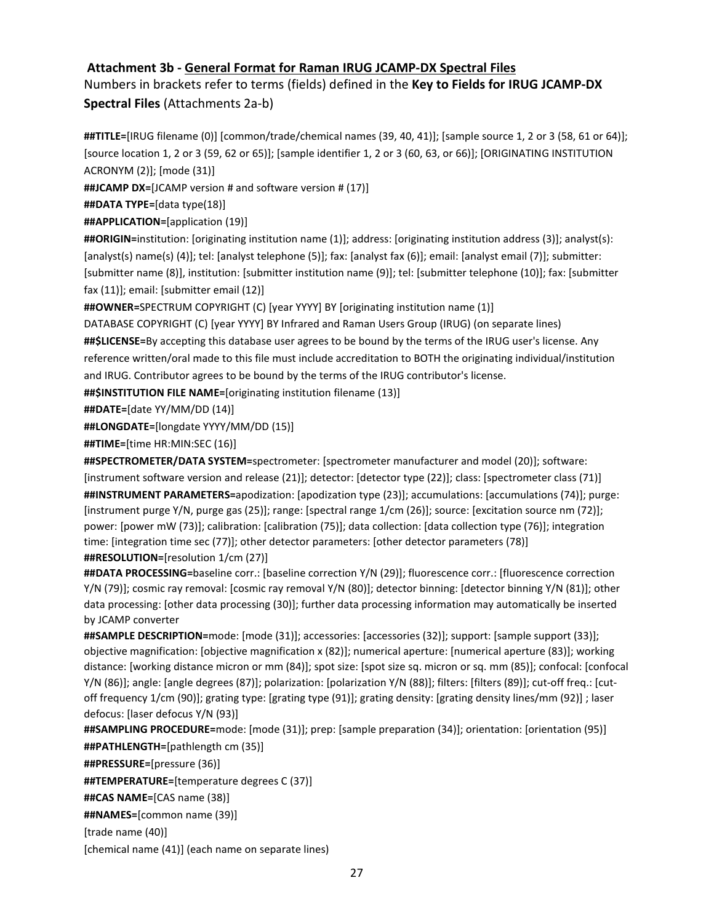## **Attachment 3b - General Format for Raman IRUG JCAMP-DX Spectral Files**

Numbers in brackets refer to terms (fields) defined in the **Key to Fields for IRUG JCAMP-DX Spectral Files** (Attachments 2a-b)

**##TITLE=**[IRUG filename (0)] [common/trade/chemical names (39, 40, 41)]; [sample source 1, 2 or 3 (58, 61 or 64)]; [source location 1, 2 or 3 (59, 62 or 65)]; [sample identifier 1, 2 or 3 (60, 63, or 66)]; [ORIGINATING INSTITUTION ACRONYM (2)]; [mode (31)]

**##JCAMP DX=**[JCAMP version # and software version # (17)]

**##DATA TYPE=**[data type(18)]

**##APPLICATION=**[application (19)]

**##ORIGIN=**institution: [originating institution name (1)]; address: [originating institution address (3)]; analyst(s): [analyst(s) name(s) (4)]; tel: [analyst telephone (5)]; fax: [analyst fax (6)]; email: [analyst email (7)]; submitter: [submitter name (8)], institution: [submitter institution name (9)]; tel: [submitter telephone (10)]; fax: [submitter fax (11)]; email: [submitter email (12)]

**##OWNER=**SPECTRUM COPYRIGHT (C) [year YYYY] BY [originating institution name (1)]

DATABASE COPYRIGHT (C) [year YYYY] BY Infrared and Raman Users Group (IRUG) (on separate lines) **##\$LICENSE=**By accepting this database user agrees to be bound by the terms of the IRUG user's license. Any reference written/oral made to this file must include accreditation to BOTH the originating individual/institution and IRUG. Contributor agrees to be bound by the terms of the IRUG contributor's license.

**##\$INSTITUTION FILE NAME=**[originating institution filename (13)]

**##DATE=**[date YY/MM/DD (14)]

**##LONGDATE=**[longdate YYYY/MM/DD (15)]

**##TIME=**[time HR:MIN:SEC (16)]

**##SPECTROMETER/DATA SYSTEM=**spectrometer: [spectrometer manufacturer and model (20)]; software: [instrument software version and release (21)]; detector: [detector type (22)]; class: [spectrometer class (71)] **##INSTRUMENT PARAMETERS=**apodization: [apodization type (23)]; accumulations: [accumulations (74)]; purge: [instrument purge Y/N, purge gas (25)]; range: [spectral range 1/cm (26)]; source: [excitation source nm (72)]; power: [power mW (73)]; calibration: [calibration (75)]; data collection: [data collection type (76)]; integration time: [integration time sec (77)]; other detector parameters: [other detector parameters (78)] **##RESOLUTION=**[resolution 1/cm (27)]

**##DATA PROCESSING=**baseline corr.: [baseline correction Y/N (29)]; fluorescence corr.: [fluorescence correction Y/N (79)]; cosmic ray removal: [cosmic ray removal Y/N (80)]; detector binning: [detector binning Y/N (81)]; other data processing: [other data processing (30)]; further data processing information may automatically be inserted by JCAMP converter

**##SAMPLE DESCRIPTION=**mode: [mode (31)]; accessories: [accessories (32)]; support: [sample support (33)]; objective magnification: [objective magnification x (82)]; numerical aperture: [numerical aperture (83)]; working distance: [working distance micron or mm (84)]; spot size: [spot size sq. micron or sq. mm (85)]; confocal: [confocal Y/N (86)]; angle: [angle degrees (87)]; polarization: [polarization Y/N (88)]; filters: [filters (89)]; cut-off freq.: [cutoff frequency 1/cm (90)]; grating type: [grating type (91)]; grating density: [grating density lines/mm (92)] ; laser defocus: [laser defocus Y/N (93)]

**##SAMPLING PROCEDURE=**mode: [mode (31)]; prep: [sample preparation (34)]; orientation: [orientation (95)] **##PATHLENGTH=**[pathlength cm (35)]

**##PRESSURE=**[pressure (36)]

**##TEMPERATURE=**[temperature degrees C (37)]

**##CAS NAME=**[CAS name (38)]

**##NAMES=**[common name (39)]

[trade name (40)]

[chemical name (41)] (each name on separate lines)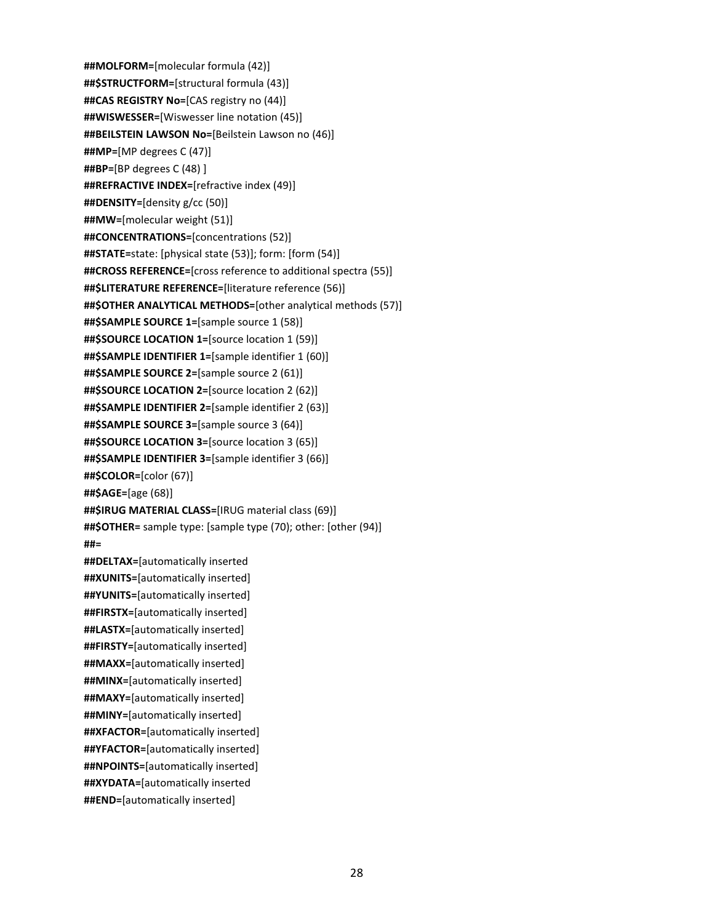**##MOLFORM=**[molecular formula (42)] **##\$STRUCTFORM=**[structural formula (43)] **##CAS REGISTRY No=**[CAS registry no (44)] **##WISWESSER=**[Wiswesser line notation (45)] **##BEILSTEIN LAWSON No=**[Beilstein Lawson no (46)] **##MP=**[MP degrees C (47)] **##BP=**[BP degrees C (48) ] **##REFRACTIVE INDEX=**[refractive index (49)] **##DENSITY=**[density g/cc (50)] **##MW=**[molecular weight (51)] **##CONCENTRATIONS=**[concentrations (52)] **##STATE=**state: [physical state (53)]; form: [form (54)] **##CROSS REFERENCE=**[cross reference to additional spectra (55)] **##\$LITERATURE REFERENCE=**[literature reference (56)] **##\$OTHER ANALYTICAL METHODS=**[other analytical methods (57)] **##\$SAMPLE SOURCE 1=**[sample source 1 (58)] **##\$SOURCE LOCATION 1=**[source location 1 (59)] **##\$SAMPLE IDENTIFIER 1=**[sample identifier 1 (60)] **##\$SAMPLE SOURCE 2=**[sample source 2 (61)] **##\$SOURCE LOCATION 2=**[source location 2 (62)] **##\$SAMPLE IDENTIFIER 2=**[sample identifier 2 (63)] **##\$SAMPLE SOURCE 3=**[sample source 3 (64)] **##\$SOURCE LOCATION 3=**[source location 3 (65)] **##\$SAMPLE IDENTIFIER 3=**[sample identifier 3 (66)] **##\$COLOR=**[color (67)] **##\$AGE=**[age (68)] **##\$IRUG MATERIAL CLASS=**[IRUG material class (69)] **##\$OTHER=** sample type: [sample type (70); other: [other (94)] **##= ##DELTAX=**[automatically inserted **##XUNITS=**[automatically inserted] **##YUNITS=**[automatically inserted] **##FIRSTX=**[automatically inserted] **##LASTX=**[automatically inserted] **##FIRSTY=**[automatically inserted] **##MAXX=**[automatically inserted] **##MINX=**[automatically inserted] **##MAXY=**[automatically inserted] **##MINY=**[automatically inserted] **##XFACTOR=**[automatically inserted] **##YFACTOR=**[automatically inserted] **##NPOINTS=**[automatically inserted] **##XYDATA=**[automatically inserted **##END=**[automatically inserted]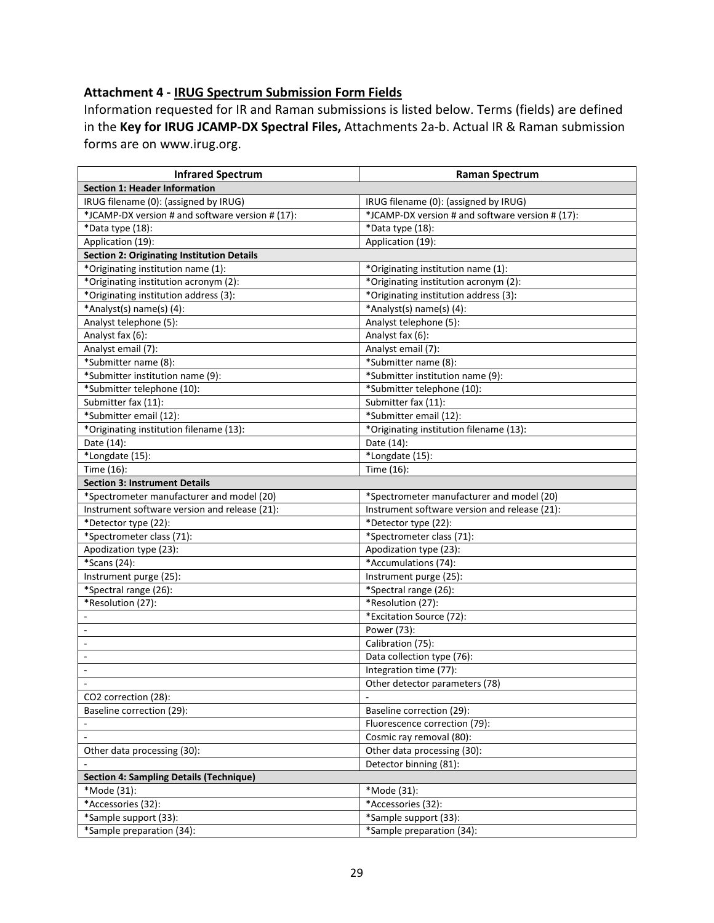# **Attachment 4 - IRUG Spectrum Submission Form Fields**

Information requested for IR and Raman submissions is listed below. Terms (fields) are defined in the **Key for IRUG JCAMP-DX Spectral Files,** Attachments 2a-b. Actual IR & Raman submission forms are on www.irug.org.

| <b>Infrared Spectrum</b>                         | <b>Raman Spectrum</b>                            |
|--------------------------------------------------|--------------------------------------------------|
| <b>Section 1: Header Information</b>             |                                                  |
| IRUG filename (0): (assigned by IRUG)            | IRUG filename (0): (assigned by IRUG)            |
| *JCAMP-DX version # and software version # (17): | *JCAMP-DX version # and software version # (17): |
| *Data type (18):                                 | *Data type (18):                                 |
| Application (19):                                | Application (19):                                |
| Section 2: Originating Institution Details       |                                                  |
| *Originating institution name (1):               | *Originating institution name (1):               |
| *Originating institution acronym (2):            | *Originating institution acronym (2):            |
| *Originating institution address (3):            | *Originating institution address (3):            |
| *Analyst(s) name(s) (4):                         | *Analyst(s) name(s) (4):                         |
| Analyst telephone (5):                           | Analyst telephone (5):                           |
| Analyst fax (6):                                 | Analyst fax (6):                                 |
| Analyst email (7):                               | Analyst email (7):                               |
| *Submitter name (8):                             | *Submitter name (8):                             |
| *Submitter institution name (9):                 | *Submitter institution name (9):                 |
| *Submitter telephone (10):                       | *Submitter telephone (10):                       |
| Submitter fax (11):                              | Submitter fax (11):                              |
| *Submitter email (12):                           | *Submitter email (12):                           |
| *Originating institution filename (13):          | *Originating institution filename (13):          |
| Date (14):                                       | Date (14):                                       |
| *Longdate (15):                                  | *Longdate (15):                                  |
| Time (16):                                       | Time (16):                                       |
| <b>Section 3: Instrument Details</b>             |                                                  |
| *Spectrometer manufacturer and model (20)        | *Spectrometer manufacturer and model (20)        |
| Instrument software version and release (21):    | Instrument software version and release (21):    |
| *Detector type (22):                             | *Detector type (22):                             |
| *Spectrometer class (71):                        | *Spectrometer class (71):                        |
| Apodization type (23):                           | Apodization type (23):                           |
| *Scans (24):                                     | *Accumulations (74):                             |
| Instrument purge (25):                           | Instrument purge (25):                           |
| *Spectral range (26):                            | *Spectral range (26):                            |
| *Resolution (27):                                | *Resolution (27):                                |
|                                                  | *Excitation Source (72):                         |
| $\overline{\phantom{a}}$                         | Power (73):                                      |
| $\overline{\phantom{a}}$                         | Calibration (75):                                |
| $\overline{\phantom{a}}$                         | Data collection type (76):                       |
| $\Box$                                           | Integration time (77):                           |
|                                                  | Other detector parameters (78)                   |
| CO2 correction (28):                             |                                                  |
| Baseline correction (29):                        | Baseline correction (29):                        |
|                                                  | Fluorescence correction (79):                    |
|                                                  | Cosmic ray removal (80):                         |
| Other data processing (30):                      | Other data processing (30):                      |
|                                                  | Detector binning (81):                           |
| <b>Section 4: Sampling Details (Technique)</b>   |                                                  |
| *Mode (31):                                      | *Mode (31):                                      |
| *Accessories (32):                               | *Accessories (32):                               |
| *Sample support (33):                            | *Sample support (33):                            |
| *Sample preparation (34):                        | *Sample preparation (34):                        |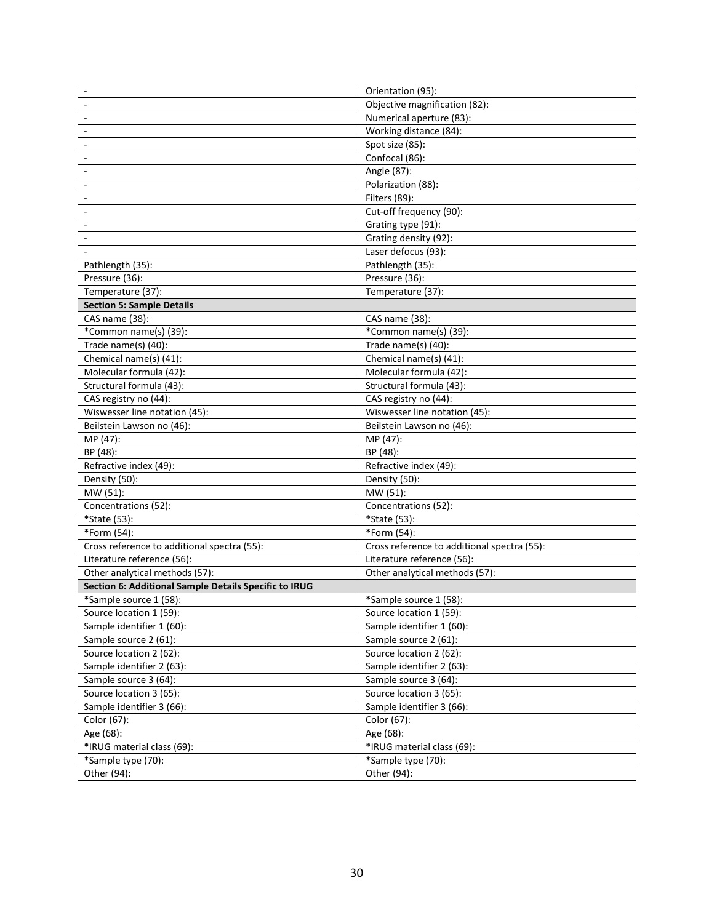| $\sim$                                                | Orientation (95):                           |
|-------------------------------------------------------|---------------------------------------------|
|                                                       | Objective magnification (82):               |
| ÷.                                                    | Numerical aperture (83):                    |
| ÷.                                                    | Working distance (84):                      |
|                                                       | Spot size (85):                             |
|                                                       | Confocal (86):                              |
|                                                       | Angle (87):                                 |
|                                                       | Polarization (88):                          |
|                                                       | Filters (89):                               |
|                                                       | Cut-off frequency (90):                     |
|                                                       | Grating type (91):                          |
|                                                       | Grating density (92):                       |
|                                                       | Laser defocus (93):                         |
| Pathlength (35):                                      | Pathlength (35):                            |
| Pressure (36):                                        | Pressure (36):                              |
| Temperature (37):                                     | Temperature (37):                           |
| <b>Section 5: Sample Details</b>                      |                                             |
| CAS name (38):                                        | CAS name (38):                              |
| *Common name(s) (39):                                 | *Common name(s) (39):                       |
| Trade name(s) (40):                                   | Trade name(s) (40):                         |
| Chemical name(s) (41):                                | Chemical name(s) (41):                      |
| Molecular formula (42):                               | Molecular formula (42):                     |
| Structural formula (43):                              | Structural formula (43):                    |
| CAS registry no (44):                                 | CAS registry no (44):                       |
| Wiswesser line notation (45):                         | Wiswesser line notation (45):               |
| Beilstein Lawson no (46):                             | Beilstein Lawson no (46):                   |
| MP (47):                                              | MP (47):                                    |
| BP (48):                                              | BP (48):                                    |
| Refractive index (49):                                | Refractive index (49):                      |
| Density (50):                                         | Density (50):                               |
| MW (51):                                              | MW (51):                                    |
| Concentrations (52):                                  | Concentrations (52):                        |
| *State (53):                                          | *State (53):                                |
| *Form (54):                                           | *Form (54):                                 |
| Cross reference to additional spectra (55):           | Cross reference to additional spectra (55): |
| Literature reference (56):                            | Literature reference (56):                  |
| Other analytical methods (57):                        | Other analytical methods (57):              |
| Section 6: Additional Sample Details Specific to IRUG |                                             |
| *Sample source 1 (58):                                | *Sample source 1 (58):                      |
| Source location 1 (59):                               | Source location 1 (59):                     |
| Sample identifier 1 (60):                             | Sample identifier 1 (60):                   |
| Sample source 2 (61):                                 | Sample source 2 (61):                       |
| Source location 2 (62):                               | Source location 2 (62):                     |
|                                                       |                                             |
| Sample identifier 2 (63):                             | Sample identifier 2 (63):                   |
| Sample source 3 (64):                                 | Sample source 3 (64):                       |
| Source location 3 (65):                               | Source location 3 (65):                     |
| Sample identifier 3 (66):                             | Sample identifier 3 (66):                   |
| Color (67):                                           | Color (67):                                 |
| Age (68):                                             | Age (68):                                   |
| *IRUG material class (69):                            | *IRUG material class (69):                  |
| *Sample type (70):                                    | *Sample type (70):                          |
| Other (94):                                           | Other (94):                                 |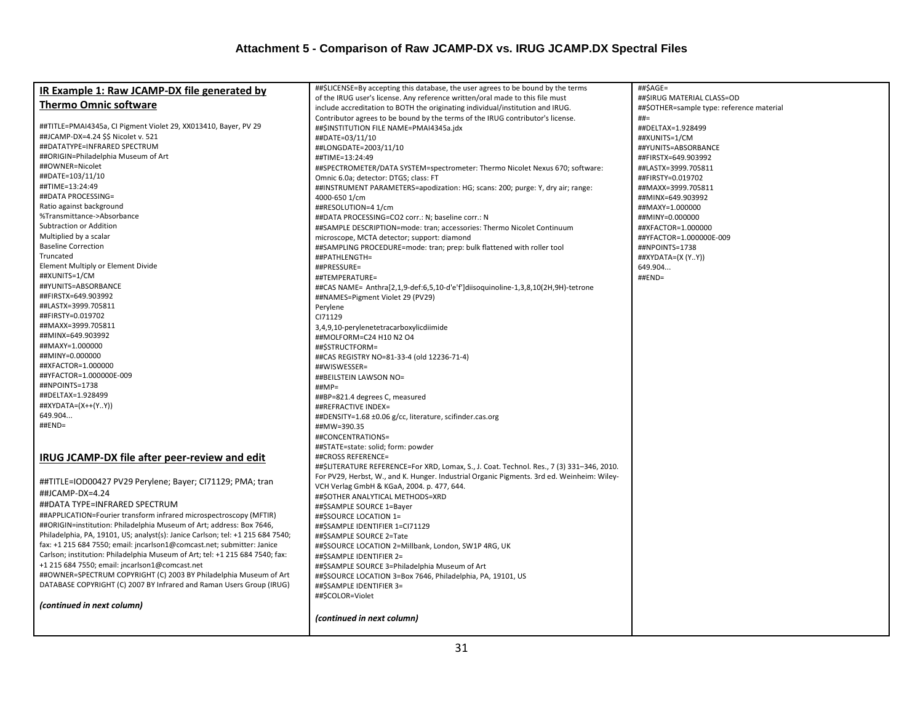| IR Example 1: Raw JCAMP-DX file generated by<br>of the IRUG user's license. Any reference written/oral made to this file must<br>##\$IRUG MATERIAL CLASS=OD<br><b>Thermo Omnic software</b><br>include accreditation to BOTH the originating individual/institution and IRUG.<br>##\$OTHER=sample type: reference material<br>Contributor agrees to be bound by the terms of the IRUG contributor's license.<br>$##=$<br>##TITLE=PMAI4345a, CI Pigment Violet 29, XX013410, Bayer, PV 29<br>##DELTAX=1.928499 |  |
|---------------------------------------------------------------------------------------------------------------------------------------------------------------------------------------------------------------------------------------------------------------------------------------------------------------------------------------------------------------------------------------------------------------------------------------------------------------------------------------------------------------|--|
|                                                                                                                                                                                                                                                                                                                                                                                                                                                                                                               |  |
|                                                                                                                                                                                                                                                                                                                                                                                                                                                                                                               |  |
|                                                                                                                                                                                                                                                                                                                                                                                                                                                                                                               |  |
| ##\$INSTITUTION FILE NAME=PMAI4345a.jdx<br>##JCAMP-DX=4.24 \$\$ Nicolet v. 521                                                                                                                                                                                                                                                                                                                                                                                                                                |  |
| ##DATE=03/11/10<br>##XUNITS=1/CM<br>##DATATYPE=INFRARED SPECTRUM<br>##LONGDATE=2003/11/10                                                                                                                                                                                                                                                                                                                                                                                                                     |  |
| ##YUNITS=ABSORBANCE<br>##ORIGIN=Philadelphia Museum of Art<br>##TIME=13:24:49<br>##FIRSTX=649.903992                                                                                                                                                                                                                                                                                                                                                                                                          |  |
| ##OWNER=Nicolet<br>##SPECTROMETER/DATA SYSTEM=spectrometer: Thermo Nicolet Nexus 670; software:<br>##LASTX=3999.705811                                                                                                                                                                                                                                                                                                                                                                                        |  |
| ##DATE=103/11/10<br>Omnic 6.0a; detector: DTGS; class: FT<br>##FIRSTY=0.019702                                                                                                                                                                                                                                                                                                                                                                                                                                |  |
| ##TIME=13:24:49<br>##INSTRUMENT PARAMETERS=apodization: HG; scans: 200; purge: Y, dry air; range:<br>##MAXX=3999.705811                                                                                                                                                                                                                                                                                                                                                                                       |  |
| ##DATA PROCESSING=<br>4000-650 1/cm<br>##MINX=649.903992                                                                                                                                                                                                                                                                                                                                                                                                                                                      |  |
| Ratio against background<br>##RESOLUTION=4 1/cm<br>##MAXY=1.000000                                                                                                                                                                                                                                                                                                                                                                                                                                            |  |
| %Transmittance->Absorbance<br>##DATA PROCESSING=CO2 corr.: N; baseline corr.: N<br>##MINY=0.000000                                                                                                                                                                                                                                                                                                                                                                                                            |  |
| Subtraction or Addition<br>##SAMPLE DESCRIPTION=mode: tran; accessories: Thermo Nicolet Continuum<br>##XFACTOR=1.000000                                                                                                                                                                                                                                                                                                                                                                                       |  |
| Multiplied by a scalar<br>microscope, MCTA detector; support: diamond<br>##YFACTOR=1.000000E-009                                                                                                                                                                                                                                                                                                                                                                                                              |  |
| <b>Baseline Correction</b><br>##SAMPLING PROCEDURE=mode: tran; prep: bulk flattened with roller tool<br>##NPOINTS=1738                                                                                                                                                                                                                                                                                                                                                                                        |  |
| Truncated<br>##PATHLENGTH=<br>##XYDATA=(X (YY))                                                                                                                                                                                                                                                                                                                                                                                                                                                               |  |
| Element Multiply or Element Divide<br>##PRESSURE=<br>649.904                                                                                                                                                                                                                                                                                                                                                                                                                                                  |  |
| ##XUNITS=1/CM<br>##TEMPERATURE=<br>##END=                                                                                                                                                                                                                                                                                                                                                                                                                                                                     |  |
| ##YUNITS=ABSORBANCE<br>##CAS NAME= Anthra[2,1,9-def:6,5,10-d'e'f']diisoquinoline-1,3,8,10(2H,9H)-tetrone                                                                                                                                                                                                                                                                                                                                                                                                      |  |
| ##FIRSTX=649.903992<br>##NAMES=Pigment Violet 29 (PV29)                                                                                                                                                                                                                                                                                                                                                                                                                                                       |  |
| ##LASTX=3999.705811<br>Perylene                                                                                                                                                                                                                                                                                                                                                                                                                                                                               |  |
| ##FIRSTY=0.019702<br>CI71129                                                                                                                                                                                                                                                                                                                                                                                                                                                                                  |  |
| ##MAXX=3999.705811<br>3,4,9,10-perylenetetracarboxylicdiimide                                                                                                                                                                                                                                                                                                                                                                                                                                                 |  |
| ##MINX=649.903992<br>##MOLFORM=C24 H10 N2 O4                                                                                                                                                                                                                                                                                                                                                                                                                                                                  |  |
| ##MAXY=1.000000<br>##\$STRUCTFORM=                                                                                                                                                                                                                                                                                                                                                                                                                                                                            |  |
| ##MINY=0.000000<br>##CAS REGISTRY NO=81-33-4 (old 12236-71-4)                                                                                                                                                                                                                                                                                                                                                                                                                                                 |  |
| ##XFACTOR=1.000000<br>##WISWESSER=                                                                                                                                                                                                                                                                                                                                                                                                                                                                            |  |
| ##YFACTOR=1.000000E-009<br>##BEILSTEIN LAWSON NO=                                                                                                                                                                                                                                                                                                                                                                                                                                                             |  |
| ##NPOINTS=1738<br>##MP=                                                                                                                                                                                                                                                                                                                                                                                                                                                                                       |  |
| ##DELTAX=1.928499<br>##BP=821.4 degrees C, measured                                                                                                                                                                                                                                                                                                                                                                                                                                                           |  |
| ##XYDATA=(X++(YY))<br>##REFRACTIVE INDEX=                                                                                                                                                                                                                                                                                                                                                                                                                                                                     |  |
| 649.904<br>##DENSITY=1.68 ±0.06 g/cc, literature, scifinder.cas.org                                                                                                                                                                                                                                                                                                                                                                                                                                           |  |
| ##END=<br>##MW=390.35                                                                                                                                                                                                                                                                                                                                                                                                                                                                                         |  |
| ##CONCENTRATIONS=                                                                                                                                                                                                                                                                                                                                                                                                                                                                                             |  |
| ##STATE=state: solid; form: powder                                                                                                                                                                                                                                                                                                                                                                                                                                                                            |  |
| IRUG JCAMP-DX file after peer-review and edit<br>##CROSS REFERENCE=                                                                                                                                                                                                                                                                                                                                                                                                                                           |  |
| ##\$LITERATURE REFERENCE=For XRD, Lomax, S., J. Coat. Technol. Res., 7 (3) 331-346, 2010.                                                                                                                                                                                                                                                                                                                                                                                                                     |  |
| For PV29, Herbst, W., and K. Hunger. Industrial Organic Pigments. 3rd ed. Weinheim: Wiley-<br>##TITLE=IOD00427 PV29 Perylene; Bayer; CI71129; PMA; tran                                                                                                                                                                                                                                                                                                                                                       |  |
| VCH Verlag GmbH & KGaA, 2004. p. 477, 644.<br>##JCAMP-DX=4.24                                                                                                                                                                                                                                                                                                                                                                                                                                                 |  |
| ##\$OTHER ANALYTICAL METHODS=XRD<br>##DATA TYPE=INFRARED SPECTRUM<br>##\$SAMPLE SOURCE 1=Bayer                                                                                                                                                                                                                                                                                                                                                                                                                |  |
| ##APPLICATION=Fourier transform infrared microspectroscopy (MFTIR)<br>##\$SOURCE LOCATION 1=                                                                                                                                                                                                                                                                                                                                                                                                                  |  |
| ##ORIGIN=institution: Philadelphia Museum of Art; address: Box 7646,<br>##\$SAMPLE IDENTIFIER 1=CI71129                                                                                                                                                                                                                                                                                                                                                                                                       |  |
| Philadelphia, PA, 19101, US; analyst(s): Janice Carlson; tel: +1 215 684 7540;<br>##\$SAMPLE SOURCE 2=Tate                                                                                                                                                                                                                                                                                                                                                                                                    |  |
| fax: +1 215 684 7550; email: jncarlson1@comcast.net; submitter: Janice<br>##\$SOURCE LOCATION 2=Millbank, London, SW1P 4RG, UK                                                                                                                                                                                                                                                                                                                                                                                |  |
| Carlson; institution: Philadelphia Museum of Art; tel: +1 215 684 7540; fax:<br>##\$SAMPLE IDENTIFIER 2=                                                                                                                                                                                                                                                                                                                                                                                                      |  |
| +1 215 684 7550; email: jncarlson1@comcast.net<br>##\$SAMPLE SOURCE 3=Philadelphia Museum of Art                                                                                                                                                                                                                                                                                                                                                                                                              |  |
| ##OWNER=SPECTRUM COPYRIGHT (C) 2003 BY Philadelphia Museum of Art<br>##\$SOURCE LOCATION 3=Box 7646, Philadelphia, PA, 19101, US                                                                                                                                                                                                                                                                                                                                                                              |  |
| DATABASE COPYRIGHT (C) 2007 BY Infrared and Raman Users Group (IRUG)<br>##\$SAMPLE IDENTIFIER 3=                                                                                                                                                                                                                                                                                                                                                                                                              |  |
| ##\$COLOR=Violet                                                                                                                                                                                                                                                                                                                                                                                                                                                                                              |  |
| (continued in next column)                                                                                                                                                                                                                                                                                                                                                                                                                                                                                    |  |
| (continued in next column)                                                                                                                                                                                                                                                                                                                                                                                                                                                                                    |  |
|                                                                                                                                                                                                                                                                                                                                                                                                                                                                                                               |  |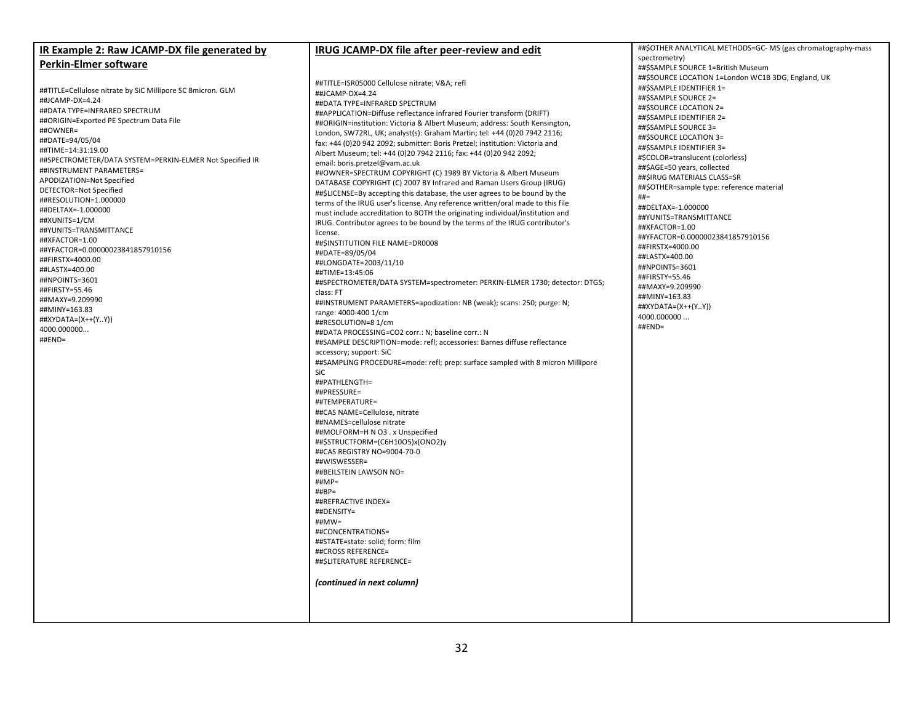| IR Example 2: Raw JCAMP-DX file generated by                                         | IRUG JCAMP-DX file after peer-review and edit                                                                                                                | ##\$OTHER ANALYTICAL METHODS=GC-MS (gas chromatography-mass |
|--------------------------------------------------------------------------------------|--------------------------------------------------------------------------------------------------------------------------------------------------------------|-------------------------------------------------------------|
| <b>Perkin-Elmer software</b>                                                         |                                                                                                                                                              | spectrometry)<br>##\$SAMPLE SOURCE 1=British Museum         |
|                                                                                      |                                                                                                                                                              | ##\$SOURCE LOCATION 1=London WC1B 3DG, England, UK          |
| ##TITLE=Cellulose nitrate by SiC Millipore SC 8micron. GLM                           | ##TITLE=ISR05000 Cellulose nitrate; V&A refl<br>##JCAMP-DX=4.24                                                                                              | ##\$SAMPLE IDENTIFIER 1=                                    |
| ##JCAMP-DX=4.24                                                                      | ##DATA TYPE=INFRARED SPECTRUM                                                                                                                                | ##\$SAMPLE SOURCE 2=                                        |
| ##DATA TYPE=INFRARED SPECTRUM                                                        | ##APPLICATION=Diffuse reflectance infrared Fourier transform (DRIFT)                                                                                         | ##\$SOURCE LOCATION 2=                                      |
| ##ORIGIN=Exported PE Spectrum Data File                                              | ##ORIGIN=institution: Victoria & Albert Museum; address: South Kensington,                                                                                   | ##\$SAMPLE IDENTIFIER 2=                                    |
| ##OWNER=                                                                             | London, SW72RL, UK; analyst(s): Graham Martin; tel: +44 (0)20 7942 2116;                                                                                     | ##\$SAMPLE SOURCE 3=                                        |
| ##DATE=94/05/04                                                                      | fax: +44 (0)20 942 2092; submitter: Boris Pretzel; institution: Victoria and                                                                                 | ##\$SOURCE LOCATION 3=<br>##\$SAMPLE IDENTIFIER 3=          |
| ##TIME=14:31:19.00                                                                   | Albert Museum; tel: +44 (0)20 7942 2116; fax: +44 (0)20 942 2092;                                                                                            | #\$COLOR=translucent (colorless)                            |
| ##SPECTROMETER/DATA SYSTEM=PERKIN-ELMER Not Specified IR<br>##INSTRUMENT PARAMETERS= | email: boris.pretzel@vam.ac.uk                                                                                                                               | ##\$AGE=50 years, collected                                 |
| APODIZATION=Not Specified                                                            | ##OWNER=SPECTRUM COPYRIGHT (C) 1989 BY Victoria & Albert Museum                                                                                              | ##\$IRUG MATERIALS CLASS=SR                                 |
| DETECTOR=Not Specified                                                               | DATABASE COPYRIGHT (C) 2007 BY Infrared and Raman Users Group (IRUG)                                                                                         | ##\$OTHER=sample type: reference material                   |
| ##RESOLUTION=1.000000                                                                | ##\$LICENSE=By accepting this database, the user agrees to be bound by the<br>terms of the IRUG user's license. Any reference written/oral made to this file | $##=$                                                       |
| ##DELTAX=-1.000000                                                                   | must include accreditation to BOTH the originating individual/institution and                                                                                | ##DELTAX=-1.000000                                          |
| ##XUNITS=1/CM                                                                        | IRUG. Contributor agrees to be bound by the terms of the IRUG contributor's                                                                                  | ##YUNITS=TRANSMITTANCE                                      |
| ##YUNITS=TRANSMITTANCE                                                               | license.                                                                                                                                                     | ##XFACTOR=1.00                                              |
| ##XFACTOR=1.00                                                                       | ##\$INSTITUTION FILE NAME=DR0008                                                                                                                             | ##YFACTOR=0.00000023841857910156<br>##FIRSTX=4000.00        |
| ##YFACTOR=0.00000023841857910156                                                     | ##DATE=89/05/04                                                                                                                                              | ##LASTX=400.00                                              |
| ##FIRSTX=4000.00                                                                     | ##LONGDATE=2003/11/10                                                                                                                                        | ##NPOINTS=3601                                              |
| ##LASTX=400.00<br>##NPOINTS=3601                                                     | ##TIME=13:45:06                                                                                                                                              | ##FIRSTY=55.46                                              |
| ##FIRSTY=55.46                                                                       | ##SPECTROMETER/DATA SYSTEM=spectrometer: PERKIN-ELMER 1730; detector: DTGS;                                                                                  | ##MAXY=9.209990                                             |
| ##MAXY=9.209990                                                                      | class: FT                                                                                                                                                    | ##MINY=163.83                                               |
| ##MINY=163.83                                                                        | ##INSTRUMENT PARAMETERS=apodization: NB (weak); scans: 250; purge: N;<br>range: 4000-400 1/cm                                                                | ##XYDATA=(X++(YY))                                          |
| ##XYDATA=(X++(YY))                                                                   | ##RESOLUTION=8 1/cm                                                                                                                                          | 4000.000000                                                 |
| 4000.000000                                                                          | ##DATA PROCESSING=CO2 corr.: N; baseline corr.: N                                                                                                            | ##END=                                                      |
| $\#$ #END=                                                                           | ##SAMPLE DESCRIPTION=mode: refl; accessories: Barnes diffuse reflectance                                                                                     |                                                             |
|                                                                                      | accessory; support: SiC                                                                                                                                      |                                                             |
|                                                                                      | ##SAMPLING PROCEDURE=mode: refl; prep: surface sampled with 8 micron Millipore                                                                               |                                                             |
|                                                                                      | SiC                                                                                                                                                          |                                                             |
|                                                                                      | ##PATHLENGTH=                                                                                                                                                |                                                             |
|                                                                                      | ##PRESSURE=                                                                                                                                                  |                                                             |
|                                                                                      | ##TEMPERATURE=<br>##CAS NAME=Cellulose, nitrate                                                                                                              |                                                             |
|                                                                                      | ##NAMES=cellulose nitrate                                                                                                                                    |                                                             |
|                                                                                      | ##MOLFORM=H N O3 . x Unspecified                                                                                                                             |                                                             |
|                                                                                      | ##\$STRUCTFORM=(C6H10O5)x(ONO2)y                                                                                                                             |                                                             |
|                                                                                      | ##CAS REGISTRY NO=9004-70-0                                                                                                                                  |                                                             |
|                                                                                      | ##WISWESSER=                                                                                                                                                 |                                                             |
|                                                                                      | ##BEILSTEIN LAWSON NO=                                                                                                                                       |                                                             |
|                                                                                      | $\#HMP =$                                                                                                                                                    |                                                             |
|                                                                                      | $\# \# BP =$<br>##REFRACTIVE INDEX=                                                                                                                          |                                                             |
|                                                                                      | ##DENSITY=                                                                                                                                                   |                                                             |
|                                                                                      | $\#$ #MW=                                                                                                                                                    |                                                             |
|                                                                                      | ##CONCENTRATIONS=                                                                                                                                            |                                                             |
|                                                                                      | ##STATE=state: solid; form: film                                                                                                                             |                                                             |
|                                                                                      | ##CROSS REFERENCE=                                                                                                                                           |                                                             |
|                                                                                      | ##\$LITERATURE REFERENCE=                                                                                                                                    |                                                             |
|                                                                                      | (continued in next column)                                                                                                                                   |                                                             |
|                                                                                      |                                                                                                                                                              |                                                             |
|                                                                                      |                                                                                                                                                              |                                                             |
|                                                                                      |                                                                                                                                                              |                                                             |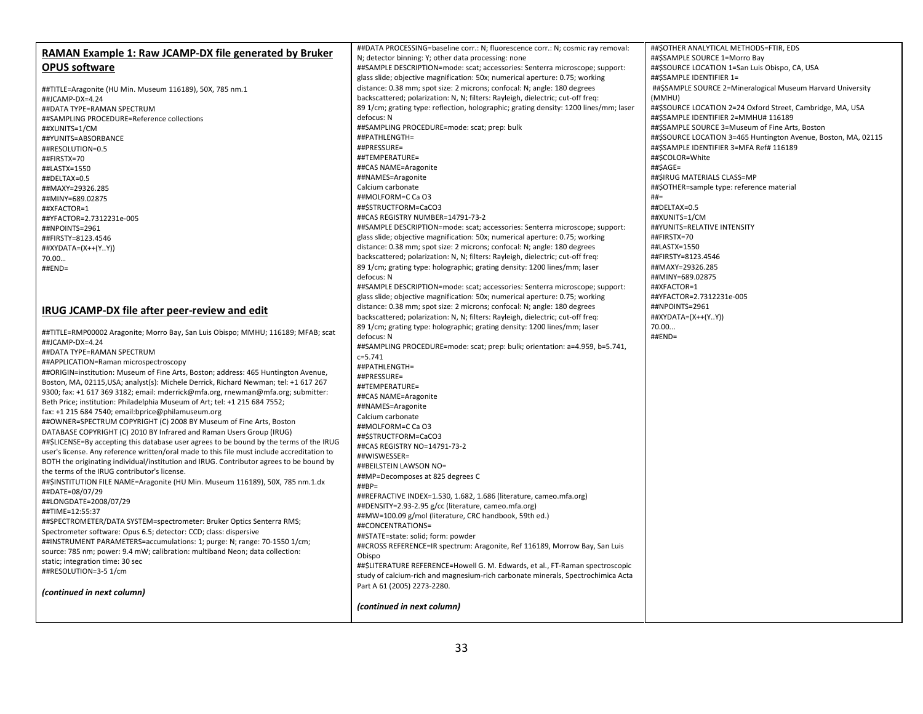| RAMAN Example 1: Raw JCAMP-DX file generated by Bruker                                     | ##DATA PROCESSING=baseline corr.: N; fluorescence corr.: N; cosmic ray removal:       | ##\$OTHER ANALYTICAL METHODS=FTIR, EDS                         |
|--------------------------------------------------------------------------------------------|---------------------------------------------------------------------------------------|----------------------------------------------------------------|
|                                                                                            | N; detector binning: Y; other data processing: none                                   | ##\$SAMPLE SOURCE 1=Morro Bay                                  |
| <b>OPUS software</b>                                                                       | ##SAMPLE DESCRIPTION=mode: scat; accessories: Senterra microscope; support:           | ##\$SOURCE LOCATION 1=San Luis Obispo, CA, USA                 |
|                                                                                            | glass slide; objective magnification: 50x; numerical aperture: 0.75; working          | ##\$SAMPLE IDENTIFIER 1=                                       |
| ##TITLE=Aragonite (HU Min. Museum 116189), 50X, 785 nm.1                                   | distance: 0.38 mm; spot size: 2 microns; confocal: N; angle: 180 degrees              | ##\$SAMPLE SOURCE 2=Mineralogical Museum Harvard University    |
| ##JCAMP-DX=4.24                                                                            | backscattered; polarization: N, N; filters: Rayleigh, dielectric; cut-off freq:       | (MMHU)                                                         |
| ##DATA TYPE=RAMAN SPECTRUM                                                                 | 89 1/cm; grating type: reflection, holographic; grating density: 1200 lines/mm; laser | ##\$SOURCE LOCATION 2=24 Oxford Street, Cambridge, MA, USA     |
| ##SAMPLING PROCEDURE=Reference collections                                                 | defocus: N                                                                            | ##\$SAMPLE IDENTIFIER 2=MMHU# 116189                           |
| ##XUNITS=1/CM                                                                              | ##SAMPLING PROCEDURE=mode: scat; prep: bulk                                           | ##\$SAMPLE SOURCE 3=Museum of Fine Arts, Boston                |
| ##YUNITS=ABSORBANCE                                                                        | ##PATHLENGTH=                                                                         | ##\$SOURCE LOCATION 3=465 Huntington Avenue, Boston, MA, 02115 |
| ##RESOLUTION=0.5                                                                           | ##PRESSURE=                                                                           | ##\$SAMPLE IDENTIFIER 3=MFA Ref# 116189                        |
| ##FIRSTX=70                                                                                | ##TEMPERATURE=                                                                        | ##\$COLOR=White                                                |
| ##LASTX=1550                                                                               | ##CAS NAME=Aragonite                                                                  | ##\$AGE=                                                       |
| ##DELTAX=0.5                                                                               | ##NAMES=Aragonite                                                                     | ##\$IRUG MATERIALS CLASS=MP                                    |
| ##MAXY=29326.285                                                                           | Calcium carbonate                                                                     | ##\$OTHER=sample type: reference material                      |
| ##MINY=689.02875                                                                           | ##MOLFORM=C Ca O3                                                                     | $##=$                                                          |
| ##XFACTOR=1                                                                                | ##\$STRUCTFORM=CaCO3                                                                  | ##DELTAX=0.5                                                   |
| ##YFACTOR=2.7312231e-005                                                                   | ##CAS REGISTRY NUMBER=14791-73-2                                                      | ##XUNITS=1/CM                                                  |
| ##NPOINTS=2961                                                                             | ##SAMPLE DESCRIPTION=mode: scat; accessories: Senterra microscope; support:           | ##YUNITS=RELATIVE INTENSITY                                    |
| ##FIRSTY=8123.4546                                                                         | glass slide; objective magnification: 50x; numerical aperture: 0.75; working          | ##FIRSTX=70                                                    |
| ##XYDATA=(X++(YY))                                                                         | distance: 0.38 mm; spot size: 2 microns; confocal: N; angle: 180 degrees              | ##LASTX=1550                                                   |
| 70.00                                                                                      | backscattered; polarization: N, N; filters: Rayleigh, dielectric; cut-off freq:       | ##FIRSTY=8123.4546                                             |
| ##END=                                                                                     | 89 1/cm; grating type: holographic; grating density: 1200 lines/mm; laser             | ##MAXY=29326.285                                               |
|                                                                                            | defocus: N                                                                            | ##MINY=689.02875                                               |
|                                                                                            | ##SAMPLE DESCRIPTION=mode: scat; accessories: Senterra microscope; support:           | ##XFACTOR=1                                                    |
|                                                                                            | glass slide; objective magnification: 50x; numerical aperture: 0.75; working          | ##YFACTOR=2.7312231e-005                                       |
| IRUG JCAMP-DX file after peer-review and edit                                              | distance: 0.38 mm; spot size: 2 microns; confocal: N; angle: 180 degrees              | ##NPOINTS=2961                                                 |
|                                                                                            | backscattered; polarization: N, N; filters: Rayleigh, dielectric; cut-off freq:       | ##XYDATA=(X++(YY))                                             |
| ##TITLE=RMP00002 Aragonite; Morro Bay, San Luis Obispo; MMHU; 116189; MFAB; scat           | 89 1/cm; grating type: holographic; grating density: 1200 lines/mm; laser             | 70.00                                                          |
| ##JCAMP-DX=4.24                                                                            | defocus: N                                                                            | $\#$ #END=                                                     |
| ##DATA TYPE=RAMAN SPECTRUM                                                                 | ##SAMPLING PROCEDURE=mode: scat; prep: bulk; orientation: a=4.959, b=5.741,           |                                                                |
| ##APPLICATION=Raman microspectroscopy                                                      | $c = 5.741$                                                                           |                                                                |
| ##ORIGIN=institution: Museum of Fine Arts, Boston; address: 465 Huntington Avenue,         | ##PATHLENGTH=                                                                         |                                                                |
| Boston, MA, 02115, USA; analyst(s): Michele Derrick, Richard Newman; tel: +1 617 267       | ##PRESSURE=                                                                           |                                                                |
| 9300; fax: +1 617 369 3182; email: mderrick@mfa.org, rnewman@mfa.org; submitter:           | ##TEMPERATURE=                                                                        |                                                                |
| Beth Price; institution: Philadelphia Museum of Art; tel: +1 215 684 7552;                 | ##CAS NAME=Aragonite                                                                  |                                                                |
| fax: +1 215 684 7540; email:bprice@philamuseum.org                                         | ##NAMES=Aragonite                                                                     |                                                                |
| ##OWNER=SPECTRUM COPYRIGHT (C) 2008 BY Museum of Fine Arts, Boston                         | Calcium carbonate                                                                     |                                                                |
| DATABASE COPYRIGHT (C) 2010 BY Infrared and Raman Users Group (IRUG)                       | ##MOLFORM=C Ca O3                                                                     |                                                                |
| ##\$LICENSE=By accepting this database user agrees to be bound by the terms of the IRUG    | ##\$STRUCTFORM=CaCO3                                                                  |                                                                |
| user's license. Any reference written/oral made to this file must include accreditation to | ##CAS REGISTRY NO=14791-73-2                                                          |                                                                |
| BOTH the originating individual/institution and IRUG. Contributor agrees to be bound by    | ##WISWESSER=                                                                          |                                                                |
| the terms of the IRUG contributor's license.                                               | ##BEILSTEIN LAWSON NO=                                                                |                                                                |
| ##\$INSTITUTION FILE NAME=Aragonite (HU Min. Museum 116189), 50X, 785 nm.1.dx              | ##MP=Decomposes at 825 degrees C<br>$\# \# BP =$                                      |                                                                |
| ##DATE=08/07/29                                                                            | ##REFRACTIVE INDEX=1.530, 1.682, 1.686 (literature, cameo.mfa.org)                    |                                                                |
| ##LONGDATE=2008/07/29                                                                      | ##DENSITY=2.93-2.95 g/cc (literature, cameo.mfa.org)                                  |                                                                |
| ##TIME=12:55:37                                                                            | ##MW=100.09 g/mol (literature, CRC handbook, 59th ed.)                                |                                                                |
| ##SPECTROMETER/DATA SYSTEM=spectrometer: Bruker Optics Senterra RMS;                       | ##CONCENTRATIONS=                                                                     |                                                                |
| Spectrometer software: Opus 6.5; detector: CCD; class: dispersive                          | ##STATE=state: solid; form: powder                                                    |                                                                |
| ##INSTRUMENT PARAMETERS=accumulations: 1; purge: N; range: 70-1550 1/cm;                   | ##CROSS REFERENCE=IR spectrum: Aragonite, Ref 116189, Morrow Bay, San Luis            |                                                                |
| source: 785 nm; power: 9.4 mW; calibration: multiband Neon; data collection:               | Obispo                                                                                |                                                                |
| static; integration time: 30 sec                                                           | ##\$LITERATURE REFERENCE=Howell G. M. Edwards, et al., FT-Raman spectroscopic         |                                                                |
| ##RESOLUTION=3-5 1/cm                                                                      | study of calcium-rich and magnesium-rich carbonate minerals, Spectrochimica Acta      |                                                                |
|                                                                                            | Part A 61 (2005) 2273-2280.                                                           |                                                                |
| (continued in next column)                                                                 |                                                                                       |                                                                |
|                                                                                            | (continued in next column)                                                            |                                                                |
|                                                                                            |                                                                                       |                                                                |
|                                                                                            |                                                                                       |                                                                |